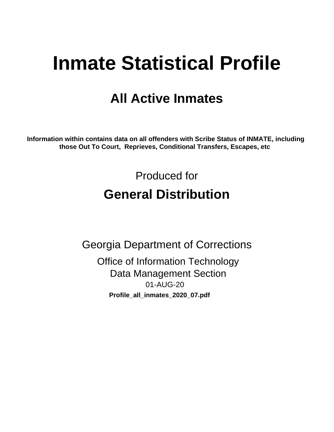# **Inmate Statistical Profile**

# **All Active Inmates**

Information within contains data on all offenders with Scribe Status of INMATE, including those Out To Court, Reprieves, Conditional Transfers, Escapes, etc

> Produced for **General Distribution**

**Georgia Department of Corrections Office of Information Technology Data Management Section** 01-AUG-20 Profile\_all\_inmates\_2020\_07.pdf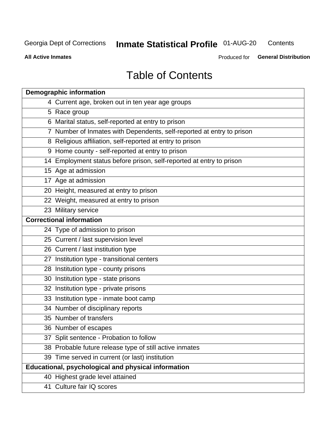#### **Inmate Statistical Profile 01-AUG-20** Contents

**All Active Inmates** 

Produced for General Distribution

# **Table of Contents**

| <b>Demographic information</b>                                        |
|-----------------------------------------------------------------------|
| 4 Current age, broken out in ten year age groups                      |
| 5 Race group                                                          |
| 6 Marital status, self-reported at entry to prison                    |
| 7 Number of Inmates with Dependents, self-reported at entry to prison |
| 8 Religious affiliation, self-reported at entry to prison             |
| 9 Home county - self-reported at entry to prison                      |
| 14 Employment status before prison, self-reported at entry to prison  |
| 15 Age at admission                                                   |
| 17 Age at admission                                                   |
| 20 Height, measured at entry to prison                                |
| 22 Weight, measured at entry to prison                                |
| 23 Military service                                                   |
| <b>Correctional information</b>                                       |
| 24 Type of admission to prison                                        |
| 25 Current / last supervision level                                   |
| 26 Current / last institution type                                    |
| 27 Institution type - transitional centers                            |
| 28 Institution type - county prisons                                  |
| 30 Institution type - state prisons                                   |
| 32 Institution type - private prisons                                 |
| 33 Institution type - inmate boot camp                                |
| 34 Number of disciplinary reports                                     |
| 35 Number of transfers                                                |
| 36 Number of escapes                                                  |
| 37 Split sentence - Probation to follow                               |
| 38 Probable future release type of still active inmates               |
| 39 Time served in current (or last) institution                       |
| Educational, psychological and physical information                   |
| 40 Highest grade level attained                                       |
| 41 Culture fair IQ scores                                             |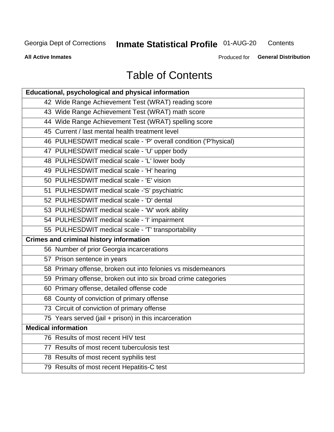# **Inmate Statistical Profile 01-AUG-20**

Contents

**All Active Inmates** 

Produced for General Distribution

# **Table of Contents**

| Educational, psychological and physical information              |
|------------------------------------------------------------------|
| 42 Wide Range Achievement Test (WRAT) reading score              |
| 43 Wide Range Achievement Test (WRAT) math score                 |
| 44 Wide Range Achievement Test (WRAT) spelling score             |
| 45 Current / last mental health treatment level                  |
| 46 PULHESDWIT medical scale - 'P' overall condition ('P'hysical) |
| 47 PULHESDWIT medical scale - 'U' upper body                     |
| 48 PULHESDWIT medical scale - 'L' lower body                     |
| 49 PULHESDWIT medical scale - 'H' hearing                        |
| 50 PULHESDWIT medical scale - 'E' vision                         |
| 51 PULHESDWIT medical scale -'S' psychiatric                     |
| 52 PULHESDWIT medical scale - 'D' dental                         |
| 53 PULHESDWIT medical scale - 'W' work ability                   |
| 54 PULHESDWIT medical scale - 'I' impairment                     |
| 55 PULHESDWIT medical scale - 'T' transportability               |
| <b>Crimes and criminal history information</b>                   |
| 56 Number of prior Georgia incarcerations                        |
| 57 Prison sentence in years                                      |
| 58 Primary offense, broken out into felonies vs misdemeanors     |
| 59 Primary offense, broken out into six broad crime categories   |
| 60 Primary offense, detailed offense code                        |
| 68 County of conviction of primary offense                       |
| 73 Circuit of conviction of primary offense                      |
| 75 Years served (jail + prison) in this incarceration            |
| <b>Medical information</b>                                       |
| 76 Results of most recent HIV test                               |
| 77 Results of most recent tuberculosis test                      |
| 78 Results of most recent syphilis test                          |
| 79 Results of most recent Hepatitis-C test                       |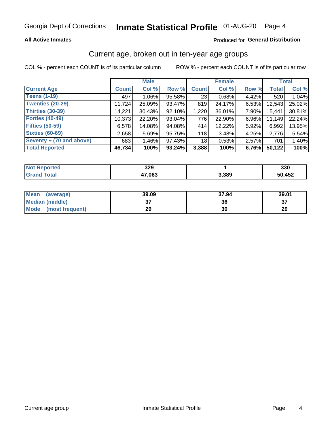# Inmate Statistical Profile 01-AUG-20 Page 4

#### **All Active Inmates**

#### Produced for General Distribution

### Current age, broken out in ten-year age groups

COL % - percent each COUNT is of its particular column

|                          |              | <b>Male</b> |        |              | <b>Female</b> |       |              | <b>Total</b> |  |
|--------------------------|--------------|-------------|--------|--------------|---------------|-------|--------------|--------------|--|
| <b>Current Age</b>       | <b>Count</b> | Col %       | Row %  | <b>Count</b> | Col %         | Row % | <b>Total</b> | Col %        |  |
| <b>Teens (1-19)</b>      | 497          | $1.06\%$    | 95.58% | 23           | 0.68%         | 4.42% | 520          | 1.04%        |  |
| <b>Twenties (20-29)</b>  | 11,724       | 25.09%      | 93.47% | 819          | 24.17%        | 6.53% | 12,543       | 25.02%       |  |
| <b>Thirties (30-39)</b>  | 14,221       | 30.43%      | 92.10% | 1,220        | 36.01%        | 7.90% | 15,441       | 30.81%       |  |
| <b>Forties (40-49)</b>   | 10,373       | 22.20%      | 93.04% | 776          | 22.90%        | 6.96% | 11,149       | 22.24%       |  |
| <b>Fifties (50-59)</b>   | 6,578        | 14.08%      | 94.08% | 414          | 12.22%        | 5.92% | 6,992        | 13.95%       |  |
| <b>Sixties (60-69)</b>   | 2,658        | 5.69%       | 95.75% | 118          | 3.48%         | 4.25% | 2,776        | 5.54%        |  |
| Seventy + (70 and above) | 683          | $1.46\%$    | 97.43% | 18           | 0.53%         | 2.57% | 701          | 1.40%        |  |
| <b>Total Reported</b>    | 46,734       | 100%        | 93.24% | 3,388        | 100%          | 6.76% | 50,122       | 100%         |  |

| <b>Not Reported</b> | າາດ<br>JZJ |       | 330    |
|---------------------|------------|-------|--------|
| Total               | 47,063     | 3,389 | 50,452 |

| <b>Mean</b><br>(average) | 39.09         | 37.94 | 39.01   |
|--------------------------|---------------|-------|---------|
| Median (middle)          | $\sim$<br>ا پ | 36    | ົ<br>o. |
| Mode<br>(most frequent)  | 29            | 30    | 29      |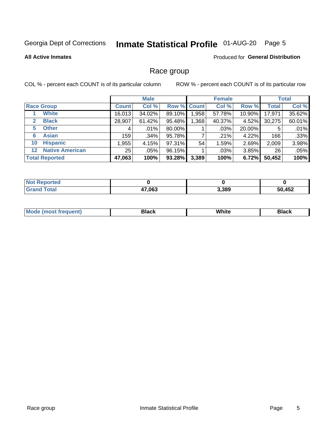# Inmate Statistical Profile 01-AUG-20 Page 5

#### **All Active Inmates**

#### Produced for General Distribution

### Race group

COL % - percent each COUNT is of its particular column

|                   |                        |              | <b>Male</b> |                    | <b>Female</b> |         |        | <b>Total</b>    |        |
|-------------------|------------------------|--------------|-------------|--------------------|---------------|---------|--------|-----------------|--------|
|                   | <b>Race Group</b>      | <b>Count</b> | Col %       | <b>Row % Count</b> |               | Col %   | Row %  | <b>Total</b>    | Col %  |
|                   | <b>White</b>           | 16,013       | 34.02%      | 89.10%             | 1,958         | 57.78%  | 10.90% | 17,971          | 35.62% |
| $\mathbf{2}$      | <b>Black</b>           | 28,907       | 61.42%      | 95.48%             | ,368          | 40.37%  | 4.52%  | 30,275          | 60.01% |
| 5.                | <b>Other</b>           | 4            | .01%        | 80.00%             |               | $.03\%$ | 20.00% | 5               | .01%   |
| 6                 | <b>Asian</b>           | 159          | .34%        | 95.78%             |               | .21%    | 4.22%  | 166             | .33%   |
| 10                | <b>Hispanic</b>        | 1,955        | 4.15%       | 97.31%             | 54            | 1.59%   | 2.69%  | 2,009           | 3.98%  |
| $12 \overline{ }$ | <b>Native American</b> | 25           | .05%        | 96.15%             |               | $.03\%$ | 3.85%  | 26 <sub>1</sub> | .05%   |
|                   | <b>Total Reported</b>  | 47,063       | 100%        | 93.28%             | 3,389         | 100%    | 6.72%  | 50,452          | 100%   |

| <b>ported</b><br>N            |        |       |        |
|-------------------------------|--------|-------|--------|
| <b>otal</b><br><b>'</b> Gran⊾ | 47,063 | 3,389 | 50,452 |

|  | <b>Mc</b> | .<br>. | $\cdots$ | ---<br>าษห<br>------ |
|--|-----------|--------|----------|----------------------|
|--|-----------|--------|----------|----------------------|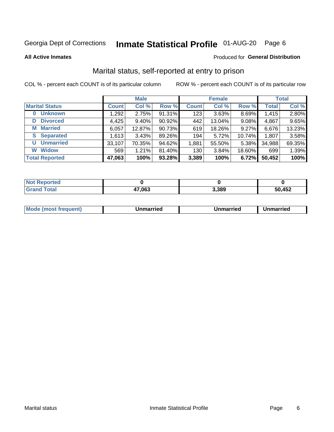# Inmate Statistical Profile 01-AUG-20 Page 6

**All Active Inmates** 

#### Produced for General Distribution

### Marital status, self-reported at entry to prison

COL % - percent each COUNT is of its particular column

| <b>Male</b>                |              |          |        | <b>Female</b> |        |        | <b>Total</b> |        |
|----------------------------|--------------|----------|--------|---------------|--------|--------|--------------|--------|
| <b>Marital Status</b>      | <b>Count</b> | Col %    | Row %  | <b>Count</b>  | Col %  | Row %  | <b>Total</b> | Col %  |
| <b>Unknown</b><br>$\bf{0}$ | 1,292        | 2.75%    | 91.31% | 123           | 3.63%  | 8.69%  | 1,415        | 2.80%  |
| <b>Divorced</b><br>D       | 4,425        | $9.40\%$ | 90.92% | 442           | 13.04% | 9.08%  | 4,867        | 9.65%  |
| <b>Married</b><br>М        | 6,057        | 12.87%   | 90.73% | 619           | 18.26% | 9.27%  | 6,676        | 13.23% |
| <b>Separated</b><br>S.     | 1,613        | 3.43%    | 89.26% | 194           | 5.72%  | 10.74% | 1,807        | 3.58%  |
| <b>Unmarried</b><br>U      | 33,107       | 70.35%   | 94.62% | 1,881         | 55.50% | 5.38%  | 34,988       | 69.35% |
| <b>Widow</b><br>W          | 569          | 1.21%    | 81.40% | 130           | 3.84%  | 18.60% | 699          | 1.39%  |
| <b>Total Reported</b>      | 47,063       | 100%     | 93.28% | 3,389         | 100%   | 6.72%  | 50,452       | 100%   |

| <b>Not Reported</b> |        |       |        |
|---------------------|--------|-------|--------|
| Total               | 17,063 | 3,389 | 50,452 |

|--|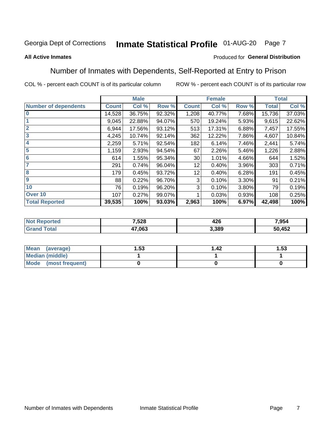#### **Inmate Statistical Profile 01-AUG-20** Page 7

#### **All Active Inmates**

#### Produced for General Distribution

### Number of Inmates with Dependents, Self-Reported at Entry to Prison

COL % - percent each COUNT is of its particular column

|                             | <b>Male</b>  |        |        | <b>Female</b> |        |          | <b>Total</b> |        |
|-----------------------------|--------------|--------|--------|---------------|--------|----------|--------------|--------|
| <b>Number of dependents</b> | <b>Count</b> | Col %  | Row %  | <b>Count</b>  | Col %  | Row %    | <b>Total</b> | Col %  |
| l 0                         | 14,528       | 36.75% | 92.32% | 1,208         | 40.77% | 7.68%    | 15,736       | 37.03% |
|                             | 9,045        | 22.88% | 94.07% | 570           | 19.24% | 5.93%    | 9,615        | 22.62% |
| $\overline{2}$              | 6,944        | 17.56% | 93.12% | 513           | 17.31% | 6.88%    | 7,457        | 17.55% |
| $\mathbf{3}$                | 4,245        | 10.74% | 92.14% | 362           | 12.22% | 7.86%    | 4,607        | 10.84% |
| $\overline{\mathbf{4}}$     | 2,259        | 5.71%  | 92.54% | 182           | 6.14%  | 7.46%    | 2,441        | 5.74%  |
| 5                           | 1,159        | 2.93%  | 94.54% | 67            | 2.26%  | 5.46%    | 1,226        | 2.88%  |
| 6                           | 614          | 1.55%  | 95.34% | 30            | 1.01%  | 4.66%    | 644          | 1.52%  |
| 7                           | 291          | 0.74%  | 96.04% | 12            | 0.40%  | 3.96%    | 303          | 0.71%  |
| 8                           | 179          | 0.45%  | 93.72% | 12            | 0.40%  | 6.28%    | 191          | 0.45%  |
| 9                           | 88           | 0.22%  | 96.70% | 3             | 0.10%  | $3.30\%$ | 91           | 0.21%  |
| 10                          | 76           | 0.19%  | 96.20% | 3             | 0.10%  | $3.80\%$ | 79           | 0.19%  |
| Over 10                     | 107          | 0.27%  | 99.07% |               | 0.03%  | 0.93%    | 108          | 0.25%  |
| <b>Total Reported</b>       | 39,535       | 100%   | 93.03% | 2,963         | 100%   | 6.97%    | 42,498       | 100%   |

| 7,528  | ハつに<br>44 U | 7.954      |
|--------|-------------|------------|
| 47.063 | .389        | ,452<br>50 |

| Mean (average)         | l.53 | l 42 | l.53 |
|------------------------|------|------|------|
| <b>Median (middle)</b> |      |      |      |
| Mode (most frequent)   |      |      |      |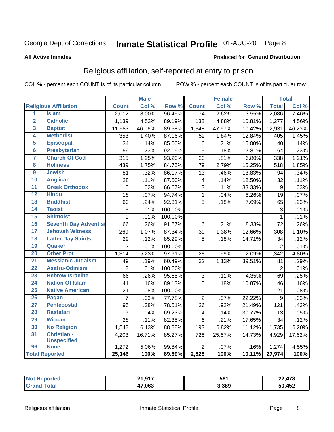# Inmate Statistical Profile 01-AUG-20 Page 8

#### **All Active Inmates**

#### Produced for General Distribution

### Religious affiliation, self-reported at entry to prison

COL % - percent each COUNT is of its particular column

|                         |                              |                 | <b>Male</b> |         |                         | <b>Female</b> |                  |                | <b>Total</b> |
|-------------------------|------------------------------|-----------------|-------------|---------|-------------------------|---------------|------------------|----------------|--------------|
|                         | <b>Religious Affiliation</b> | <b>Count</b>    | Col %       | Row %   | <b>Count</b>            | Col %         | Row <sup>%</sup> | <b>Total</b>   | Col %        |
| 1                       | <b>Islam</b>                 | 2,012           | 8.00%       | 96.45%  | $\overline{74}$         | 2.62%         | 3.55%            | 2,086          | 7.46%        |
| $\overline{\mathbf{2}}$ | <b>Catholic</b>              | 1,139           | 4.53%       | 89.19%  | 138                     | 4.88%         | 10.81%           | 1,277          | 4.56%        |
| 3                       | <b>Baptist</b>               | 11,583          | 46.06%      | 89.58%  | 1,348                   | 47.67%        | 10.42%           | 12,931         | 46.23%       |
| 4                       | <b>Methodist</b>             | 353             | 1.40%       | 87.16%  | 52                      | 1.84%         | 12.84%           | 405            | 1.45%        |
| 5                       | <b>Episcopal</b>             | 34              | .14%        | 85.00%  | $\,6$                   | .21%          | 15.00%           | 40             | .14%         |
| $\overline{6}$          | <b>Presbyterian</b>          | 59              | .23%        | 92.19%  | 5                       | .18%          | 7.81%            | 64             | .23%         |
| 7                       | <b>Church Of God</b>         | $\frac{1}{315}$ | 1.25%       | 93.20%  | 23                      | .81%          | 6.80%            | 338            | 1.21%        |
| 8                       | <b>Holiness</b>              | 439             | 1.75%       | 84.75%  | 79                      | 2.79%         | 15.25%           | 518            | 1.85%        |
| $\overline{9}$          | <b>Jewish</b>                | 81              | .32%        | 86.17%  | 13                      | .46%          | 13.83%           | 94             | .34%         |
| 10                      | <b>Anglican</b>              | 28              | .11%        | 87.50%  | 4                       | .14%          | 12.50%           | 32             | .11%         |
| 11                      | <b>Greek Orthodox</b>        | $6\phantom{1}6$ | .02%        | 66.67%  | $\overline{3}$          | .11%          | 33.33%           | $\overline{9}$ | .03%         |
| 12                      | <b>Hindu</b>                 | 18              | .07%        | 94.74%  | $\mathbf{1}$            | .04%          | 5.26%            | 19             | .07%         |
| 13                      | <b>Buddhist</b>              | 60              | .24%        | 92.31%  | 5                       | .18%          | 7.69%            | 65             | .23%         |
| $\overline{14}$         | <b>Taoist</b>                | 3               | .01%        | 100.00% |                         |               |                  | 3              | .01%         |
| 15                      | <b>Shintoist</b>             | $\mathbf{1}$    | .01%        | 100.00% |                         |               |                  | 1              | .01%         |
| 16                      | <b>Seventh Day Adventist</b> | 66              | .26%        | 91.67%  | $6\phantom{1}$          | .21%          | 8.33%            | 72             | .26%         |
| 17                      | <b>Jehovah Witness</b>       | 269             | 1.07%       | 87.34%  | 39                      | 1.38%         | 12.66%           | 308            | 1.10%        |
| 18                      | <b>Latter Day Saints</b>     | 29              | .12%        | 85.29%  | 5                       | .18%          | 14.71%           | 34             | .12%         |
| 19                      | Quaker                       | $\overline{2}$  | .01%        | 100.00% |                         |               |                  | $\overline{2}$ | .01%         |
| 20                      | <b>Other Prot</b>            | 1,314           | 5.23%       | 97.91%  | 28                      | .99%          | 2.09%            | 1,342          | 4.80%        |
| 21                      | <b>Messianic Judaism</b>     | 49              | .19%        | 60.49%  | 32                      | 1.13%         | 39.51%           | 81             | .29%         |
| 22                      | <b>Asatru-Odinism</b>        | $\overline{2}$  | .01%        | 100.00% |                         |               |                  | $\overline{2}$ | .01%         |
| 23                      | <b>Hebrew Israelite</b>      | 66              | .26%        | 95.65%  | $\sqrt{3}$              | .11%          | 4.35%            | 69             | .25%         |
| 24                      | <b>Nation Of Islam</b>       | 41              | .16%        | 89.13%  | $\overline{5}$          | .18%          | 10.87%           | 46             | .16%         |
| 25                      | <b>Native American</b>       | 21              | .08%        | 100.00% |                         |               |                  | 21             | .08%         |
| 26                      | Pagan                        | $\overline{7}$  | .03%        | 77.78%  | $\overline{2}$          | .07%          | 22.22%           | 9              | .03%         |
| 27                      | <b>Pentecostal</b>           | 95              | .38%        | 78.51%  | 26                      | .92%          | 21.49%           | 121            | .43%         |
| 28                      | <b>Rastafari</b>             | 9               | .04%        | 69.23%  | $\overline{\mathbf{4}}$ | .14%          | 30.77%           | 13             | .05%         |
| 29                      | <b>Wiccan</b>                | 28              | .11%        | 82.35%  | $6\phantom{1}$          | .21%          | 17.65%           | 34             | .12%         |
| 30                      | <b>No Religion</b>           | 1,542           | 6.13%       | 88.88%  | 193                     | 6.82%         | 11.12%           | 1,735          | 6.20%        |
| 31                      | Christian -                  | 4,203           | 16.71%      | 85.27%  | 726                     | 25.67%        | 14.73%           | 4,929          | 17.62%       |
|                         | <b>Unspecified</b>           |                 |             |         |                         |               |                  |                |              |
| 96                      | <b>None</b>                  | 1,272           | 5.06%       | 99.84%  | $\overline{2}$          | .07%          | .16%             | 1,274          | 4.55%        |
|                         | <b>Total Reported</b>        | 25,146          | 100%        | 89.89%  | 2,828                   | 100%          | 10.11%           | 27,974         | 100%         |

| 017<br>- 24<br>. | 56 <sup>′</sup> | $1 - \alpha$<br>$\sim$<br>.478 |
|------------------|-----------------|--------------------------------|
| 47,063           | 3,389           | 452,<br>50                     |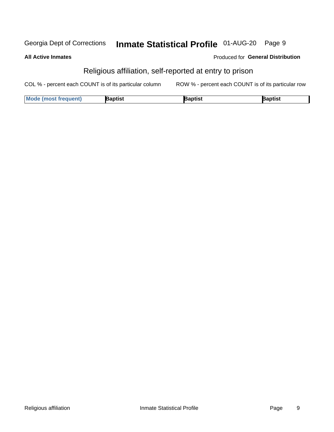#### Inmate Statistical Profile 01-AUG-20 Page 9 Georgia Dept of Corrections

**All Active Inmates** 

#### Produced for General Distribution

# Religious affiliation, self-reported at entry to prison

COL % - percent each COUNT is of its particular column ROW % - percent each COUNT is of its particular row

| <b>Mode (most frequent)</b> | Baptist | 3aptist | Baptist |
|-----------------------------|---------|---------|---------|
|-----------------------------|---------|---------|---------|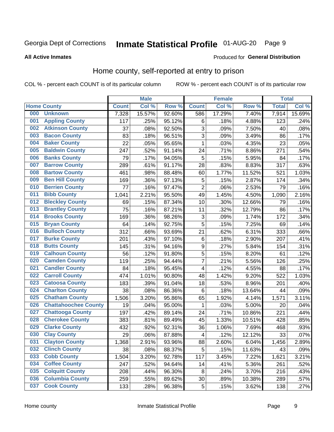# Inmate Statistical Profile 01-AUG-20 Page 9

#### **All Active Inmates**

#### Produced for General Distribution

### Home county, self-reported at entry to prison

COL % - percent each COUNT is of its particular column

|     |                             |              | <b>Male</b> |                  |                  | <b>Female</b> |        | <b>Total</b> |        |
|-----|-----------------------------|--------------|-------------|------------------|------------------|---------------|--------|--------------|--------|
|     | <b>Home County</b>          | <b>Count</b> | Col %       | Row <sup>%</sup> | <b>Count</b>     | Col %         | Row %  | <b>Total</b> | Col %  |
| 000 | <b>Unknown</b>              | 7,328        | 15.57%      | 92.60%           | 586              | 17.29%        | 7.40%  | 7,914        | 15.69% |
| 001 | <b>Appling County</b>       | 117          | .25%        | 95.12%           | $\,6$            | .18%          | 4.88%  | 123          | .24%   |
| 002 | <b>Atkinson County</b>      | 37           | .08%        | 92.50%           | 3                | .09%          | 7.50%  | 40           | .08%   |
| 003 | <b>Bacon County</b>         | 83           | .18%        | 96.51%           | 3                | .09%          | 3.49%  | 86           | .17%   |
| 004 | <b>Baker County</b>         | 22           | .05%        | 95.65%           | $\mathbf 1$      | .03%          | 4.35%  | 23           | .05%   |
| 005 | <b>Baldwin County</b>       | 247          | .52%        | 91.14%           | 24               | .71%          | 8.86%  | 271          | .54%   |
| 006 | <b>Banks County</b>         | 79           | .17%        | 94.05%           | 5                | .15%          | 5.95%  | 84           | .17%   |
| 007 | <b>Barrow County</b>        | 289          | .61%        | 91.17%           | 28               | .83%          | 8.83%  | 317          | .63%   |
| 008 | <b>Bartow County</b>        | 461          | .98%        | 88.48%           | 60               | 1.77%         | 11.52% | 521          | 1.03%  |
| 009 | <b>Ben Hill County</b>      | 169          | .36%        | 97.13%           | 5                | .15%          | 2.87%  | 174          | .34%   |
| 010 | <b>Berrien County</b>       | 77           | .16%        | 97.47%           | $\overline{2}$   | .06%          | 2.53%  | 79           | .16%   |
| 011 | <b>Bibb County</b>          | 1,041        | 2.21%       | 95.50%           | 49               | 1.45%         | 4.50%  | 1,090        | 2.16%  |
| 012 | <b>Bleckley County</b>      | 69           | .15%        | 87.34%           | 10               | .30%          | 12.66% | 79           | .16%   |
| 013 | <b>Brantley County</b>      | 75           | .16%        | 87.21%           | 11               | .32%          | 12.79% | 86           | .17%   |
| 014 | <b>Brooks County</b>        | 169          | .36%        | 98.26%           | 3                | .09%          | 1.74%  | 172          | .34%   |
| 015 | <b>Bryan County</b>         | 64           | .14%        | 92.75%           | 5                | .15%          | 7.25%  | 69           | .14%   |
| 016 | <b>Bulloch County</b>       | 312          | .66%        | 93.69%           | 21               | .62%          | 6.31%  | 333          | .66%   |
| 017 | <b>Burke County</b>         | 201          | .43%        | 97.10%           | $\,6$            | .18%          | 2.90%  | 207          | .41%   |
| 018 | <b>Butts County</b>         | 145          | .31%        | 94.16%           | $\boldsymbol{9}$ | .27%          | 5.84%  | 154          | .31%   |
| 019 | <b>Calhoun County</b>       | 56           | .12%        | 91.80%           | 5                | .15%          | 8.20%  | 61           | .12%   |
| 020 | <b>Camden County</b>        | 119          | .25%        | 94.44%           | 7                | .21%          | 5.56%  | 126          | .25%   |
| 021 | <b>Candler County</b>       | 84           | .18%        | 95.45%           | 4                | .12%          | 4.55%  | 88           | .17%   |
| 022 | <b>Carroll County</b>       | 474          | 1.01%       | 90.80%           | 48               | 1.42%         | 9.20%  | 522          | 1.03%  |
| 023 | <b>Catoosa County</b>       | 183          | .39%        | 91.04%           | 18               | .53%          | 8.96%  | 201          | .40%   |
| 024 | <b>Charlton County</b>      | 38           | .08%        | 86.36%           | 6                | .18%          | 13.64% | 44           | .09%   |
| 025 | <b>Chatham County</b>       | 1,506        | 3.20%       | 95.86%           | 65               | 1.92%         | 4.14%  | 1,571        | 3.11%  |
| 026 | <b>Chattahoochee County</b> | 19           | .04%        | 95.00%           | 1                | .03%          | 5.00%  | 20           | .04%   |
| 027 | <b>Chattooga County</b>     | 197          | .42%        | 89.14%           | 24               | .71%          | 10.86% | 221          | .44%   |
| 028 | <b>Cherokee County</b>      | 383          | .81%        | 89.49%           | 45               | 1.33%         | 10.51% | 428          | .85%   |
| 029 | <b>Clarke County</b>        | 432          | .92%        | 92.31%           | 36               | 1.06%         | 7.69%  | 468          | .93%   |
| 030 | <b>Clay County</b>          | 29           | .06%        | 87.88%           | 4                | .12%          | 12.12% | 33           | .07%   |
| 031 | <b>Clayton County</b>       | 1,368        | 2.91%       | 93.96%           | 88               | 2.60%         | 6.04%  | 1,456        | 2.89%  |
| 032 | <b>Clinch County</b>        | 38           | .08%        | 88.37%           | 5                | .15%          | 11.63% | 43           | .09%   |
| 033 | <b>Cobb County</b>          | 1,504        | 3.20%       | 92.78%           | 117              | 3.45%         | 7.22%  | 1,621        | 3.21%  |
| 034 | <b>Coffee County</b>        | 247          | .52%        | 94.64%           | 14               | .41%          | 5.36%  | 261          | .52%   |
| 035 | <b>Colquitt County</b>      | 208          | .44%        | 96.30%           | 8                | .24%          | 3.70%  | 216          | .43%   |
| 036 | <b>Columbia County</b>      | 259          | .55%        | 89.62%           | 30               | .89%          | 10.38% | 289          | .57%   |
| 037 | <b>Cook County</b>          | 133          | .28%        | 96.38%           | $\mathbf 5$      | .15%          | 3.62%  | 138          | .27%   |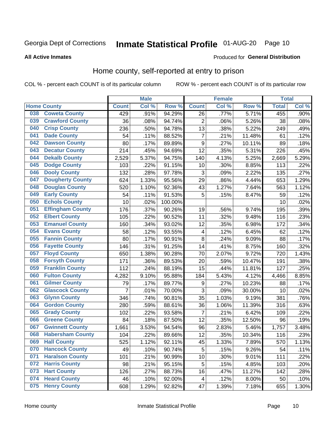# Inmate Statistical Profile 01-AUG-20 Page 10

#### **All Active Inmates**

#### Produced for General Distribution

### Home county, self-reported at entry to prison

COL % - percent each COUNT is of its particular column

|     |                         |                | <b>Male</b> |         |                         | <b>Female</b> |        | <b>Total</b> |       |
|-----|-------------------------|----------------|-------------|---------|-------------------------|---------------|--------|--------------|-------|
|     | <b>Home County</b>      | <b>Count</b>   | Col %       | Row %   | <b>Count</b>            | Col %         | Row %  | <b>Total</b> | Col % |
| 038 | <b>Coweta County</b>    | 429            | .91%        | 94.29%  | $\overline{26}$         | .77%          | 5.71%  | 455          | .90%  |
| 039 | <b>Crawford County</b>  | 36             | .08%        | 94.74%  | $\overline{2}$          | .06%          | 5.26%  | 38           | .08%  |
| 040 | <b>Crisp County</b>     | 236            | .50%        | 94.78%  | 13                      | .38%          | 5.22%  | 249          | .49%  |
| 041 | <b>Dade County</b>      | 54             | .11%        | 88.52%  | $\overline{7}$          | .21%          | 11.48% | 61           | .12%  |
| 042 | <b>Dawson County</b>    | 80             | .17%        | 89.89%  | $\boldsymbol{9}$        | .27%          | 10.11% | 89           | .18%  |
| 043 | <b>Decatur County</b>   | 214            | .45%        | 94.69%  | $\overline{12}$         | .35%          | 5.31%  | 226          | .45%  |
| 044 | <b>Dekalb County</b>    | 2,529          | 5.37%       | 94.75%  | 140                     | 4.13%         | 5.25%  | 2,669        | 5.29% |
| 045 | <b>Dodge County</b>     | 103            | .22%        | 91.15%  | 10                      | .30%          | 8.85%  | 113          | .22%  |
| 046 | <b>Dooly County</b>     | 132            | .28%        | 97.78%  | 3                       | .09%          | 2.22%  | 135          | .27%  |
| 047 | <b>Dougherty County</b> | 624            | 1.33%       | 95.56%  | 29                      | .86%          | 4.44%  | 653          | 1.29% |
| 048 | <b>Douglas County</b>   | 520            | 1.10%       | 92.36%  | 43                      | 1.27%         | 7.64%  | 563          | 1.12% |
| 049 | <b>Early County</b>     | 54             | .11%        | 91.53%  | 5                       | .15%          | 8.47%  | 59           | .12%  |
| 050 | <b>Echols County</b>    | 10             | .02%        | 100.00% |                         |               |        | 10           | .02%  |
| 051 | <b>Effingham County</b> | 176            | .37%        | 90.26%  | 19                      | .56%          | 9.74%  | 195          | .39%  |
| 052 | <b>Elbert County</b>    | 105            | .22%        | 90.52%  | 11                      | .32%          | 9.48%  | 116          | .23%  |
| 053 | <b>Emanuel County</b>   | 160            | .34%        | 93.02%  | 12                      | .35%          | 6.98%  | 172          | .34%  |
| 054 | <b>Evans County</b>     | 58             | .12%        | 93.55%  | 4                       | .12%          | 6.45%  | 62           | .12%  |
| 055 | <b>Fannin County</b>    | 80             | .17%        | 90.91%  | 8                       | .24%          | 9.09%  | 88           | .17%  |
| 056 | <b>Fayette County</b>   | 146            | .31%        | 91.25%  | 14                      | .41%          | 8.75%  | 160          | .32%  |
| 057 | <b>Floyd County</b>     | 650            | 1.38%       | 90.28%  | 70                      | 2.07%         | 9.72%  | 720          | 1.43% |
| 058 | <b>Forsyth County</b>   | 171            | .36%        | 89.53%  | 20                      | .59%          | 10.47% | 191          | .38%  |
| 059 | <b>Franklin County</b>  | 112            | .24%        | 88.19%  | 15                      | .44%          | 11.81% | 127          | .25%  |
| 060 | <b>Fulton County</b>    | 4,282          | 9.10%       | 95.88%  | 184                     | 5.43%         | 4.12%  | 4,466        | 8.85% |
| 061 | <b>Gilmer County</b>    | 79             | .17%        | 89.77%  | 9                       | .27%          | 10.23% | 88           | .17%  |
| 062 | <b>Glascock County</b>  | $\overline{7}$ | .01%        | 70.00%  | 3                       | .09%          | 30.00% | 10           | .02%  |
| 063 | <b>Glynn County</b>     | 346            | .74%        | 90.81%  | 35                      | 1.03%         | 9.19%  | 381          | .76%  |
| 064 | <b>Gordon County</b>    | 280            | .59%        | 88.61%  | 36                      | 1.06%         | 11.39% | 316          | .63%  |
| 065 | <b>Grady County</b>     | 102            | .22%        | 93.58%  | 7                       | .21%          | 6.42%  | 109          | .22%  |
| 066 | <b>Greene County</b>    | 84             | .18%        | 87.50%  | 12                      | .35%          | 12.50% | 96           | .19%  |
| 067 | <b>Gwinnett County</b>  | 1,661          | 3.53%       | 94.54%  | 96                      | 2.83%         | 5.46%  | 1,757        | 3.48% |
| 068 | <b>Habersham County</b> | 104            | .22%        | 89.66%  | 12                      | .35%          | 10.34% | 116          | .23%  |
| 069 | <b>Hall County</b>      | 525            | 1.12%       | 92.11%  | 45                      | 1.33%         | 7.89%  | 570          | 1.13% |
| 070 | <b>Hancock County</b>   | 49             | .10%        | 90.74%  | 5                       | .15%          | 9.26%  | 54           | .11%  |
| 071 | <b>Haralson County</b>  | 101            | .21%        | 90.99%  | 10                      | .30%          | 9.01%  | 111          | .22%  |
| 072 | <b>Harris County</b>    | 98             | .21%        | 95.15%  | 5                       | .15%          | 4.85%  | 103          | .20%  |
| 073 | <b>Hart County</b>      | 126            | .27%        | 88.73%  | 16                      | .47%          | 11.27% | 142          | .28%  |
| 074 | <b>Heard County</b>     | 46             | .10%        | 92.00%  | $\overline{\mathbf{4}}$ | .12%          | 8.00%  | 50           | .10%  |
| 075 | <b>Henry County</b>     | 608            | 1.29%       | 92.82%  | 47                      | 1.39%         | 7.18%  | 655          | 1.30% |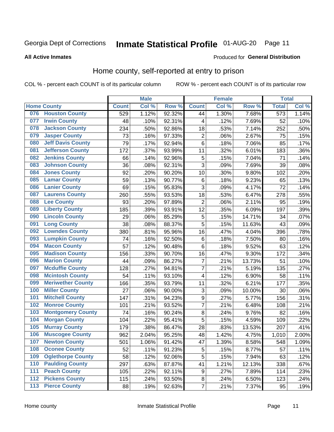#### **Inmate Statistical Profile 01-AUG-20** Page 11

**All Active Inmates** 

#### **Produced for General Distribution**

### Home county, self-reported at entry to prison

COL % - percent each COUNT is of its particular column

|     |                          |              | <b>Male</b> |        |                         | <b>Female</b> |        | <b>Total</b>     |       |
|-----|--------------------------|--------------|-------------|--------|-------------------------|---------------|--------|------------------|-------|
|     | <b>Home County</b>       | <b>Count</b> | Col %       | Row %  | <b>Count</b>            | Col %         | Row %  | <b>Total</b>     | Col % |
| 076 | <b>Houston County</b>    | 529          | 1.12%       | 92.32% | 44                      | 1.30%         | 7.68%  | $\overline{573}$ | 1.14% |
| 077 | <b>Irwin County</b>      | 48           | .10%        | 92.31% | 4                       | .12%          | 7.69%  | 52               | .10%  |
| 078 | <b>Jackson County</b>    | 234          | .50%        | 92.86% | 18                      | .53%          | 7.14%  | 252              | .50%  |
| 079 | <b>Jasper County</b>     | 73           | .16%        | 97.33% | $\overline{2}$          | .06%          | 2.67%  | 75               | .15%  |
| 080 | <b>Jeff Davis County</b> | 79           | .17%        | 92.94% | $\,6$                   | .18%          | 7.06%  | 85               | .17%  |
| 081 | <b>Jefferson County</b>  | 172          | .37%        | 93.99% | 11                      | .32%          | 6.01%  | 183              | .36%  |
| 082 | <b>Jenkins County</b>    | 66           | .14%        | 92.96% | $\sqrt{5}$              | .15%          | 7.04%  | 71               | .14%  |
| 083 | <b>Johnson County</b>    | 36           | .08%        | 92.31% | 3                       | .09%          | 7.69%  | 39               | .08%  |
| 084 | <b>Jones County</b>      | 92           | .20%        | 90.20% | 10                      | .30%          | 9.80%  | 102              | .20%  |
| 085 | <b>Lamar County</b>      | 59           | .13%        | 90.77% | $\,6$                   | .18%          | 9.23%  | 65               | .13%  |
| 086 | <b>Lanier County</b>     | 69           | .15%        | 95.83% | $\mathbf{3}$            | .09%          | 4.17%  | 72               | .14%  |
| 087 | <b>Laurens County</b>    | 260          | .55%        | 93.53% | 18                      | .53%          | 6.47%  | 278              | .55%  |
| 088 | <b>Lee County</b>        | 93           | .20%        | 97.89% | $\overline{2}$          | .06%          | 2.11%  | 95               | .19%  |
| 089 | <b>Liberty County</b>    | 185          | .39%        | 93.91% | 12                      | .35%          | 6.09%  | 197              | .39%  |
| 090 | <b>Lincoln County</b>    | 29           | .06%        | 85.29% | $\sqrt{5}$              | .15%          | 14.71% | 34               | .07%  |
| 091 | <b>Long County</b>       | 38           | .08%        | 88.37% | 5                       | .15%          | 11.63% | 43               | .09%  |
| 092 | <b>Lowndes County</b>    | 380          | .81%        | 95.96% | 16                      | .47%          | 4.04%  | 396              | .78%  |
| 093 | <b>Lumpkin County</b>    | 74           | .16%        | 92.50% | $\,6$                   | .18%          | 7.50%  | 80               | .16%  |
| 094 | <b>Macon County</b>      | 57           | .12%        | 90.48% | $\,6$                   | .18%          | 9.52%  | 63               | .12%  |
| 095 | <b>Madison County</b>    | 156          | .33%        | 90.70% | 16                      | .47%          | 9.30%  | 172              | .34%  |
| 096 | <b>Marion County</b>     | 44           | .09%        | 86.27% | $\overline{7}$          | .21%          | 13.73% | 51               | .10%  |
| 097 | <b>Mcduffie County</b>   | 128          | .27%        | 94.81% | $\overline{7}$          | .21%          | 5.19%  | 135              | .27%  |
| 098 | <b>Mcintosh County</b>   | 54           | .11%        | 93.10% | $\overline{\mathbf{4}}$ | .12%          | 6.90%  | 58               | .11%  |
| 099 | <b>Meriwether County</b> | 166          | .35%        | 93.79% | 11                      | .32%          | 6.21%  | 177              | .35%  |
| 100 | <b>Miller County</b>     | 27           | .06%        | 90.00% | 3                       | .09%          | 10.00% | 30               | .06%  |
| 101 | <b>Mitchell County</b>   | 147          | .31%        | 94.23% | $\boldsymbol{9}$        | .27%          | 5.77%  | 156              | .31%  |
| 102 | <b>Monroe County</b>     | 101          | .21%        | 93.52% | $\overline{7}$          | .21%          | 6.48%  | 108              | .21%  |
| 103 | <b>Montgomery County</b> | 74           | .16%        | 90.24% | $\bf 8$                 | .24%          | 9.76%  | 82               | .16%  |
| 104 | <b>Morgan County</b>     | 104          | .22%        | 95.41% | 5                       | .15%          | 4.59%  | 109              | .22%  |
| 105 | <b>Murray County</b>     | 179          | .38%        | 86.47% | 28                      | .83%          | 13.53% | 207              | .41%  |
| 106 | <b>Muscogee County</b>   | 962          | 2.04%       | 95.25% | 48                      | 1.42%         | 4.75%  | 1,010            | 2.00% |
| 107 | <b>Newton County</b>     | 501          | 1.06%       | 91.42% | 47                      | 1.39%         | 8.58%  | 548              | 1.09% |
| 108 | <b>Oconee County</b>     | 52           | .11%        | 91.23% | 5                       | .15%          | 8.77%  | 57               | .11%  |
| 109 | <b>Oglethorpe County</b> | 58           | .12%        | 92.06% | 5                       | .15%          | 7.94%  | 63               | .12%  |
| 110 | <b>Paulding County</b>   | 297          | .63%        | 87.87% | 41                      | 1.21%         | 12.13% | 338              | .67%  |
| 111 | <b>Peach County</b>      | 105          | .22%        | 92.11% | $\boldsymbol{9}$        | .27%          | 7.89%  | 114              | .23%  |
| 112 | <b>Pickens County</b>    | 115          | .24%        | 93.50% | $\bf 8$                 | .24%          | 6.50%  | 123              | .24%  |
| 113 | <b>Pierce County</b>     | 88           | .19%        | 92.63% | $\overline{\mathbf{7}}$ | .21%          | 7.37%  | 95               | .19%  |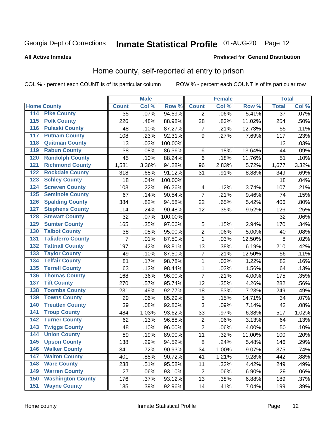# Inmate Statistical Profile 01-AUG-20 Page 12

#### **All Active Inmates**

#### Produced for General Distribution

### Home county, self-reported at entry to prison

COL % - percent each COUNT is of its particular column

|                                          |              | <b>Male</b> |                  |                         | <b>Female</b> |        | <b>Total</b>    |       |
|------------------------------------------|--------------|-------------|------------------|-------------------------|---------------|--------|-----------------|-------|
| <b>Home County</b>                       | <b>Count</b> | Col %       | Row <sup>%</sup> | <b>Count</b>            | Col %         | Row %  | <b>Total</b>    | Col % |
| 114<br><b>Pike County</b>                | 35           | .07%        | 94.59%           | 2                       | .06%          | 5.41%  | $\overline{37}$ | .07%  |
| <b>Polk County</b><br>115                | 226          | .48%        | 88.98%           | 28                      | .83%          | 11.02% | 254             | .50%  |
| <b>Pulaski County</b><br>116             | 48           | .10%        | 87.27%           | $\overline{7}$          | .21%          | 12.73% | 55              | .11%  |
| <b>Putnam County</b><br>117              | 108          | .23%        | 92.31%           | 9                       | .27%          | 7.69%  | 117             | .23%  |
| 118<br><b>Quitman County</b>             | 13           | .03%        | 100.00%          |                         |               |        | 13              | .03%  |
| <b>Rabun County</b><br>119               | 38           | .08%        | 86.36%           | $\,6$                   | .18%          | 13.64% | 44              | .09%  |
| <b>Randolph County</b><br>120            | 45           | .10%        | 88.24%           | $6\phantom{1}6$         | .18%          | 11.76% | 51              | .10%  |
| <b>Richmond County</b><br>121            | 1,581        | 3.36%       | 94.28%           | 96                      | 2.83%         | 5.72%  | 1,677           | 3.32% |
| <b>Rockdale County</b><br>122            | 318          | .68%        | 91.12%           | 31                      | .91%          | 8.88%  | 349             | .69%  |
| <b>Schley County</b><br>123              | 18           | .04%        | 100.00%          |                         |               |        | 18              | .04%  |
| <b>Screven County</b><br>124             | 103          | .22%        | 96.26%           | $\overline{\mathbf{4}}$ | .12%          | 3.74%  | 107             | .21%  |
| <b>Seminole County</b><br>125            | 67           | .14%        | 90.54%           | $\overline{7}$          | .21%          | 9.46%  | 74              | .15%  |
| <b>Spalding County</b><br>126            | 384          | .82%        | 94.58%           | 22                      | .65%          | 5.42%  | 406             | .80%  |
| <b>Stephens County</b><br>127            | 114          | .24%        | 90.48%           | 12                      | .35%          | 9.52%  | 126             | .25%  |
| <b>Stewart County</b><br>128             | 32           | .07%        | 100.00%          |                         |               |        | 32              | .06%  |
| <b>Sumter County</b><br>129              | 165          | .35%        | 97.06%           | 5                       | .15%          | 2.94%  | 170             | .34%  |
| <b>Talbot County</b><br>130              | 38           | .08%        | 95.00%           | $\overline{2}$          | .06%          | 5.00%  | 40              | .08%  |
| <b>Taliaferro County</b><br>131          | 7            | .01%        | 87.50%           | 1                       | .03%          | 12.50% | 8               | .02%  |
| <b>Tattnall County</b><br>132            | 197          | .42%        | 93.81%           | 13                      | .38%          | 6.19%  | 210             | .42%  |
| <b>Taylor County</b><br>133              | 49           | .10%        | 87.50%           | $\overline{7}$          | .21%          | 12.50% | 56              | .11%  |
| <b>Telfair County</b><br>134             | 81           | .17%        | 98.78%           | 1                       | .03%          | 1.22%  | 82              | .16%  |
| <b>Terrell County</b><br>135             | 63           | .13%        | 98.44%           | 1                       | .03%          | 1.56%  | 64              | .13%  |
| <b>Thomas County</b><br>136              | 168          | .36%        | 96.00%           | $\overline{7}$          | .21%          | 4.00%  | 175             | .35%  |
| <b>Tift County</b><br>137                | 270          | .57%        | 95.74%           | 12                      | .35%          | 4.26%  | 282             | .56%  |
| <b>Toombs County</b><br>138              | 231          | .49%        | 92.77%           | 18                      | .53%          | 7.23%  | 249             | .49%  |
| <b>Towns County</b><br>139               | 29           | .06%        | 85.29%           | 5                       | .15%          | 14.71% | 34              | .07%  |
| <b>Treutlen County</b><br>140            | 39           | .08%        | 92.86%           | $\overline{3}$          | .09%          | 7.14%  | 42              | .08%  |
| <b>Troup County</b><br>141               | 484          | 1.03%       | 93.62%           | 33                      | .97%          | 6.38%  | 517             | 1.02% |
| <b>Turner County</b><br>$\overline{142}$ | 62           | .13%        | 96.88%           | $\overline{2}$          | .06%          | 3.13%  | 64              | .13%  |
| <b>Twiggs County</b><br>143              | 48           | .10%        | 96.00%           | $\overline{2}$          | .06%          | 4.00%  | 50              | .10%  |
| <b>Union County</b><br>144               | 89           | .19%        | 89.00%           | 11                      | .32%          | 11.00% | 100             | .20%  |
| 145<br><b>Upson County</b>               | 138          | .29%        | 94.52%           | 8                       | .24%          | 5.48%  | 146             | .29%  |
| <b>Walker County</b><br>146              | 341          | .72%        | 90.93%           | 34                      | 1.00%         | 9.07%  | 375             | .74%  |
| <b>Walton County</b><br>147              | 401          | .85%        | 90.72%           | 41                      | 1.21%         | 9.28%  | 442             | .88%  |
| <b>Ware County</b><br>148                | 238          | .51%        | 95.58%           | 11                      | .32%          | 4.42%  | 249             | .49%  |
| <b>Warren County</b><br>149              | 27           | .06%        | 93.10%           | $\overline{2}$          | .06%          | 6.90%  | 29              | .06%  |
| <b>Washington County</b><br>150          | 176          | .37%        | 93.12%           | 13                      | .38%          | 6.88%  | 189             | .37%  |
| <b>Wayne County</b><br>151               | 185          | .39%        | 92.96%           | 14                      | .41%          | 7.04%  | 199             | .39%  |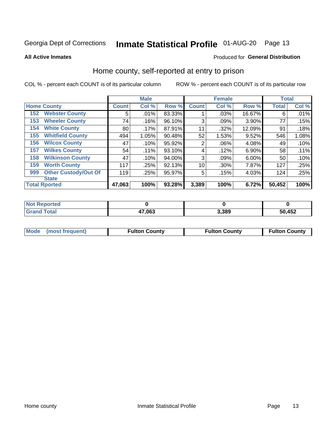# Inmate Statistical Profile 01-AUG-20 Page 13

**All Active Inmates** 

#### Produced for General Distribution

### Home county, self-reported at entry to prison

COL % - percent each COUNT is of its particular column

|     |                             |              | <b>Male</b> |        |                | <b>Female</b> |        | <b>Total</b> |       |
|-----|-----------------------------|--------------|-------------|--------|----------------|---------------|--------|--------------|-------|
|     | <b>Home County</b>          | <b>Count</b> | Col %       | Row %  | <b>Count</b>   | Col %         | Row %  | <b>Total</b> | Col % |
| 152 | <b>Webster County</b>       | 5            | .01%        | 83.33% |                | .03%          | 16.67% | 6            | .01%  |
| 153 | <b>Wheeler County</b>       | 74           | .16%        | 96.10% | 3              | .09%          | 3.90%  | 77           | .15%  |
| 154 | <b>White County</b>         | 80           | $.17\%$     | 87.91% | 11             | .32%          | 12.09% | 91           | .18%  |
| 155 | <b>Whitfield County</b>     | 494          | 1.05%       | 90.48% | 52             | 1.53%         | 9.52%  | 546          | 1.08% |
| 156 | <b>Wilcox County</b>        | 47           | .10%        | 95.92% | $\overline{2}$ | .06%          | 4.08%  | 49           | .10%  |
| 157 | <b>Wilkes County</b>        | 54           | .11%        | 93.10% | 4              | .12%          | 6.90%  | 58           | .11%  |
| 158 | <b>Wilkinson County</b>     | 47           | .10%        | 94.00% | 3              | .09%          | 6.00%  | 50           | .10%  |
| 159 | <b>Worth County</b>         | 117          | .25%        | 92.13% | 10             | .30%          | 7.87%  | 127          | .25%  |
| 999 | <b>Other Custody/Out Of</b> | 119          | .25%        | 95.97% | 5              | .15%          | 4.03%  | 124          | .25%  |
|     | <b>State</b>                |              |             |        |                |               |        |              |       |
|     | <b>Total Rported</b>        | 47,063       | 100%        | 93.28% | 3,389          | 100%          | 6.72%  | 50,452       | 100%  |

| <b>Not</b><br>Reported |        |       |        |
|------------------------|--------|-------|--------|
| Total                  | 47,063 | 3,389 | 50,452 |

|  | Mode (most frequent) | <b>Fulton County</b> | <b>Fulton County</b> | <b>Fulton County</b> |
|--|----------------------|----------------------|----------------------|----------------------|
|--|----------------------|----------------------|----------------------|----------------------|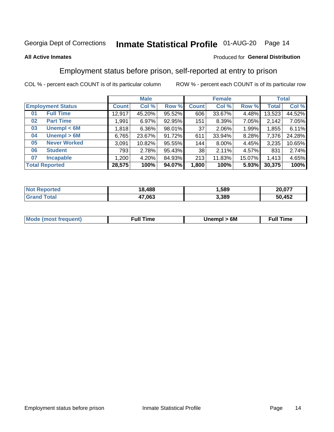# Inmate Statistical Profile 01-AUG-20 Page 14

#### **All Active Inmates**

#### Produced for General Distribution

### Employment status before prison, self-reported at entry to prison

COL % - percent each COUNT is of its particular column

|                          |                     |              | <b>Male</b> |        |              | <b>Female</b> |        |        | <b>Total</b> |
|--------------------------|---------------------|--------------|-------------|--------|--------------|---------------|--------|--------|--------------|
| <b>Employment Status</b> |                     | <b>Count</b> | Col %       | Row %  | <b>Count</b> | Col %         | Row %  | Total  | Col %        |
| 01                       | <b>Full Time</b>    | 12,917       | 45.20%      | 95.52% | 606          | 33.67%        | 4.48%  | 13,523 | 44.52%       |
| 02                       | <b>Part Time</b>    | 1,991        | 6.97%       | 92.95% | 151          | 8.39%         | 7.05%  | 2,142  | 7.05%        |
| 03                       | Unempl $<$ 6M       | 1,818        | $6.36\%$    | 98.01% | 37           | 2.06%         | 1.99%  | 1,855  | 6.11%        |
| 04                       | Unempl > 6M         | 6,765        | 23.67%      | 91.72% | 611          | 33.94%        | 8.28%  | 7,376  | 24.28%       |
| 05                       | <b>Never Worked</b> | 3,091        | 10.82%      | 95.55% | 144          | 8.00%         | 4.45%  | 3,235  | 10.65%       |
| 06                       | <b>Student</b>      | 793          | 2.78%       | 95.43% | 38           | 2.11%         | 4.57%  | 831    | 2.74%        |
| 07                       | <b>Incapable</b>    | 1,200        | 4.20%       | 84.93% | 213          | 11.83%        | 15.07% | 1,413  | 4.65%        |
| <b>Total Reported</b>    |                     | 28,575       | 100%        | 94.07% | 1,800        | 100%          | 5.93%  | 30,375 | 100%         |

| <b>Not Repo</b><br>anorted and | 18,488 | .589  | 20,077 |
|--------------------------------|--------|-------|--------|
| ⊺otai                          | 47,063 | 3,389 | 50,452 |

| <b>Mode (most frequent)</b> | 6M<br>Inc | ∙ull<br>īme<br>the contract of the contract of the contract of the contract of the contract of the contract of the contract of |
|-----------------------------|-----------|--------------------------------------------------------------------------------------------------------------------------------|
|                             |           |                                                                                                                                |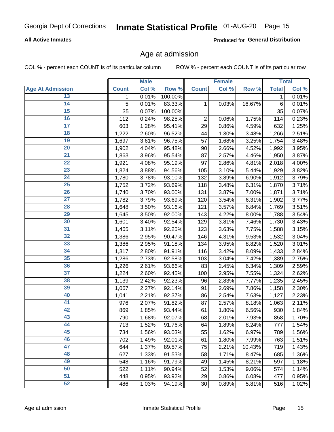# Inmate Statistical Profile 01-AUG-20 Page 15

#### **All Active Inmates**

Produced for General Distribution

### Age at admission

COL % - percent each COUNT is of its particular column

|                         |              | <b>Male</b> |         |                | <b>Female</b> |        |              | <b>Total</b> |
|-------------------------|--------------|-------------|---------|----------------|---------------|--------|--------------|--------------|
| <b>Age At Admission</b> | <b>Count</b> | Col %       | Row %   | <b>Count</b>   | Col %         | Row %  | <b>Total</b> | Col %        |
| 13                      | 1            | 0.01%       | 100.00% |                |               |        | 1            | 0.01%        |
| $\overline{14}$         | 5            | 0.01%       | 83.33%  | 1              | 0.03%         | 16.67% | $\,6$        | 0.01%        |
| 15                      | 35           | 0.07%       | 100.00% |                |               |        | 35           | 0.07%        |
| 16                      | 112          | 0.24%       | 98.25%  | $\overline{2}$ | 0.06%         | 1.75%  | 114          | 0.23%        |
| $\overline{17}$         | 603          | 1.28%       | 95.41%  | 29             | 0.86%         | 4.59%  | 632          | 1.25%        |
| 18                      | 1,222        | 2.60%       | 96.52%  | 44             | 1.30%         | 3.48%  | 1,266        | 2.51%        |
| 19                      | 1,697        | 3.61%       | 96.75%  | 57             | 1.68%         | 3.25%  | 1,754        | 3.48%        |
| $\overline{20}$         | 1,902        | 4.04%       | 95.48%  | 90             | 2.66%         | 4.52%  | 1,992        | 3.95%        |
| $\overline{21}$         | 1,863        | 3.96%       | 95.54%  | 87             | 2.57%         | 4.46%  | 1,950        | 3.87%        |
| $\overline{22}$         | 1,921        | 4.08%       | 95.19%  | 97             | 2.86%         | 4.81%  | 2,018        | 4.00%        |
| 23                      | 1,824        | 3.88%       | 94.56%  | 105            | 3.10%         | 5.44%  | 1,929        | 3.82%        |
| $\overline{24}$         | 1,780        | 3.78%       | 93.10%  | 132            | 3.89%         | 6.90%  | 1,912        | 3.79%        |
| $\overline{25}$         | 1,752        | 3.72%       | 93.69%  | 118            | 3.48%         | 6.31%  | 1,870        | 3.71%        |
| 26                      | 1,740        | 3.70%       | 93.00%  | 131            | 3.87%         | 7.00%  | 1,871        | 3.71%        |
| 27                      | 1,782        | 3.79%       | 93.69%  | 120            | 3.54%         | 6.31%  | 1,902        | 3.77%        |
| 28                      | 1,648        | 3.50%       | 93.16%  | 121            | 3.57%         | 6.84%  | 1,769        | 3.51%        |
| 29                      | 1,645        | 3.50%       | 92.00%  | 143            | 4.22%         | 8.00%  | 1,788        | 3.54%        |
| 30                      | 1,601        | 3.40%       | 92.54%  | 129            | 3.81%         | 7.46%  | 1,730        | 3.43%        |
| 31                      | 1,465        | 3.11%       | 92.25%  | 123            | 3.63%         | 7.75%  | 1,588        | 3.15%        |
| 32                      | 1,386        | 2.95%       | 90.47%  | 146            | 4.31%         | 9.53%  | 1,532        | 3.04%        |
| 33                      | 1,386        | 2.95%       | 91.18%  | 134            | 3.95%         | 8.82%  | 1,520        | 3.01%        |
| 34                      | 1,317        | 2.80%       | 91.91%  | 116            | 3.42%         | 8.09%  | 1,433        | 2.84%        |
| 35                      | 1,286        | 2.73%       | 92.58%  | 103            | 3.04%         | 7.42%  | 1,389        | 2.75%        |
| 36                      | 1,226        | 2.61%       | 93.66%  | 83             | 2.45%         | 6.34%  | 1,309        | 2.59%        |
| $\overline{37}$         | 1,224        | 2.60%       | 92.45%  | 100            | 2.95%         | 7.55%  | 1,324        | 2.62%        |
| 38                      | 1,139        | 2.42%       | 92.23%  | 96             | 2.83%         | 7.77%  | 1,235        | 2.45%        |
| 39                      | 1,067        | 2.27%       | 92.14%  | 91             | 2.69%         | 7.86%  | 1,158        | 2.30%        |
| 40                      | 1,041        | 2.21%       | 92.37%  | 86             | 2.54%         | 7.63%  | 1,127        | 2.23%        |
| 41                      | 976          | 2.07%       | 91.82%  | 87             | 2.57%         | 8.18%  | 1,063        | 2.11%        |
| 42                      | 869          | 1.85%       | 93.44%  | 61             | 1.80%         | 6.56%  | 930          | 1.84%        |
| 43                      | 790          | 1.68%       | 92.07%  | 68             | 2.01%         | 7.93%  | 858          | 1.70%        |
| 44                      | 713          | 1.52%       | 91.76%  | 64             | 1.89%         | 8.24%  | 777          | 1.54%        |
| 45                      | 734          | 1.56%       | 93.03%  | 55             | 1.62%         | 6.97%  | 789          | 1.56%        |
| 46                      | 702          | 1.49%       | 92.01%  | 61             | 1.80%         | 7.99%  | 763          | 1.51%        |
| 47                      | 644          | 1.37%       | 89.57%  | 75             | 2.21%         | 10.43% | 719          | 1.43%        |
| 48                      | 627          | 1.33%       | 91.53%  | 58             | 1.71%         | 8.47%  | 685          | 1.36%        |
| 49                      | 548          | 1.16%       | 91.79%  | 49             | 1.45%         | 8.21%  | 597          | 1.18%        |
| 50                      | 522          | 1.11%       | 90.94%  | 52             | 1.53%         | 9.06%  | 574          | 1.14%        |
| $\overline{51}$         | 448          | 0.95%       | 93.92%  | 29             | 0.86%         | 6.08%  | 477          | 0.95%        |
| 52                      | 486          | 1.03%       | 94.19%  | 30             | 0.89%         | 5.81%  | 516          | 1.02%        |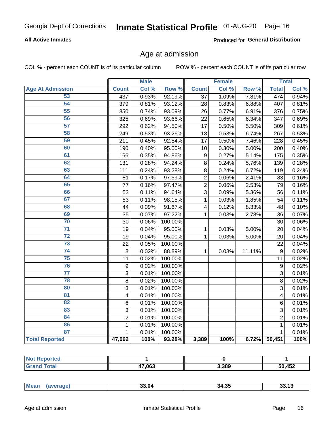# Inmate Statistical Profile 01-AUG-20 Page 16

#### **All Active Inmates**

Produced for General Distribution

### Age at admission

COL % - percent each COUNT is of its particular column

|                         |                         | <b>Male</b> |         |                  | <b>Female</b> |           |                  | <b>Total</b> |
|-------------------------|-------------------------|-------------|---------|------------------|---------------|-----------|------------------|--------------|
| <b>Age At Admission</b> | <b>Count</b>            | Col %       | Row %   | <b>Count</b>     | Col %         | Row %     | <b>Total</b>     | Col %        |
| 53                      | 437                     | 0.93%       | 92.19%  | 37               | 1.09%         | 7.81%     | 474              | 0.94%        |
| 54                      | 379                     | 0.81%       | 93.12%  | 28               | 0.83%         | 6.88%     | 407              | 0.81%        |
| 55                      | 350                     | 0.74%       | 93.09%  | 26               | 0.77%         | 6.91%     | 376              | 0.75%        |
| 56                      | 325                     | 0.69%       | 93.66%  | 22               | 0.65%         | 6.34%     | 347              | 0.69%        |
| $\overline{57}$         | 292                     | 0.62%       | 94.50%  | 17               | 0.50%         | 5.50%     | 309              | 0.61%        |
| 58                      | 249                     | 0.53%       | 93.26%  | 18               | 0.53%         | 6.74%     | 267              | 0.53%        |
| 59                      | 211                     | 0.45%       | 92.54%  | 17               | 0.50%         | 7.46%     | 228              | 0.45%        |
| 60                      | 190                     | 0.40%       | 95.00%  | 10               | 0.30%         | 5.00%     | 200              | 0.40%        |
| 61                      | 166                     | 0.35%       | 94.86%  | $\boldsymbol{9}$ | 0.27%         | 5.14%     | 175              | 0.35%        |
| 62                      | 131                     | 0.28%       | 94.24%  | 8                | 0.24%         | 5.76%     | 139              | 0.28%        |
| 63                      | 111                     | 0.24%       | 93.28%  | 8                | 0.24%         | 6.72%     | 119              | 0.24%        |
| 64                      | 81                      | 0.17%       | 97.59%  | $\overline{2}$   | 0.06%         | 2.41%     | 83               | 0.16%        |
| 65                      | 77                      | 0.16%       | 97.47%  | $\overline{2}$   | 0.06%         | 2.53%     | 79               | 0.16%        |
| 66                      | 53                      | 0.11%       | 94.64%  | $\overline{3}$   | 0.09%         | 5.36%     | 56               | 0.11%        |
| 67                      | 53                      | 0.11%       | 98.15%  | 1                | 0.03%         | 1.85%     | 54               | 0.11%        |
| 68                      | 44                      | 0.09%       | 91.67%  | 4                | 0.12%         | 8.33%     | 48               | 0.10%        |
| 69                      | 35                      | 0.07%       | 97.22%  | 1                | 0.03%         | 2.78%     | 36               | 0.07%        |
| 70                      | 30                      | 0.06%       | 100.00% |                  |               |           | 30               | 0.06%        |
| $\overline{71}$         | 19                      | 0.04%       | 95.00%  | 1                | 0.03%         | 5.00%     | 20               | 0.04%        |
| $\overline{72}$         | 19                      | 0.04%       | 95.00%  | $\mathbf 1$      | 0.03%         | 5.00%     | 20               | 0.04%        |
| $\overline{73}$         | 22                      | 0.05%       | 100.00% |                  |               |           | 22               | 0.04%        |
| $\overline{74}$         | 8                       | 0.02%       | 88.89%  | $\mathbf{1}$     | 0.03%         | $11.11\%$ | $\boldsymbol{9}$ | 0.02%        |
| 75                      | 11                      | 0.02%       | 100.00% |                  |               |           | 11               | 0.02%        |
| 76                      | 9                       | 0.02%       | 100.00% |                  |               |           | 9                | 0.02%        |
| $\overline{77}$         | $\overline{3}$          | 0.01%       | 100.00% |                  |               |           | 3                | 0.01%        |
| 78                      | 8                       | 0.02%       | 100.00% |                  |               |           | 8                | 0.02%        |
| 80                      | 3                       | 0.01%       | 100.00% |                  |               |           | 3                | 0.01%        |
| $\overline{81}$         | $\overline{\mathbf{4}}$ | 0.01%       | 100.00% |                  |               |           | 4                | 0.01%        |
| 82                      | 6                       | 0.01%       | 100.00% |                  |               |           | 6                | 0.01%        |
| 83                      | 3                       | 0.01%       | 100.00% |                  |               |           | 3                | 0.01%        |
| 84                      | $\overline{2}$          | 0.01%       | 100.00% |                  |               |           | $\overline{2}$   | 0.01%        |
| 86                      | $\mathbf 1$             | 0.01%       | 100.00% |                  |               |           | 1                | 0.01%        |
| 87                      | $\mathbf{1}$            | 0.01%       | 100.00% |                  |               |           | $\mathbf{1}$     | 0.01%        |
| <b>Total Reported</b>   | 47,062                  | 100%        | 93.28%  | 3,389            | 100%          | 6.72%     | 50,451           | 100%         |

| тео<br>NO |                        |       |        |
|-----------|------------------------|-------|--------|
|           | 47,063<br>$\mathbf{r}$ | 3,389 | 50,452 |

|  | Mean | 33.04 | 34.35 |  |
|--|------|-------|-------|--|
|--|------|-------|-------|--|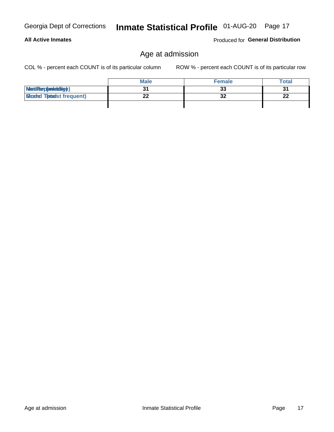**All Active Inmates** 

# Inmate Statistical Profile 01-AUG-20 Page 17

Produced for General Distribution

# Age at admission

COL % - percent each COUNT is of its particular column

|                                  | <b>Male</b> | <b>Female</b> | Total    |
|----------------------------------|-------------|---------------|----------|
| MetiRap(aniektig)                |             | 33            | 31       |
| <b>Gloaded Tomadst frequent)</b> | --          | 32            | n.<br>LL |
|                                  |             |               |          |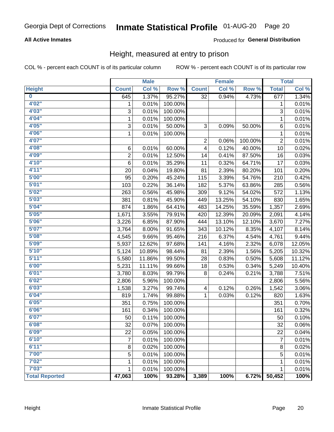# Inmate Statistical Profile 01-AUG-20 Page 20

#### **All Active Inmates**

#### Produced for General Distribution

### Height, measured at entry to prison

COL % - percent each COUNT is of its particular column

|                         |                | <b>Male</b> |         |              | <b>Female</b> |         |                | <b>Total</b> |
|-------------------------|----------------|-------------|---------|--------------|---------------|---------|----------------|--------------|
| <b>Height</b>           | <b>Count</b>   | Col %       | Row %   | <b>Count</b> | Col %         | Row %   | <b>Total</b>   | Col %        |
| $\overline{\mathbf{0}}$ | 645            | 1.37%       | 95.27%  | 32           | 0.94%         | 4.73%   | 677            | 1.34%        |
| 4'02"                   | 1              | 0.01%       | 100.00% |              |               |         | 1              | 0.01%        |
| 4'03''                  | 3              | 0.01%       | 100.00% |              |               |         | 3              | 0.01%        |
| 4'04"                   | 1              | 0.01%       | 100.00% |              |               |         | 1              | 0.01%        |
| 4'05"                   | 3              | 0.01%       | 50.00%  | 3            | 0.09%         | 50.00%  | 6              | 0.01%        |
| 4'06"                   | 1              | 0.01%       | 100.00% |              |               |         | 1              | 0.01%        |
| 4'07"                   |                |             |         | 2            | 0.06%         | 100.00% | 2              | 0.01%        |
| 4'08"                   | 6              | 0.01%       | 60.00%  | 4            | 0.12%         | 40.00%  | 10             | 0.02%        |
| 4'09"                   | $\overline{2}$ | 0.01%       | 12.50%  | 14           | 0.41%         | 87.50%  | 16             | 0.03%        |
| 4'10"                   | $\,6$          | 0.01%       | 35.29%  | 11           | 0.32%         | 64.71%  | 17             | 0.03%        |
| 4'11''                  | 20             | 0.04%       | 19.80%  | 81           | 2.39%         | 80.20%  | 101            | 0.20%        |
| 5'00''                  | 95             | 0.20%       | 45.24%  | 115          | 3.39%         | 54.76%  | 210            | 0.42%        |
| 5'01"                   | 103            | 0.22%       | 36.14%  | 182          | 5.37%         | 63.86%  | 285            | 0.56%        |
| 5'02"                   | 263            | 0.56%       | 45.98%  | 309          | 9.12%         | 54.02%  | 572            | 1.13%        |
| 5'03''                  | 381            | 0.81%       | 45.90%  | 449          | 13.25%        | 54.10%  | 830            | 1.65%        |
| 5'04"                   | 874            | 1.86%       | 64.41%  | 483          | 14.25%        | 35.59%  | 1,357          | 2.69%        |
| 5'05"                   | 1,671          | 3.55%       | 79.91%  | 420          | 12.39%        | 20.09%  | 2,091          | 4.14%        |
| 5'06''                  | 3,226          | 6.85%       | 87.90%  | 444          | 13.10%        | 12.10%  | 3,670          | 7.27%        |
| 5'07"                   | 3,764          | 8.00%       | 91.65%  | 343          | 10.12%        | 8.35%   | 4,107          | 8.14%        |
| 5'08''                  | 4,545          | 9.66%       | 95.46%  | 216          | 6.37%         | 4.54%   | 4,761          | 9.44%        |
| 5'09''                  | 5,937          | 12.62%      | 97.68%  | 141          | 4.16%         | 2.32%   | 6,078          | 12.05%       |
| 5'10''                  | 5,124          | 10.89%      | 98.44%  | 81           | 2.39%         | 1.56%   | 5,205          | 10.32%       |
| 5'11"                   | 5,580          | 11.86%      | 99.50%  | 28           | 0.83%         | 0.50%   | 5,608          | 11.12%       |
| 6'00''                  | 5,231          | 11.11%      | 99.66%  | 18           | 0.53%         | 0.34%   | 5,249          | 10.40%       |
| 6'01''                  | 3,780          | 8.03%       | 99.79%  | 8            | 0.24%         | 0.21%   | 3,788          | 7.51%        |
| 6'02"                   | 2,806          | 5.96%       | 100.00% |              |               |         | 2,806          | 5.56%        |
| 6'03''                  | 1,538          | 3.27%       | 99.74%  | 4            | 0.12%         | 0.26%   | 1,542          | 3.06%        |
| 6'04"                   | 819            | 1.74%       | 99.88%  | 1            | 0.03%         | 0.12%   | 820            | 1.63%        |
| 6'05"                   | 351            | 0.75%       | 100.00% |              |               |         | 351            | 0.70%        |
| 6'06''                  | 161            | 0.34%       | 100.00% |              |               |         | 161            | 0.32%        |
| 6'07''                  | 50             | 0.11%       | 100.00% |              |               |         | 50             | 0.10%        |
| 6'08"                   | 32             | 0.07%       | 100.00% |              |               |         | 32             | 0.06%        |
| 6'09''                  | 22             | 0.05%       | 100.00% |              |               |         | 22             | 0.04%        |
| 6'10''                  | 7              | 0.01%       | 100.00% |              |               |         | $\overline{7}$ | 0.01%        |
| 6'11''                  | 8              | 0.02%       | 100.00% |              |               |         | $\bf 8$        | 0.02%        |
| 7'00"                   | $\sqrt{5}$     | 0.01%       | 100.00% |              |               |         | 5              | 0.01%        |
| 7'02"                   | 1              | 0.01%       | 100.00% |              |               |         | 1              | 0.01%        |
| 7'03''                  | 1              | 0.01%       | 100.00% |              |               |         | 1              | 0.01%        |
| <b>Total Reported</b>   | 47,063         | 100%        | 93.28%  | 3,389        | 100%          | 6.72%   | 50,452         | 100%         |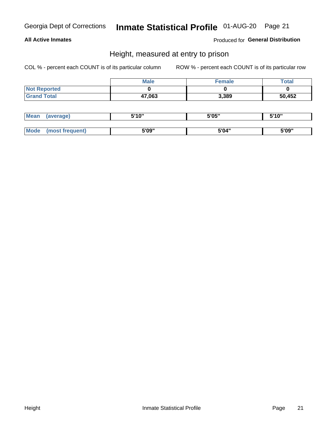# Inmate Statistical Profile 01-AUG-20 Page 21

#### **All Active Inmates**

Produced for General Distribution

### Height, measured at entry to prison

COL % - percent each COUNT is of its particular column

|                     | <b>Male</b> | Female | <b>Total</b> |
|---------------------|-------------|--------|--------------|
| <b>Not Reported</b> |             |        |              |
| <b>Grand Total</b>  | 47,063      | 3,389  | 50,452       |

| <b>Mean</b> | erage) | 5'10" | 5'05" | <b>CIA AIL</b><br>. . |
|-------------|--------|-------|-------|-----------------------|
|             |        |       |       |                       |
| <b>Mode</b> |        | 5'09" | 5'04" | 5'09"                 |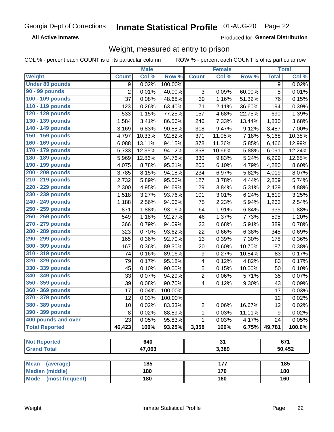#### **Inmate Statistical Profile 01-AUG-20** Page 22

**All Active Inmates** 

Produced for General Distribution

### Weight, measured at entry to prison

COL % - percent each COUNT is of its particular column

|                                |                | <b>Male</b> |         |                  | <b>Female</b>   |        |              | <b>Total</b> |
|--------------------------------|----------------|-------------|---------|------------------|-----------------|--------|--------------|--------------|
| Weight                         | <b>Count</b>   | Col %       | Row %   | <b>Count</b>     | Col %           | Row %  | <b>Total</b> | Col %        |
| <b>Under 80 pounds</b>         | 9              | 0.02%       | 100.00% |                  |                 |        | 9            | 0.02%        |
| 90 - 99 pounds                 | $\overline{2}$ | 0.01%       | 40.00%  | 3                | 0.09%           | 60.00% | 5            | 0.01%        |
| 100 - 109 pounds               | 37             | 0.08%       | 48.68%  | 39               | 1.16%           | 51.32% | 76           | 0.15%        |
| 110 - 119 pounds               | 123            | 0.26%       | 63.40%  | 71               | 2.11%           | 36.60% | 194          | 0.39%        |
| 120 - 129 pounds               | 533            | 1.15%       | 77.25%  | 157              | 4.68%           | 22.75% | 690          | 1.39%        |
| 130 - 139 pounds               | 1,584          | 3.41%       | 86.56%  | 246              | 7.33%           | 13.44% | 1,830        | 3.68%        |
| 140 - 149 pounds               | 3,169          | 6.83%       | 90.88%  | 318              | 9.47%           | 9.12%  | 3,487        | 7.00%        |
| 150 - 159 pounds               | 4,797          | 10.33%      | 92.82%  | 371              | 11.05%          | 7.18%  | 5,168        | 10.38%       |
| 160 - 169 pounds               | 6,088          | 13.11%      | 94.15%  | 378              | 11.26%          | 5.85%  | 6,466        | 12.99%       |
| 170 - 179 pounds               | 5,733          | 12.35%      | 94.12%  | 358              | 10.66%          | 5.88%  | 6,091        | 12.24%       |
| 180 - 189 pounds               | 5,969          | 12.86%      | 94.76%  | 330              | 9.83%           | 5.24%  | 6,299        | 12.65%       |
| 190 - 199 pounds               | 4,075          | 8.78%       | 95.21%  | 205              | 6.10%           | 4.79%  | 4,280        | 8.60%        |
| 200 - 209 pounds               | 3,785          | 8.15%       | 94.18%  | 234              | 6.97%           | 5.82%  | 4,019        | 8.07%        |
| 210 - 219 pounds               | 2,732          | 5.89%       | 95.56%  | 127              | 3.78%           | 4.44%  | 2,859        | 5.74%        |
| 220 - 229 pounds               | 2,300          | 4.95%       | 94.69%  | 129              | 3.84%           | 5.31%  | 2,429        | 4.88%        |
| 230 - 239 pounds               | 1,518          | 3.27%       | 93.76%  | 101              | 3.01%           | 6.24%  | 1,619        | 3.25%        |
| 240 - 249 pounds               | 1,188          | 2.56%       | 94.06%  | 75               | 2.23%           | 5.94%  | 1,263        | 2.54%        |
| 250 - 259 pounds               | 871            | 1.88%       | 93.16%  | 64               | 1.91%           | 6.84%  | 935          | 1.88%        |
| 260 - 269 pounds               | 549            | 1.18%       | 92.27%  | 46               | 1.37%           | 7.73%  | 595          | 1.20%        |
| 270 - 279 pounds               | 366            | 0.79%       | 94.09%  | 23               | 0.68%           | 5.91%  | 389          | 0.78%        |
| 280 - 289 pounds               | 323            | 0.70%       | 93.62%  | 22               | 0.66%           | 6.38%  | 345          | 0.69%        |
| 290 - 299 pounds               | 165            | 0.36%       | 92.70%  | 13               | 0.39%           | 7.30%  | 178          | 0.36%        |
| 300 - 309 pounds               | 167            | 0.36%       | 89.30%  | 20               | 0.60%           | 10.70% | 187          | 0.38%        |
| 310 - 319 pounds               | 74             | 0.16%       | 89.16%  | $\boldsymbol{9}$ | 0.27%           | 10.84% | 83           | 0.17%        |
| 320 - 329 pounds               | 79             | 0.17%       | 95.18%  | 4                | 0.12%           | 4.82%  | 83           | 0.17%        |
| 330 - 339 pounds               | 45             | 0.10%       | 90.00%  | $\sqrt{5}$       | 0.15%           | 10.00% | 50           | 0.10%        |
| 340 - 349 pounds               | 33             | 0.07%       | 94.29%  | 2                | 0.06%           | 5.71%  | 35           | 0.07%        |
| 350 - 359 pounds               | 39             | 0.08%       | 90.70%  | 4                | 0.12%           | 9.30%  | 43           | 0.09%        |
| 360 - 369 pounds               | 17             | 0.04%       | 100.00% |                  |                 |        | 17           | 0.03%        |
| 370 - 379 pounds               | 12             | 0.03%       | 100.00% |                  |                 |        | 12           | 0.02%        |
| 380 - 389 pounds               | 10             | 0.02%       | 83.33%  | $\overline{2}$   | 0.06%           | 16.67% | 12           | 0.02%        |
| 390 - 399 pounds               | 8              | 0.02%       | 88.89%  | 1                | 0.03%           | 11.11% | 9            | 0.02%        |
| 400 pounds and over            | 23             | 0.05%       | 95.83%  | 1                | 0.03%           | 4.17%  | 24           | 0.05%        |
| <b>Total Reported</b>          | 46,423         | 100%        | 93.25%  | 3,358            | 100%            | 6.75%  | 49,781       | 100.0%       |
|                                |                |             |         |                  |                 |        |              |              |
| <b>Not Reported</b>            |                | 640         |         |                  | $\overline{31}$ |        |              | 671          |
| <b>Grand Total</b>             |                | 47,063      |         |                  | 3,389           |        |              | 50,452       |
| <b>Mean</b><br>(average)       |                | 185         |         |                  | 177             |        |              | 185          |
| <b>Median (middle)</b>         |                | 180         |         |                  | 170             |        |              | 180          |
| <b>Mode</b><br>(most frequent) |                | 180         |         |                  | 160             |        |              | 160          |
|                                |                |             |         |                  |                 |        |              |              |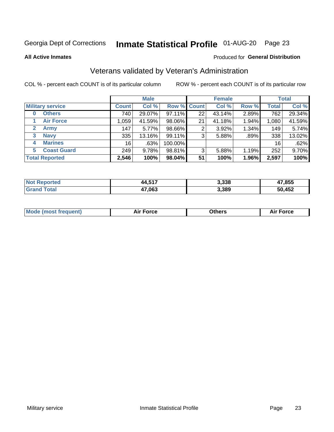# Inmate Statistical Profile 01-AUG-20 Page 23

**All Active Inmates** 

#### Produced for General Distribution

### Veterans validated by Veteran's Administration

COL % - percent each COUNT is of its particular column

|                          |              | <b>Male</b> |         |                    | <b>Female</b> |       |              | <b>Total</b> |
|--------------------------|--------------|-------------|---------|--------------------|---------------|-------|--------------|--------------|
| <b>Military service</b>  | <b>Count</b> | Col %       |         | <b>Row % Count</b> | Col %         | Row % | <b>Total</b> | Col %        |
| <b>Others</b><br>0       | 740          | 29.07%      | 97.11%  | 22                 | 43.14%        | 2.89% | 762          | 29.34%       |
| <b>Air Force</b>         | 1,059        | 41.59%      | 98.06%  | 21                 | 41.18%        | 1.94% | 1,080        | 41.59%       |
| 2<br><b>Army</b>         | 147          | 5.77%       | 98.66%  | 2                  | 3.92%         | 1.34% | 149          | 5.74%        |
| <b>Navy</b><br>3         | 335          | 13.16%      | 99.11%  | 3                  | 5.88%         | .89%  | 338          | 13.02%       |
| <b>Marines</b><br>4      | 16           | .63%        | 100.00% |                    |               |       | 16           | .62%         |
| <b>Coast Guard</b><br>5. | 249          | 9.78%       | 98.81%  | 3                  | 5.88%         | 1.19% | 252          | 9.70%        |
| <b>Total Reported</b>    | 2,546        | 100%        | 98.04%  | 51                 | 100%          | 1.96% | 2,597        | 100%         |

| <b>Not</b><br>ported | 1 <i>8</i> E47<br>44,51. | 3,338 | 17,855 |
|----------------------|--------------------------|-------|--------|
| <b>Total</b>         | 47,063                   | 3,389 | 50,452 |

|  |  | <b>Mode (most frequent)</b> | <b>Force</b><br>Aır | วthers | orce |
|--|--|-----------------------------|---------------------|--------|------|
|--|--|-----------------------------|---------------------|--------|------|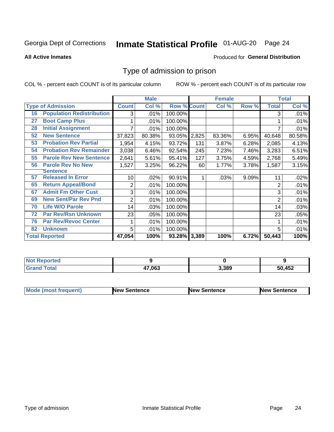# Inmate Statistical Profile 01-AUG-20 Page 24

**All Active Inmates** 

#### Produced for General Distribution

### Type of admission to prison

COL % - percent each COUNT is of its particular column

|    |                                  |              | <b>Male</b> |                    |       | <b>Female</b> |       |              | <b>Total</b> |
|----|----------------------------------|--------------|-------------|--------------------|-------|---------------|-------|--------------|--------------|
|    | <b>Type of Admission</b>         | <b>Count</b> | Col %       | <b>Row % Count</b> |       | Col %         | Row % | <b>Total</b> | Col %        |
| 16 | <b>Population Redistribution</b> | 3            | .01%        | 100.00%            |       |               |       | 3            | .01%         |
| 27 | <b>Boot Camp Plus</b>            |              | .01%        | 100.00%            |       |               |       |              | $.01\%$      |
| 28 | <b>Initial Assignment</b>        |              | .01%        | 100.00%            |       |               |       |              | .01%         |
| 52 | <b>New Sentence</b>              | 37,823       | 80.38%      | 93.05% 2,825       |       | 83.36%        | 6.95% | 40,648       | 80.58%       |
| 53 | <b>Probation Rev Partial</b>     | 1,954        | 4.15%       | 93.72%             | 131   | 3.87%         | 6.28% | 2,085        | 4.13%        |
| 54 | <b>Probation Rev Remainder</b>   | 3,038        | 6.46%       | 92.54%             | 245   | 7.23%         | 7.46% | 3,283        | 6.51%        |
| 55 | <b>Parole Rev New Sentence</b>   | 2,641        | 5.61%       | 95.41%             | 127   | 3.75%         | 4.59% | 2,768        | 5.49%        |
| 56 | <b>Parole Rev No New</b>         | 1,527        | 3.25%       | 96.22%             | 60    | 1.77%         | 3.78% | 1,587        | 3.15%        |
|    | <b>Sentence</b>                  |              |             |                    |       |               |       |              |              |
| 57 | <b>Released In Error</b>         | 10           | .02%        | 90.91%             | 1     | .03%          | 9.09% | 11           | .02%         |
| 65 | <b>Return Appeal/Bond</b>        | 2            | .01%        | 100.00%            |       |               |       | 2            | .01%         |
| 67 | <b>Admit Fm Other Cust</b>       | 3            | .01%        | 100.00%            |       |               |       | 3            | .01%         |
| 69 | <b>New Sent/Par Rev Pnd</b>      | 2            | .01%        | 100.00%            |       |               |       | 2            | .01%         |
| 70 | <b>Life W/O Parole</b>           | 14           | .03%        | 100.00%            |       |               |       | 14           | .03%         |
| 72 | <b>Par Rev/Rsn Unknown</b>       | 23           | .05%        | 100.00%            |       |               |       | 23           | .05%         |
| 76 | <b>Par Rev/Revoc Center</b>      |              | .01%        | 100.00%            |       |               |       |              | .01%         |
| 82 | <b>Unknown</b>                   | 5            | .01%        | 100.00%            |       |               |       | 5            | .01%         |
|    | <b>Total Reported</b>            | 47,054       | 100%        | 93.28%             | 3,389 | 100%          | 6.72% | 50,443       | 100%         |

| <b>Not Reported</b> |        |       |        |
|---------------------|--------|-------|--------|
| Total<br>Grar       | 47,063 | 3,389 | 50,452 |

| <b>Mode (most frequent)</b> | <b>New Sentence</b> | <b>New Sentence</b> | <b>New Sentence</b> |
|-----------------------------|---------------------|---------------------|---------------------|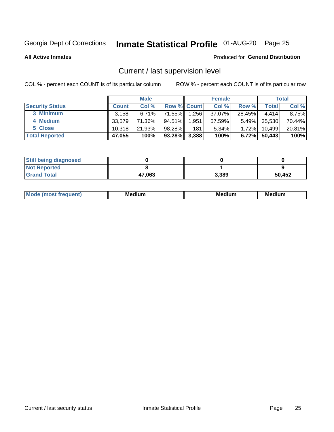# Inmate Statistical Profile 01-AUG-20 Page 25

**All Active Inmates** 

#### Produced for General Distribution

# Current / last supervision level

COL % - percent each COUNT is of its particular column

|                        |              | <b>Male</b> |                    |       | <b>Female</b> |          |        | <b>Total</b> |
|------------------------|--------------|-------------|--------------------|-------|---------------|----------|--------|--------------|
| <b>Security Status</b> | <b>Count</b> | Col %       | <b>Row % Count</b> |       | Col %         | Row %    | Total  | Col %        |
| 3 Minimum              | 3.158        | $6.71\%$    | 71.55%             | 1,256 | 37.07%        | 28.45%   | 4.414  | $8.75\%$     |
| 4 Medium               | 33.579       | 71.36%      | 94.51%             | 1,951 | 57.59%        | $5.49\%$ | 35,530 | 70.44%       |
| 5 Close                | 10.318       | 21.93%      | 98.28%             | 181   | 5.34%         | 1.72%    | 10,499 | 20.81%       |
| <b>Total Reported</b>  | 47,055       | 100%        | 93.28%             | 3,388 | 100%          | 6.72%    | 50,443 | 100%         |

| <b>Still being diagnosed</b> |        |       |        |
|------------------------------|--------|-------|--------|
| <b>Not Reported</b>          |        |       |        |
| <b>Grand Total</b>           | 47,063 | 3,389 | 50,452 |

| M | M | . . |
|---|---|-----|
|   |   |     |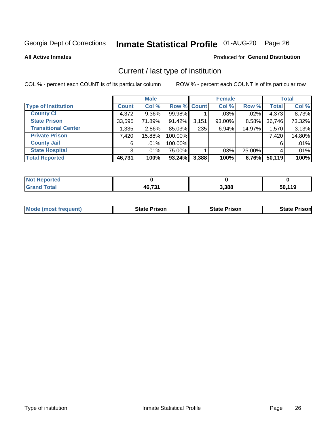# Inmate Statistical Profile 01-AUG-20 Page 26

**All Active Inmates** 

#### Produced for General Distribution

# Current / last type of institution

COL % - percent each COUNT is of its particular column

|                            |                | <b>Male</b> |             |       | <b>Female</b> |        |              | <b>Total</b> |
|----------------------------|----------------|-------------|-------------|-------|---------------|--------|--------------|--------------|
| <b>Type of Institution</b> | <b>Count</b>   | Col %       | Row % Count |       | Col %         | Row %  | <b>Total</b> | Col %        |
| <b>County Ci</b>           | 4,372          | $9.36\%$    | 99.98%      |       | $.03\%$       | .02%   | 4,373        | 8.73%        |
| <b>State Prison</b>        | 33,595         | 71.89%      | 91.42%      | 3,151 | 93.00%        | 8.58%  | 36,746       | 73.32%       |
| <b>Transitional Center</b> | 1,335          | 2.86%       | 85.03%      | 235   | 6.94%         | 14.97% | 1,570        | 3.13%        |
| <b>Private Prison</b>      | 7,420          | 15.88%      | 100.00%     |       |               |        | 7,420        | 14.80%       |
| <b>County Jail</b>         | 6              | $.01\%$     | 100.00%     |       |               |        | 6            | .01%         |
| <b>State Hospital</b>      | 3 <sup>1</sup> | $.01\%$     | 75.00%      |       | $.03\%$       | 25.00% |              | .01%         |
| <b>Total Reported</b>      | 46,731         | 100%        | 93.24%      | 3,388 | 100%          | 6.76%  | 50,119       | 100%         |

| <b>rted</b> |        |       |               |
|-------------|--------|-------|---------------|
|             | AG 731 | 3,388 | EN 440<br>. . |

|  | <b>Mode (most frequent)</b> | State Prison | <b>State Prison</b> | <b>State Prisonl</b> |
|--|-----------------------------|--------------|---------------------|----------------------|
|--|-----------------------------|--------------|---------------------|----------------------|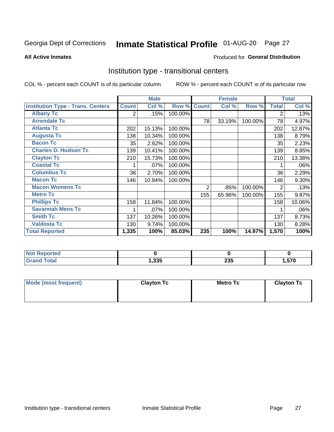# Inmate Statistical Profile 01-AUG-20 Page 27

#### **All Active Inmates**

#### Produced for General Distribution

### Institution type - transitional centers

COL % - percent each COUNT is of its particular column

|                                          |              | <b>Male</b> |         |                | <b>Female</b> |         |              | <b>Total</b> |
|------------------------------------------|--------------|-------------|---------|----------------|---------------|---------|--------------|--------------|
| <b>Institution Type - Trans. Centers</b> | <b>Count</b> | Col %       | Row %   | <b>Count</b>   | Col %         | Row %   | <b>Total</b> | Col %        |
| <b>Albany Tc</b>                         | 2            | .15%        | 100.00% |                |               |         | 2            | .13%         |
| <b>Arrendale Tc</b>                      |              |             |         | 78             | 33.19%        | 100.00% | 78           | 4.97%        |
| <b>Atlanta Tc</b>                        | 202          | 15.13%      | 100.00% |                |               |         | 202          | 12.87%       |
| <b>Augusta Tc</b>                        | 138          | 10.34%      | 100.00% |                |               |         | 138          | 8.79%        |
| <b>Bacon Tc</b>                          | 35           | 2.62%       | 100.00% |                |               |         | 35           | 2.23%        |
| <b>Charles D. Hudson Tc</b>              | 139          | 10.41%      | 100.00% |                |               |         | 139          | 8.85%        |
| <b>Clayton Tc</b>                        | 210          | 15.73%      | 100.00% |                |               |         | 210          | 13.38%       |
| <b>Coastal Tc</b>                        |              | .07%        | 100.00% |                |               |         |              | .06%         |
| <b>Columbus Tc</b>                       | 36           | 2.70%       | 100.00% |                |               |         | 36           | 2.29%        |
| <b>Macon Tc</b>                          | 146          | 10.94%      | 100.00% |                |               |         | 146          | 9.30%        |
| <b>Macon Womens Tc</b>                   |              |             |         | $\overline{2}$ | .85%          | 100.00% | 2            | .13%         |
| <b>Metro Tc</b>                          |              |             |         | 155            | 65.96%        | 100.00% | 155          | 9.87%        |
| <b>Phillips Tc</b>                       | 158          | 11.84%      | 100.00% |                |               |         | 158          | 10.06%       |
| <b>Savannah Mens Tc</b>                  |              | .07%        | 100.00% |                |               |         |              | .06%         |
| <b>Smith Tc</b>                          | 137          | 10.26%      | 100.00% |                |               |         | 137          | 8.73%        |
| <b>Valdosta Tc</b>                       | 130          | 9.74%       | 100.00% |                |               |         | 130          | 8.28%        |
| <b>Total Reported</b>                    | 1,335        | 100%        | 85.03%  | 235            | 100%          | 14.97%  | 1,570        | 100%         |

| <b>Reported</b> |      |     |            |
|-----------------|------|-----|------------|
| <b>Total</b>    | .335 | 235 | EZO<br>57U |

| Mode (most frequent) | <b>Clayton Tc</b> | <b>Metro Tc</b> | <b>Clayton Tc</b> |
|----------------------|-------------------|-----------------|-------------------|
|                      |                   |                 |                   |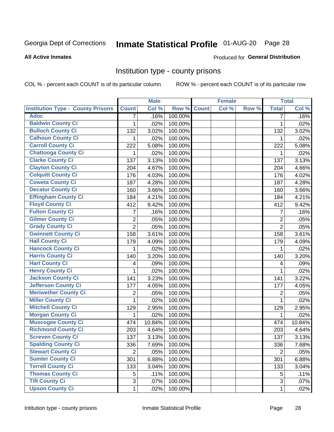# Inmate Statistical Profile 01-AUG-20 Page 28

#### **All Active Inmates**

#### Produced for General Distribution

### Institution type - county prisons

COL % - percent each COUNT is of its particular column

|                                          |                | <b>Male</b> |         |              | <b>Female</b> |       |                | <b>Total</b> |
|------------------------------------------|----------------|-------------|---------|--------------|---------------|-------|----------------|--------------|
| <b>Institution Type - County Prisons</b> | <b>Count</b>   | Col %       | Row %   | <b>Count</b> | Col %         | Row % | <b>Total</b>   | Col %        |
| <b>Adoc</b>                              | $\overline{7}$ | .16%        | 100.00% |              |               |       | $\overline{7}$ | .16%         |
| <b>Baldwin County Ci</b>                 | 1              | .02%        | 100.00% |              |               |       | 1              | .02%         |
| <b>Bulloch County Ci</b>                 | 132            | 3.02%       | 100.00% |              |               |       | 132            | 3.02%        |
| <b>Calhoun County Ci</b>                 | 1              | .02%        | 100.00% |              |               |       | 1              | .02%         |
| <b>Carroll County Ci</b>                 | 222            | 5.08%       | 100.00% |              |               |       | 222            | 5.08%        |
| <b>Chattooga County Ci</b>               | 1              | .02%        | 100.00% |              |               |       | 1              | .02%         |
| <b>Clarke County Ci</b>                  | 137            | 3.13%       | 100.00% |              |               |       | 137            | 3.13%        |
| <b>Clayton County Ci</b>                 | 204            | 4.67%       | 100.00% |              |               |       | 204            | 4.66%        |
| <b>Colquitt County Ci</b>                | 176            | 4.03%       | 100.00% |              |               |       | 176            | 4.02%        |
| <b>Coweta County Ci</b>                  | 187            | 4.28%       | 100.00% |              |               |       | 187            | 4.28%        |
| <b>Decatur County Ci</b>                 | 160            | 3.66%       | 100.00% |              |               |       | 160            | 3.66%        |
| <b>Effingham County Ci</b>               | 184            | 4.21%       | 100.00% |              |               |       | 184            | 4.21%        |
| <b>Floyd County Ci</b>                   | 412            | 9.42%       | 100.00% |              |               |       | 412            | 9.42%        |
| <b>Fulton County Ci</b>                  | 7              | .16%        | 100.00% |              |               |       | 7              | .16%         |
| <b>Gilmer County Ci</b>                  | $\overline{2}$ | .05%        | 100.00% |              |               |       | $\overline{2}$ | .05%         |
| <b>Grady County Ci</b>                   | $\overline{2}$ | .05%        | 100.00% |              |               |       | $\overline{2}$ | .05%         |
| <b>Gwinnett County Ci</b>                | 158            | 3.61%       | 100.00% |              |               |       | 158            | 3.61%        |
| <b>Hall County Ci</b>                    | 179            | 4.09%       | 100.00% |              |               |       | 179            | 4.09%        |
| <b>Hancock County Ci</b>                 | 1              | .02%        | 100.00% |              |               |       | 1              | .02%         |
| <b>Harris County Ci</b>                  | 140            | 3.20%       | 100.00% |              |               |       | 140            | 3.20%        |
| <b>Hart County Ci</b>                    | 4              | .09%        | 100.00% |              |               |       | 4              | .09%         |
| <b>Henry County Ci</b>                   | 1              | .02%        | 100.00% |              |               |       | 1              | .02%         |
| <b>Jackson County Ci</b>                 | 141            | 3.23%       | 100.00% |              |               |       | 141            | 3.22%        |
| <b>Jefferson County Ci</b>               | 177            | 4.05%       | 100.00% |              |               |       | 177            | 4.05%        |
| <b>Meriwether County Ci</b>              | 2              | .05%        | 100.00% |              |               |       | 2              | .05%         |
| <b>Miller County Ci</b>                  | 1              | .02%        | 100.00% |              |               |       | 1              | .02%         |
| <b>Mitchell County Ci</b>                | 129            | 2.95%       | 100.00% |              |               |       | 129            | 2.95%        |
| <b>Morgan County Ci</b>                  | 1              | .02%        | 100.00% |              |               |       | 1              | .02%         |
| <b>Muscogee County Ci</b>                | 474            | 10.84%      | 100.00% |              |               |       | 474            | 10.84%       |
| <b>Richmond County Ci</b>                | 203            | 4.64%       | 100.00% |              |               |       | 203            | 4.64%        |
| <b>Screven County Ci</b>                 | 137            | 3.13%       | 100.00% |              |               |       | 137            | 3.13%        |
| <b>Spalding County Ci</b>                | 336            | 7.69%       | 100.00% |              |               |       | 336            | 7.68%        |
| <b>Stewart County Ci</b>                 | $\overline{2}$ | .05%        | 100.00% |              |               |       | $\overline{2}$ | .05%         |
| <b>Sumter County Ci</b>                  | 301            | 6.88%       | 100.00% |              |               |       | 301            | 6.88%        |
| <b>Terrell County Ci</b>                 | 133            | 3.04%       | 100.00% |              |               |       | 133            | 3.04%        |
| <b>Thomas County Ci</b>                  | 5              | .11%        | 100.00% |              |               |       | 5              | .11%         |
| <b>Tift County Ci</b>                    | 3              | .07%        | 100.00% |              |               |       | 3              | .07%         |
| <b>Upson County Ci</b>                   | $\mathbf{1}$   | .02%        | 100.00% |              |               |       | 1              | .02%         |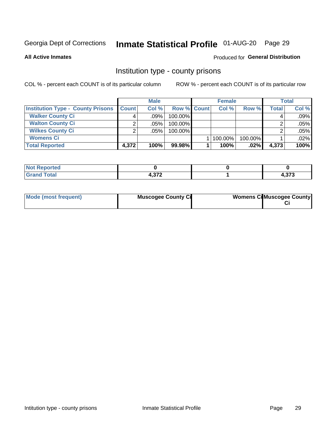# Inmate Statistical Profile 01-AUG-20 Page 29

**All Active Inmates** 

### Produced for General Distribution

### Institution type - county prisons

COL % - percent each COUNT is of its particular column

|                                          |              | <b>Male</b> |                    | <b>Female</b> |         |       | <b>Total</b> |
|------------------------------------------|--------------|-------------|--------------------|---------------|---------|-------|--------------|
| <b>Institution Type - County Prisons</b> | <b>Count</b> | Col%        | <b>Row % Count</b> | Col%          | Row %   | Total | Col %        |
| <b>Walker County Ci</b>                  | 4            | $.09\%$     | 100.00%            |               |         |       | .09%         |
| <b>Walton County Ci</b>                  | ◠            | $.05\%$     | 100.00%            |               |         |       | .05%         |
| <b>Wilkes County Ci</b>                  | ◠            | $.05\%$     | 100.00%            |               |         |       | .05%         |
| <b>Womens Ci</b>                         |              |             |                    | $ 100.00\% $  | 100.00% |       | .02%         |
| <b>Total Reported</b>                    | 4,372        | 100%        | 99.98%             | 100%          | $.02\%$ | 4,373 | 100%         |

| portea<br>N. |      |        |
|--------------|------|--------|
| $\sim$       | -220 | $\sim$ |
|              | $ -$ | נ וכ   |

| Mode (most frequent) | <b>Muscogee County Ci</b> | <b>Womens CilMuscogee County</b> |
|----------------------|---------------------------|----------------------------------|
|                      |                           |                                  |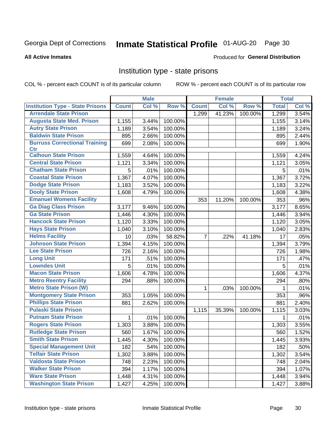# Inmate Statistical Profile 01-AUG-20 Page 30

#### **All Active Inmates**

#### Produced for General Distribution

### Institution type - state prisons

COL % - percent each COUNT is of its particular column

|                                         |              | <b>Male</b> |         |                | <b>Female</b> |         | <b>Total</b> |       |
|-----------------------------------------|--------------|-------------|---------|----------------|---------------|---------|--------------|-------|
| <b>Institution Type - State Prisons</b> | <b>Count</b> | Col %       | Row %   | <b>Count</b>   | Col %         | Row %   | <b>Total</b> | Col % |
| <b>Arrendale State Prison</b>           |              |             |         | 1,299          | 41.23%        | 100.00% | 1,299        | 3.54% |
| <b>Augusta State Med. Prison</b>        | 1,155        | 3.44%       | 100.00% |                |               |         | 1,155        | 3.14% |
| <b>Autry State Prison</b>               | 1,189        | 3.54%       | 100.00% |                |               |         | 1,189        | 3.24% |
| <b>Baldwin State Prison</b>             | 895          | 2.66%       | 100.00% |                |               |         | 895          | 2.44% |
| <b>Burruss Correctional Training</b>    | 699          | 2.08%       | 100.00% |                |               |         | 699          | 1.90% |
| <b>Ctr</b>                              |              |             |         |                |               |         |              |       |
| <b>Calhoun State Prison</b>             | 1,559        | 4.64%       | 100.00% |                |               |         | 1,559        | 4.24% |
| <b>Central State Prison</b>             | 1,121        | 3.34%       | 100.00% |                |               |         | 1,121        | 3.05% |
| <b>Chatham State Prison</b>             | 5            | .01%        | 100.00% |                |               |         | 5            | .01%  |
| <b>Coastal State Prison</b>             | 1,367        | 4.07%       | 100.00% |                |               |         | 1,367        | 3.72% |
| <b>Dodge State Prison</b>               | 1,183        | 3.52%       | 100.00% |                |               |         | 1,183        | 3.22% |
| <b>Dooly State Prison</b>               | 1,608        | 4.79%       | 100.00% |                |               |         | 1,608        | 4.38% |
| <b>Emanuel Womens Facility</b>          |              |             |         | 353            | 11.20%        | 100.00% | 353          | .96%  |
| <b>Ga Diag Class Prison</b>             | 3,177        | 9.46%       | 100.00% |                |               |         | 3,177        | 8.65% |
| <b>Ga State Prison</b>                  | 1,446        | 4.30%       | 100.00% |                |               |         | 1,446        | 3.94% |
| <b>Hancock State Prison</b>             | 1,120        | 3.33%       | 100.00% |                |               |         | 1,120        | 3.05% |
| <b>Hays State Prison</b>                | 1,040        | 3.10%       | 100.00% |                |               |         | 1,040        | 2.83% |
| <b>Helms Facility</b>                   | 10           | .03%        | 58.82%  | $\overline{7}$ | .22%          | 41.18%  | 17           | .05%  |
| <b>Johnson State Prison</b>             | 1,394        | 4.15%       | 100.00% |                |               |         | 1,394        | 3.79% |
| <b>Lee State Prison</b>                 | 726          | 2.16%       | 100.00% |                |               |         | 726          | 1.98% |
| <b>Long Unit</b>                        | 171          | .51%        | 100.00% |                |               |         | 171          | .47%  |
| <b>Lowndes Unit</b>                     | 5            | .01%        | 100.00% |                |               |         | 5            | .01%  |
| <b>Macon State Prison</b>               | 1,606        | 4.78%       | 100.00% |                |               |         | 1,606        | 4.37% |
| <b>Metro Reentry Facility</b>           | 294          | .88%        | 100.00% |                |               |         | 294          | .80%  |
| <b>Metro State Prison (W)</b>           |              |             |         | $\mathbf 1$    | .03%          | 100.00% | 1            | .01%  |
| <b>Montgomery State Prison</b>          | 353          | 1.05%       | 100.00% |                |               |         | 353          | .96%  |
| <b>Phillips State Prison</b>            | 881          | 2.62%       | 100.00% |                |               |         | 881          | 2.40% |
| <b>Pulaski State Prison</b>             |              |             |         | 1,115          | 35.39%        | 100.00% | 1,115        | 3.03% |
| <b>Putnam State Prison</b>              | $\mathbf{1}$ | .01%        | 100.00% |                |               |         | 1            | .01%  |
| <b>Rogers State Prison</b>              | 1,303        | 3.88%       | 100.00% |                |               |         | 1,303        | 3.55% |
| <b>Rutledge State Prison</b>            | 560          | 1.67%       | 100.00% |                |               |         | 560          | 1.52% |
| <b>Smith State Prison</b>               | 1,445        | 4.30%       | 100.00% |                |               |         | 1,445        | 3.93% |
| <b>Special Management Unit</b>          | 182          | .54%        | 100.00% |                |               |         | 182          | .50%  |
| <b>Telfair State Prison</b>             | 1,302        | 3.88%       | 100.00% |                |               |         | 1,302        | 3.54% |
| <b>Valdosta State Prison</b>            | 748          | 2.23%       | 100.00% |                |               |         | 748          | 2.04% |
| <b>Walker State Prison</b>              | 394          | 1.17%       | 100.00% |                |               |         | 394          | 1.07% |
| <b>Ware State Prison</b>                | 1,448        | 4.31%       | 100.00% |                |               |         | 1,448        | 3.94% |
| <b>Washington State Prison</b>          | 1,427        | 4.25%       | 100.00% |                |               |         | 1,427        | 3.88% |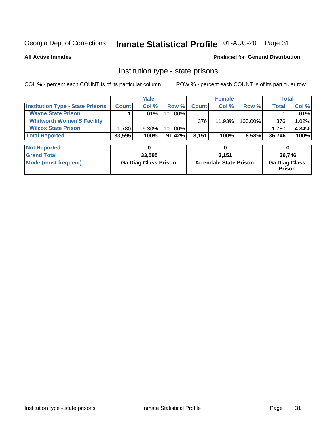# Inmate Statistical Profile 01-AUG-20 Page 31

**All Active Inmates** 

#### Produced for General Distribution

### Institution type - state prisons

COL % - percent each COUNT is of its particular column

|                                         | <b>Male</b>  |          |            |              | <b>Female</b> | <b>Total</b> |        |          |
|-----------------------------------------|--------------|----------|------------|--------------|---------------|--------------|--------|----------|
| <b>Institution Type - State Prisons</b> | <b>Count</b> | Col %    | Row %      | <b>Count</b> | Col%          | Row %        | Total, | Col %    |
| <b>Wayne State Prison</b>               |              | $.01\%$  | $100.00\%$ |              |               |              |        | $.01\%$  |
| <b>Whitworth Women'S Facility</b>       |              |          |            | 376          | 11.93%        | 100.00%      | 376    | $1.02\%$ |
| <b>Wilcox State Prison</b>              | .780         | $5.30\%$ | $100.00\%$ |              |               |              | 1,780  | $4.84\%$ |
| <b>Total Reported</b>                   | 33,595       | 100%     | $91.42\%$  | 3.151        | 100%          | 8.58%        | 36,746 | 100%     |

| <b>Not Reported</b>  |                             |                               |                                       |
|----------------------|-----------------------------|-------------------------------|---------------------------------------|
| <b>Grand Total</b>   | 33.595                      | 3.151                         | 36,746                                |
| Mode (most frequent) | <b>Ga Diag Class Prison</b> | <b>Arrendale State Prison</b> | <b>Ga Diag Class</b><br><b>Prison</b> |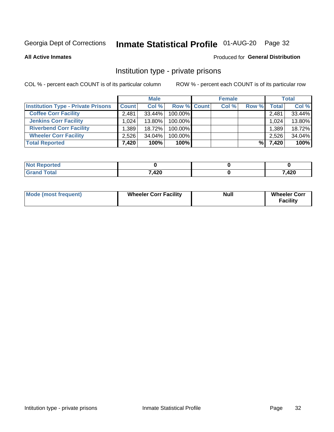# Inmate Statistical Profile 01-AUG-20 Page 32

**All Active Inmates** 

#### Produced for General Distribution

### Institution type - private prisons

COL % - percent each COUNT is of its particular column

|                                           |              | <b>Male</b> |                    | <b>Female</b> |       |       | <b>Total</b> |
|-------------------------------------------|--------------|-------------|--------------------|---------------|-------|-------|--------------|
| <b>Institution Type - Private Prisons</b> | <b>Count</b> | Col %       | <b>Row % Count</b> | Col %         | Row % | Total | Col %        |
| <b>Coffee Corr Facility</b>               | 2.481        | $33.44\%$   | 100.00%            |               |       | 2,481 | 33.44%       |
| <b>Jenkins Corr Facility</b>              | 1.024        | $13.80\%$   | 100.00%            |               |       | 1,024 | 13.80%       |
| <b>Riverbend Corr Facility</b>            | .389         | 18.72%      | 100.00%            |               |       | 1,389 | 18.72%       |
| <b>Wheeler Corr Facility</b>              | 2.526        | 34.04%      | 100.00%            |               |       | 2,526 | 34.04%       |
| <b>Total Reported</b>                     | 7,420        | 100%        | $100\%$            |               | %     | 7,420 | 100%         |

| <b>Not</b><br>Reported |       |       |
|------------------------|-------|-------|
| <b>Total</b>           | 7,420 | 7,420 |

| <b>Mode (most frequent)</b> | <b>Wheeler Corr Facility</b> | <b>Null</b> | <b>Wheeler Corr</b><br><b>Facility</b> |
|-----------------------------|------------------------------|-------------|----------------------------------------|
|-----------------------------|------------------------------|-------------|----------------------------------------|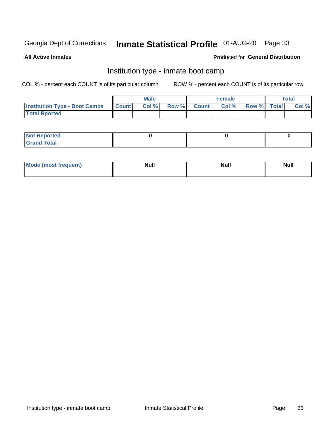# Inmate Statistical Profile 01-AUG-20 Page 33

**All Active Inmates** 

#### Produced for General Distribution

### Institution type - inmate boot camp

COL % - percent each COUNT is of its particular column

|                                      |              | <b>Male</b> |               |              | <b>Female</b> |             | <b>Total</b> |
|--------------------------------------|--------------|-------------|---------------|--------------|---------------|-------------|--------------|
| <b>Institution Type - Boot Camps</b> | <b>Count</b> | Col %       | <b>Row %I</b> | <b>Count</b> | Col %         | Row % Total | Col %        |
| <b>Total Rported</b>                 |              |             |               |              |               |             |              |

| <b>Not Reported</b>            |  |  |
|--------------------------------|--|--|
| <b>Total</b><br>C <sub>r</sub> |  |  |

| Mod<br>uamo | Nul.<br>$- - - - - -$ | <b>Null</b> | . .<br>uu.<br>------ |
|-------------|-----------------------|-------------|----------------------|
|             |                       |             |                      |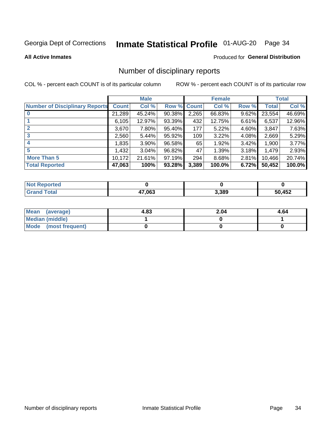# Inmate Statistical Profile 01-AUG-20 Page 34

#### **All Active Inmates**

#### Produced for General Distribution

### Number of disciplinary reports

COL % - percent each COUNT is of its particular column

|                                       |              | <b>Male</b> |        |             | <b>Female</b> |       |        | <b>Total</b> |
|---------------------------------------|--------------|-------------|--------|-------------|---------------|-------|--------|--------------|
| <b>Number of Disciplinary Reports</b> | <b>Count</b> | Col %       |        | Row % Count | Col %         | Row % | Total  | Col %        |
|                                       | 21,289       | 45.24%      | 90.38% | 2,265       | 66.83%        | 9.62% | 23,554 | 46.69%       |
|                                       | 6,105        | 12.97%      | 93.39% | 432         | 12.75%        | 6.61% | 6,537  | 12.96%       |
| $\mathbf{2}$                          | 3,670        | 7.80%       | 95.40% | 177         | 5.22%         | 4.60% | 3,847  | 7.63%        |
| 3                                     | 2,560        | 5.44%       | 95.92% | 109         | 3.22%         | 4.08% | 2,669  | 5.29%        |
|                                       | 1,835        | 3.90%       | 96.58% | 65          | 1.92%         | 3.42% | 1,900  | 3.77%        |
| 5                                     | .432         | 3.04%       | 96.82% | 47          | 1.39%         | 3.18% | 1,479  | 2.93%        |
| <b>More Than 5</b>                    | 10,172       | 21.61%      | 97.19% | 294         | 8.68%         | 2.81% | 10,466 | 20.74%       |
| <b>Total Reported</b>                 | 47,063       | 100%        | 93.28% | 3,389       | 100.0%        | 6.72% | 50,452 | 100.0%       |

| orted<br><b>NOT</b> |        |       |        |
|---------------------|--------|-------|--------|
| Total               | 47,063 | 3,389 | 50,452 |

| Mean (average)       | 4.83 | 2.04 | 4.64 |
|----------------------|------|------|------|
| Median (middle)      |      |      |      |
| Mode (most frequent) |      |      |      |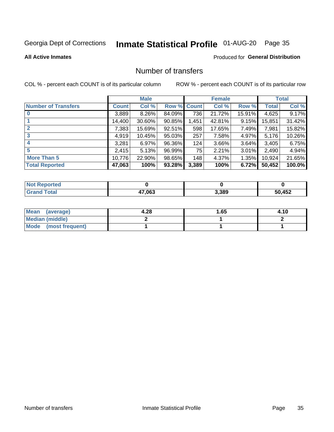# Inmate Statistical Profile 01-AUG-20 Page 35

#### **All Active Inmates**

#### Produced for General Distribution

### Number of transfers

COL % - percent each COUNT is of its particular column

|                            |         | <b>Male</b> |             |       | <b>Female</b> |           |              | <b>Total</b> |
|----------------------------|---------|-------------|-------------|-------|---------------|-----------|--------------|--------------|
| <b>Number of Transfers</b> | Count l | Col %       | Row % Count |       | Col %         | Row %     | <b>Total</b> | Col %        |
|                            | 3,889   | $8.26\%$    | 84.09%      | 736   | 21.72%        | $15.91\%$ | 4,625        | 9.17%        |
|                            | 14,400  | 30.60%      | 90.85%      | 1,451 | 42.81%        | 9.15%     | 15,851       | 31.42%       |
| $\mathbf{2}$               | 7,383   | 15.69%      | 92.51%      | 598   | 17.65%        | 7.49%     | 7,981        | 15.82%       |
| 3                          | 4,919   | 10.45%      | 95.03%      | 257   | 7.58%         | 4.97%     | 5,176        | 10.26%       |
|                            | 3,281   | 6.97%       | 96.36%      | 124   | 3.66%         | $3.64\%$  | 3,405        | 6.75%        |
| 5                          | 2,415   | 5.13%       | 96.99%      | 75    | 2.21%         | $3.01\%$  | 2,490        | 4.94%        |
| <b>More Than 5</b>         | 10,776  | 22.90%      | 98.65%      | 148   | 4.37%         | $1.35\%$  | 10,924       | 21.65%       |
| <b>Total Reported</b>      | 47,063  | 100%        | 93.28%      | 3,389 | 100%          | 6.72%     | 50,452       | 100.0%       |

| orted<br><b>NOT</b> |        |       |        |
|---------------------|--------|-------|--------|
| Total               | 47,063 | 3,389 | 50,452 |

| Mean (average)         | 4.28 | l.65 | 4.10 |
|------------------------|------|------|------|
| <b>Median (middle)</b> |      |      |      |
| Mode (most frequent)   |      |      |      |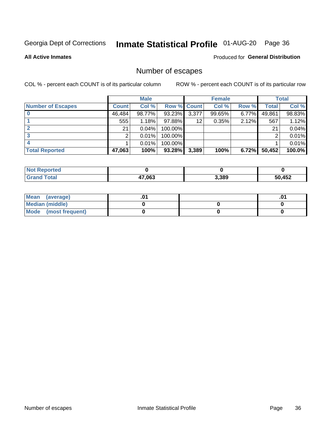# Inmate Statistical Profile 01-AUG-20 Page 36

**All Active Inmates** 

#### Produced for General Distribution

# Number of escapes

COL % - percent each COUNT is of its particular column

|                          |              | <b>Male</b> |             |       | <b>Female</b> |          |        | <b>Total</b> |
|--------------------------|--------------|-------------|-------------|-------|---------------|----------|--------|--------------|
| <b>Number of Escapes</b> | <b>Count</b> | Col %       | Row % Count |       | Col %         | Row %    | Total  | Col %        |
|                          | 46,484       | 98.77%      | 93.23%      | 3,377 | 99.65%        | $6.77\%$ | 49,861 | 98.83%       |
|                          | 555          | 1.18%       | $97.88\%$   | 12    | 0.35%         | 2.12%    | 567    | 1.12%        |
|                          | 21           | 0.04%       | 100.00%     |       |               |          | 21     | 0.04%        |
|                          | ⌒            | 0.01%       | 100.00%     |       |               |          | ◠      | 0.01%        |
|                          |              | 0.01%       | 100.00%     |       |               |          |        | 0.01%        |
| <b>Total Reported</b>    | 47,063       | 100%        | $93.28\%$   | 3,389 | 100%          | 6.72%    | 50,452 | 100.0%       |

| <b>Not Reported</b> |        |       |        |
|---------------------|--------|-------|--------|
| <b>Grand Total</b>  | 47,063 | 3,389 | 50,452 |

| Mean (average)         |  | .0 <sup>4</sup> |
|------------------------|--|-----------------|
| <b>Median (middle)</b> |  |                 |
| Mode (most frequent)   |  |                 |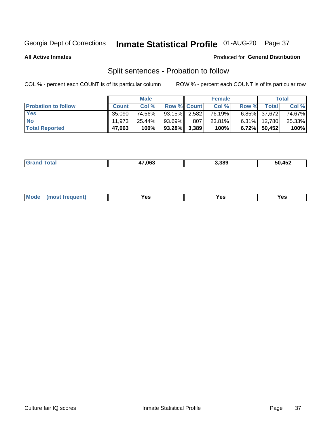# Inmate Statistical Profile 01-AUG-20 Page 37

**All Active Inmates** 

#### Produced for General Distribution

# Split sentences - Probation to follow

COL % - percent each COUNT is of its particular column

|                            |              | <b>Male</b> |                    |     | <b>Female</b> |          |                 | <b>Total</b> |
|----------------------------|--------------|-------------|--------------------|-----|---------------|----------|-----------------|--------------|
| <b>Probation to follow</b> | <b>Count</b> | Col%        | <b>Row % Count</b> |     | Col %         | Row %    | Total           | Col %        |
| <b>Yes</b>                 | 35.090       | 74.56%      | $93.15\%$ 2.582    |     | 76.19%        |          | $6.85\%$ 37,672 | 74.67%       |
| <b>No</b>                  | 11.973       | 25.44%      | $93.69\%$          | 807 | 23.81%        | $6.31\%$ | 12,780          | 25.33%       |
| <b>Total Reported</b>      | 47,063       | 100%        | $93.28\%$ 3,389    |     | 100%          |          | 6.72% 50,452    | 100%         |

| 17.063 | 3.389 | 50,452 |
|--------|-------|--------|
|        |       |        |

| M<br>reauent)<br>/٥<br>$\sim$<br>v.,<br>.<br>w<br>$\cdot$ - $\cdot$ |  |  |  |  |  |
|---------------------------------------------------------------------|--|--|--|--|--|
|---------------------------------------------------------------------|--|--|--|--|--|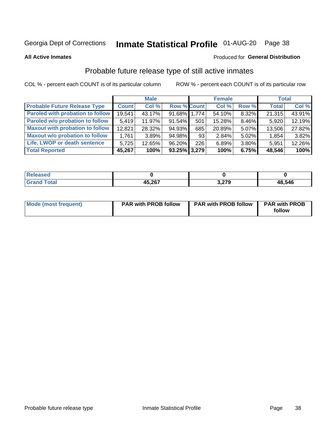# Inmate Statistical Profile 01-AUG-20 Page 38

**All Active Inmates** 

#### Produced for General Distribution

## Probable future release type of still active inmates

COL % - percent each COUNT is of its particular column

|                                         |              | <b>Male</b> |                    |     | <b>Female</b> |       | <b>Total</b> |        |
|-----------------------------------------|--------------|-------------|--------------------|-----|---------------|-------|--------------|--------|
| <b>Probable Future Release Type</b>     | <b>Count</b> | Col %       | <b>Row % Count</b> |     | Col %         | Row % | <b>Total</b> | Col %  |
| <b>Paroled with probation to follow</b> | 19,541       | 43.17%      | 91.68% 1,774       |     | 54.10%        | 8.32% | 21,315       | 43.91% |
| Paroled w/o probation to follow         | 5,419        | 11.97%      | 91.54%             | 501 | 15.28%        | 8.46% | 5,920        | 12.19% |
| <b>Maxout with probation to follow</b>  | 12,821       | 28.32%      | 94.93%             | 685 | 20.89%        | 5.07% | 13,506       | 27.82% |
| <b>Maxout w/o probation to follow</b>   | 1,761        | 3.89%       | 94.98%             | 93  | 2.84%         | 5.02% | 1,854        | 3.82%  |
| Life, LWOP or death sentence            | 5.725        | 12.65%      | 96.20%             | 226 | 6.89%         | 3.80% | 5,951        | 12.26% |
| <b>Total Reported</b>                   | 45,267       | 100%        | $93.25\%$ 3,279    |     | 100%          | 6.75% | 48,546       | 100%   |

| 7560        |                  |               |        |
|-------------|------------------|---------------|--------|
| $f = 4 - f$ | 45.267<br>וטגנטו | 27Ο<br>J.LI J | 48,546 |

| Mode (most frequent) | <b>PAR with PROB follow</b> | <b>PAR with PROB follow</b> | <b>PAR with PROB</b> |
|----------------------|-----------------------------|-----------------------------|----------------------|
|                      |                             |                             | follow               |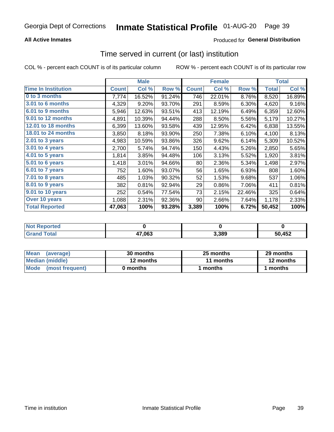### **All Active Inmates**

### **Produced for General Distribution**

## Time served in current (or last) institution

COL % - percent each COUNT is of its particular column

|                            |              | <b>Male</b> |        |              | <b>Female</b> |        |              | <b>Total</b> |
|----------------------------|--------------|-------------|--------|--------------|---------------|--------|--------------|--------------|
| <b>Time In Institution</b> | <b>Count</b> | Col %       | Row %  | <b>Count</b> | Col %         | Row %  | <b>Total</b> | Col %        |
| 0 to 3 months              | 7,774        | 16.52%      | 91.24% | 746          | 22.01%        | 8.76%  | 8,520        | 16.89%       |
| 3.01 to 6 months           | 4,329        | 9.20%       | 93.70% | 291          | 8.59%         | 6.30%  | 4,620        | 9.16%        |
| 6.01 to 9 months           | 5,946        | 12.63%      | 93.51% | 413          | 12.19%        | 6.49%  | 6,359        | 12.60%       |
| 9.01 to 12 months          | 4,891        | 10.39%      | 94.44% | 288          | 8.50%         | 5.56%  | 5,179        | 10.27%       |
| 12.01 to 18 months         | 6,399        | 13.60%      | 93.58% | 439          | 12.95%        | 6.42%  | 6,838        | 13.55%       |
| <b>18.01 to 24 months</b>  | 3,850        | 8.18%       | 93.90% | 250          | 7.38%         | 6.10%  | 4,100        | 8.13%        |
| 2.01 to 3 years            | 4,983        | 10.59%      | 93.86% | 326          | 9.62%         | 6.14%  | 5,309        | 10.52%       |
| 3.01 to 4 years            | 2,700        | 5.74%       | 94.74% | 150          | 4.43%         | 5.26%  | 2,850        | 5.65%        |
| $4.01$ to 5 years          | 1,814        | 3.85%       | 94.48% | 106          | 3.13%         | 5.52%  | 1,920        | 3.81%        |
| 5.01 to 6 years            | 1,418        | 3.01%       | 94.66% | 80           | 2.36%         | 5.34%  | 1,498        | 2.97%        |
| $6.01$ to 7 years          | 752          | 1.60%       | 93.07% | 56           | 1.65%         | 6.93%  | 808          | 1.60%        |
| 7.01 to 8 years            | 485          | 1.03%       | 90.32% | 52           | 1.53%         | 9.68%  | 537          | 1.06%        |
| $8.01$ to 9 years          | 382          | 0.81%       | 92.94% | 29           | 0.86%         | 7.06%  | 411          | 0.81%        |
| 9.01 to 10 years           | 252          | 0.54%       | 77.54% | 73           | 2.15%         | 22.46% | 325          | 0.64%        |
| Over 10 years              | 1,088        | 2.31%       | 92.36% | 90           | 2.66%         | 7.64%  | 1,178        | 2.33%        |
| <b>Total Reported</b>      | 47,063       | 100%        | 93.28% | 3,389        | 100%          | 6.72%  | 50,452       | 100%         |

| <b>Not</b><br><b>Renorted</b> |        |       |        |
|-------------------------------|--------|-------|--------|
| íota!                         | 47,063 | 3,389 | 50,452 |

| <b>Mean</b><br>(average) | 30 months | 25 months | 29 months |  |
|--------------------------|-----------|-----------|-----------|--|
| Median (middle)          | 12 months | 11 months | 12 months |  |
| Mode<br>(most frequent)  | 0 months  | months    | months    |  |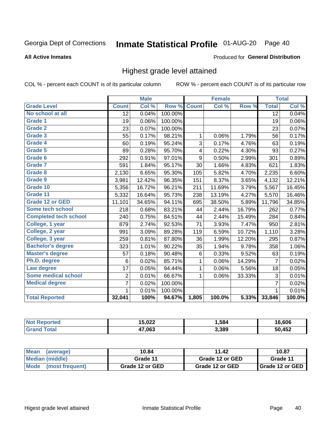#### Inmate Statistical Profile 01-AUG-20 Page 40

Produced for General Distribution

#### **All Active Inmates**

# Highest grade level attained

COL % - percent each COUNT is of its particular column

|                              |                 | <b>Male</b> |         |              | <b>Female</b> |        |                 | <b>Total</b> |
|------------------------------|-----------------|-------------|---------|--------------|---------------|--------|-----------------|--------------|
| <b>Grade Level</b>           | <b>Count</b>    | Col %       | Row %   | <b>Count</b> | Col %         | Row %  | <b>Total</b>    | Col %        |
| No school at all             | $\overline{12}$ | 0.04%       | 100.00% |              |               |        | $\overline{12}$ | 0.04%        |
| <b>Grade 1</b>               | 19              | 0.06%       | 100.00% |              |               |        | 19              | 0.06%        |
| <b>Grade 2</b>               | 23              | 0.07%       | 100.00% |              |               |        | 23              | 0.07%        |
| Grade 3                      | 55              | 0.17%       | 98.21%  | $\mathbf{1}$ | 0.06%         | 1.79%  | 56              | 0.17%        |
| Grade 4                      | 60              | 0.19%       | 95.24%  | 3            | 0.17%         | 4.76%  | 63              | 0.19%        |
| Grade 5                      | 89              | 0.28%       | 95.70%  | 4            | 0.22%         | 4.30%  | 93              | 0.27%        |
| Grade 6                      | 292             | 0.91%       | 97.01%  | 9            | 0.50%         | 2.99%  | 301             | 0.89%        |
| <b>Grade 7</b>               | 591             | 1.84%       | 95.17%  | 30           | 1.66%         | 4.83%  | 621             | 1.83%        |
| Grade 8                      | 2,130           | 6.65%       | 95.30%  | 105          | 5.82%         | 4.70%  | 2,235           | 6.60%        |
| Grade 9                      | 3,981           | 12.42%      | 96.35%  | 151          | 8.37%         | 3.65%  | 4,132           | 12.21%       |
| Grade 10                     | 5,356           | 16.72%      | 96.21%  | 211          | 11.69%        | 3.79%  | 5,567           | 16.45%       |
| Grade 11                     | 5,332           | 16.64%      | 95.73%  | 238          | 13.19%        | 4.27%  | 5,570           | 16.46%       |
| <b>Grade 12 or GED</b>       | 11,101          | 34.65%      | 94.11%  | 695          | 38.50%        | 5.89%  | 11,796          | 34.85%       |
| <b>Some tech school</b>      | 218             | 0.68%       | 83.21%  | 44           | 2.44%         | 16.79% | 262             | 0.77%        |
| <b>Completed tech school</b> | 240             | 0.75%       | 84.51%  | 44           | 2.44%         | 15.49% | 284             | 0.84%        |
| College, 1 year              | 879             | 2.74%       | 92.53%  | 71           | 3.93%         | 7.47%  | 950             | 2.81%        |
| College, 2 year              | 991             | 3.09%       | 89.28%  | 119          | 6.59%         | 10.72% | 1,110           | 3.28%        |
| College, 3 year              | 259             | 0.81%       | 87.80%  | 36           | 1.99%         | 12.20% | 295             | 0.87%        |
| <b>Bachelor's degree</b>     | 323             | 1.01%       | 90.22%  | 35           | 1.94%         | 9.78%  | 358             | 1.06%        |
| <b>Master's degree</b>       | 57              | 0.18%       | 90.48%  | 6            | 0.33%         | 9.52%  | 63              | 0.19%        |
| Ph.D. degree                 | 6               | 0.02%       | 85.71%  | 1            | 0.06%         | 14.29% | $\overline{7}$  | 0.02%        |
| Law degree                   | 17              | 0.05%       | 94.44%  | $\mathbf{1}$ | 0.06%         | 5.56%  | 18              | 0.05%        |
| <b>Some medical school</b>   | $\overline{2}$  | 0.01%       | 66.67%  | 1            | 0.06%         | 33.33% | 3               | 0.01%        |
| <b>Medical degree</b>        | $\overline{7}$  | 0.02%       | 100.00% |              |               |        | $\overline{7}$  | 0.02%        |
|                              | 1               | 0.01%       | 100.00% |              |               |        | 1               | 0.01%        |
| <b>Total Reported</b>        | 32,041          | 100%        | 94.67%  | 1,805        | 100.0%        | 5.33%  | 33,846          | 100.0%       |

| ら ハクク<br>.vłł | .584  | <b>GOG</b><br>ouo |
|---------------|-------|-------------------|
| 47.063        | 3,389 | オトウ               |

| Mean<br>(average)    | 10.84           | 11.42           | 10.87           |  |
|----------------------|-----------------|-----------------|-----------------|--|
| Median (middle)      | Grade 11        | Grade 12 or GED | Grade 11        |  |
| Mode (most frequent) | Grade 12 or GED | Grade 12 or GED | Grade 12 or GED |  |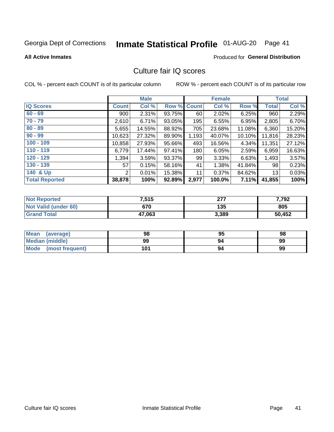# Inmate Statistical Profile 01-AUG-20 Page 41

**All Active Inmates** 

### **Produced for General Distribution**

### Culture fair IQ scores

COL % - percent each COUNT is of its particular column

|                       |              | <b>Male</b> |             |       | <b>Female</b> |           |              | <b>Total</b> |
|-----------------------|--------------|-------------|-------------|-------|---------------|-----------|--------------|--------------|
| <b>IQ Scores</b>      | <b>Count</b> | Col %       | Row % Count |       | Col %         | Row %     | <b>Total</b> | Col %        |
| $60 - 69$             | 900          | 2.31%       | 93.75%      | 60    | 2.02%         | 6.25%     | 960          | 2.29%        |
| $70 - 79$             | 2,610        | 6.71%       | 93.05%      | 195   | 6.55%         | 6.95%     | 2,805        | 6.70%        |
| $80 - 89$             | 5,655        | 14.55%      | 88.92%      | 705   | 23.68%        | 11.08%    | 6,360        | 15.20%       |
| $90 - 99$             | 10,623       | 27.32%      | 89.90%      | 1,193 | 40.07%        | $10.10\%$ | 11,816       | 28.23%       |
| $100 - 109$           | 10,858       | 27.93%      | 95.66%      | 493   | 16.56%        | 4.34%     | 11,351       | 27.12%       |
| $110 - 119$           | 6,779        | 17.44%      | 97.41%      | 180   | 6.05%         | 2.59%     | 6,959        | 16.63%       |
| $120 - 129$           | 1,394        | 3.59%       | 93.37%      | 99    | 3.33%         | 6.63%     | 1,493        | 3.57%        |
| $130 - 139$           | 57           | 0.15%       | 58.16%      | 41    | 1.38%         | 41.84%    | 98           | 0.23%        |
| 140 & Up              | 2            | 0.01%       | 15.38%      | 11    | 0.37%         | 84.62%    | 13           | 0.03%        |
| <b>Total Reported</b> | 38,878       | 100%        | 92.89%      | 2,977 | 100.0%        | 7.11%     | 41,855       | 100%         |

| <b>Not Reported</b>         | 7,515  | ヘフフ<br>211 | 7,792  |
|-----------------------------|--------|------------|--------|
| <b>Not Valid (under 60)</b> | 670    | 135        | 805    |
| <b>Grand Total</b>          | 47,063 | 3,389      | 50,452 |

| <b>Mean</b><br>(average) | 98  | 95 | 98 |
|--------------------------|-----|----|----|
| Median (middle)          | 99  | 94 | 99 |
| Mode<br>(most frequent)  | 101 | 94 | 99 |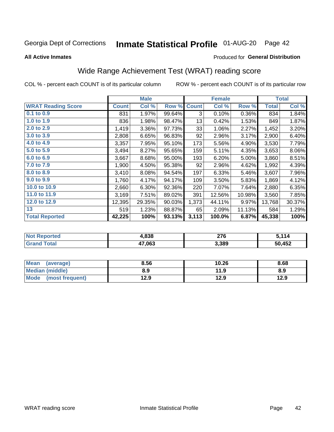# Inmate Statistical Profile 01-AUG-20 Page 42

**All Active Inmates** 

#### Produced for General Distribution

## Wide Range Achievement Test (WRAT) reading score

COL % - percent each COUNT is of its particular column

|                           |              | <b>Male</b> |        |              | <b>Female</b> |        |              | <b>Total</b> |
|---------------------------|--------------|-------------|--------|--------------|---------------|--------|--------------|--------------|
| <b>WRAT Reading Score</b> | <b>Count</b> | Col %       | Row %  | <b>Count</b> | Col %         | Row %  | <b>Total</b> | Col %        |
| $0.1$ to $0.9$            | 831          | 1.97%       | 99.64% | 3            | 0.10%         | 0.36%  | 834          | 1.84%        |
| 1.0 to 1.9                | 836          | 1.98%       | 98.47% | 13           | 0.42%         | 1.53%  | 849          | 1.87%        |
| 2.0 to 2.9                | 1,419        | 3.36%       | 97.73% | 33           | 1.06%         | 2.27%  | 1,452        | 3.20%        |
| 3.0 to 3.9                | 2,808        | 6.65%       | 96.83% | 92           | 2.96%         | 3.17%  | 2,900        | 6.40%        |
| 4.0 to 4.9                | 3,357        | 7.95%       | 95.10% | 173          | 5.56%         | 4.90%  | 3,530        | 7.79%        |
| 5.0 to 5.9                | 3,494        | 8.27%       | 95.65% | 159          | 5.11%         | 4.35%  | 3,653        | 8.06%        |
| 6.0 to 6.9                | 3,667        | 8.68%       | 95.00% | 193          | 6.20%         | 5.00%  | 3,860        | 8.51%        |
| 7.0 to 7.9                | 1,900        | 4.50%       | 95.38% | 92           | 2.96%         | 4.62%  | 1,992        | 4.39%        |
| 8.0 to 8.9                | 3,410        | 8.08%       | 94.54% | 197          | 6.33%         | 5.46%  | 3,607        | 7.96%        |
| 9.0 to 9.9                | 1,760        | 4.17%       | 94.17% | 109          | 3.50%         | 5.83%  | 1,869        | 4.12%        |
| 10.0 to 10.9              | 2,660        | 6.30%       | 92.36% | 220          | 7.07%         | 7.64%  | 2,880        | 6.35%        |
| 11.0 to 11.9              | 3,169        | 7.51%       | 89.02% | 391          | 12.56%        | 10.98% | 3,560        | 7.85%        |
| 12.0 to 12.9              | 12,395       | 29.35%      | 90.03% | 1,373        | 44.11%        | 9.97%  | 13,768       | 30.37%       |
| 13                        | 519          | 1.23%       | 88.87% | 65           | 2.09%         | 11.13% | 584          | 1.29%        |
| <b>Total Reported</b>     | 42,225       | 100%        | 93.13% | 3,113        | 100.0%        | 6.87%  | 45,338       | 100%         |

| rtea<br>NO | 838    | 276   | 441    |
|------------|--------|-------|--------|
| $\sim$     | 47,063 | 3,389 | 50,452 |

| <b>Mean</b><br>(average)       | 8.56 | 10.26 | 8.68 |
|--------------------------------|------|-------|------|
| <b>Median (middle)</b>         | 8.9  | 11.9  | 8.9  |
| <b>Mode</b><br>(most frequent) | 12.9 | 12.9  | 12.9 |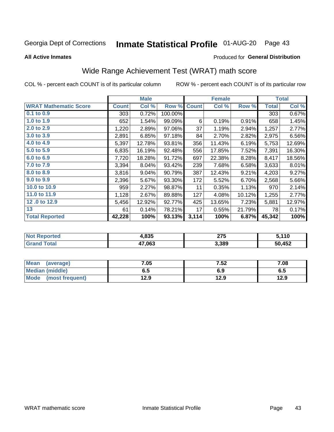# Inmate Statistical Profile 01-AUG-20 Page 43

**All Active Inmates** 

#### Produced for General Distribution

## Wide Range Achievement Test (WRAT) math score

COL % - percent each COUNT is of its particular column

|                              |         | <b>Male</b> |         |              | <b>Female</b> |        |              | <b>Total</b> |
|------------------------------|---------|-------------|---------|--------------|---------------|--------|--------------|--------------|
| <b>WRAT Mathematic Score</b> | Count l | Col %       | Row %   | <b>Count</b> | Col %         | Row %  | <b>Total</b> | Col %        |
| 0.1 to 0.9                   | 303     | 0.72%       | 100.00% |              |               |        | 303          | 0.67%        |
| 1.0 to 1.9                   | 652     | 1.54%       | 99.09%  | 6            | 0.19%         | 0.91%  | 658          | 1.45%        |
| 2.0 to 2.9                   | 1,220   | 2.89%       | 97.06%  | 37           | 1.19%         | 2.94%  | 1,257        | 2.77%        |
| 3.0 to 3.9                   | 2,891   | 6.85%       | 97.18%  | 84           | 2.70%         | 2.82%  | 2,975        | 6.56%        |
| 4.0 to 4.9                   | 5,397   | 12.78%      | 93.81%  | 356          | 11.43%        | 6.19%  | 5,753        | 12.69%       |
| 5.0 to 5.9                   | 6,835   | 16.19%      | 92.48%  | 556          | 17.85%        | 7.52%  | 7,391        | 16.30%       |
| 6.0 to 6.9                   | 7,720   | 18.28%      | 91.72%  | 697          | 22.38%        | 8.28%  | 8,417        | 18.56%       |
| 7.0 to 7.9                   | 3,394   | 8.04%       | 93.42%  | 239          | 7.68%         | 6.58%  | 3,633        | 8.01%        |
| 8.0 to 8.9                   | 3,816   | 9.04%       | 90.79%  | 387          | 12.43%        | 9.21%  | 4,203        | 9.27%        |
| 9.0 to 9.9                   | 2,396   | 5.67%       | 93.30%  | 172          | 5.52%         | 6.70%  | 2,568        | 5.66%        |
| 10.0 to 10.9                 | 959     | 2.27%       | 98.87%  | 11           | 0.35%         | 1.13%  | 970          | 2.14%        |
| 11.0 to 11.9                 | 1,128   | 2.67%       | 89.88%  | 127          | 4.08%         | 10.12% | 1,255        | 2.77%        |
| 12.0 to 12.9                 | 5,456   | 12.92%      | 92.77%  | 425          | 13.65%        | 7.23%  | 5,881        | 12.97%       |
| 13                           | 61      | 0.14%       | 78.21%  | 17           | 0.55%         | 21.79% | 78           | 0.17%        |
| <b>Total Reported</b>        | 42,228  | 100%        | 93.13%  | 3,114        | 100%          | 6.87%  | 45,342       | 100%         |

| <b>Reported</b><br><b>NO</b> t | 1,835  | ヘフに<br>21 J | 110,   |
|--------------------------------|--------|-------------|--------|
| `otal                          | 47,063 | 3,389       | 50,452 |

| <b>Mean</b><br>(average) | 7.05 | 7.52 | 7.08 |
|--------------------------|------|------|------|
| Median (middle)          | כ.ס  | 6.9  | ხ.მ  |
| Mode<br>(most frequent)  | 12.9 | 12.9 | 12.9 |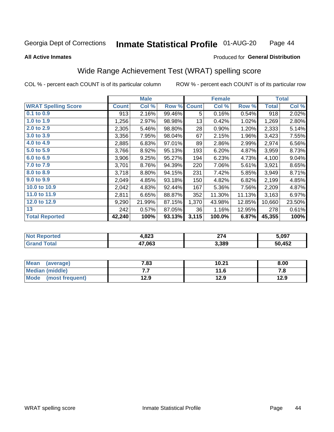#### **Inmate Statistical Profile 01-AUG-20** Page 44

#### **All Active Inmates**

#### Produced for General Distribution

## Wide Range Achievement Test (WRAT) spelling score

COL % - percent each COUNT is of its particular column

|                            |              | <b>Male</b> |        |              | <b>Female</b> |        |              | <b>Total</b> |
|----------------------------|--------------|-------------|--------|--------------|---------------|--------|--------------|--------------|
| <b>WRAT Spelling Score</b> | <b>Count</b> | Col %       | Row %  | <b>Count</b> | Col %         | Row %  | <b>Total</b> | Col %        |
| 0.1 to 0.9                 | 913          | 2.16%       | 99.46% | 5            | 0.16%         | 0.54%  | 918          | 2.02%        |
| 1.0 to 1.9                 | 1,256        | 2.97%       | 98.98% | 13           | 0.42%         | 1.02%  | 1,269        | 2.80%        |
| 2.0 to 2.9                 | 2,305        | 5.46%       | 98.80% | 28           | 0.90%         | 1.20%  | 2,333        | 5.14%        |
| 3.0 to 3.9                 | 3,356        | 7.95%       | 98.04% | 67           | 2.15%         | 1.96%  | 3,423        | 7.55%        |
| 4.0 to 4.9                 | 2,885        | 6.83%       | 97.01% | 89           | 2.86%         | 2.99%  | 2,974        | 6.56%        |
| 5.0 to 5.9                 | 3,766        | 8.92%       | 95.13% | 193          | 6.20%         | 4.87%  | 3,959        | 8.73%        |
| 6.0 to 6.9                 | 3,906        | 9.25%       | 95.27% | 194          | 6.23%         | 4.73%  | 4,100        | 9.04%        |
| 7.0 to 7.9                 | 3,701        | 8.76%       | 94.39% | 220          | 7.06%         | 5.61%  | 3,921        | 8.65%        |
| 8.0 to 8.9                 | 3,718        | 8.80%       | 94.15% | 231          | 7.42%         | 5.85%  | 3,949        | 8.71%        |
| 9.0 to 9.9                 | 2,049        | 4.85%       | 93.18% | 150          | 4.82%         | 6.82%  | 2,199        | 4.85%        |
| 10.0 to 10.9               | 2,042        | 4.83%       | 92.44% | 167          | 5.36%         | 7.56%  | 2,209        | 4.87%        |
| 11.0 to 11.9               | 2,811        | 6.65%       | 88.87% | 352          | 11.30%        | 11.13% | 3,163        | 6.97%        |
| 12.0 to 12.9               | 9,290        | 21.99%      | 87.15% | 1,370        | 43.98%        | 12.85% | 10,660       | 23.50%       |
| 13                         | 242          | 0.57%       | 87.05% | 36           | 1.16%         | 12.95% | 278          | 0.61%        |
| <b>Total Reported</b>      | 42,240       | 100%        | 93.13% | 3,115        | 100.0%        | 6.87%  | 45,355       | 100%         |

| <b>TEL</b> | ററ     | 27    | 5,097  |
|------------|--------|-------|--------|
| NO         | 1.OZJ  |       |        |
|            | 17,063 | 3,389 | 50,452 |

| <b>Mean</b><br>(average) | 7.83 | 10.21 | 8.00 |
|--------------------------|------|-------|------|
| Median (middle)          | . .  | 11.6  | 7. I |
| Mode<br>(most frequent)  | 12.9 | 12.9  | 12.9 |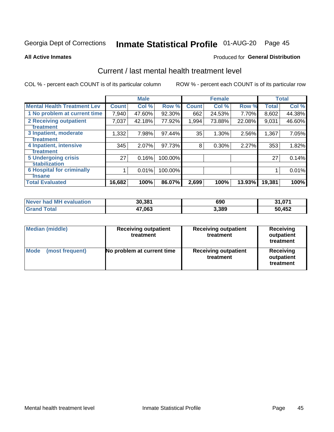# Inmate Statistical Profile 01-AUG-20 Page 45

#### **All Active Inmates**

### **Produced for General Distribution**

### Current / last mental health treatment level

COL % - percent each COUNT is of its particular column

|                                    |              | <b>Male</b> |         |              | <b>Female</b> |        |              | <b>Total</b> |
|------------------------------------|--------------|-------------|---------|--------------|---------------|--------|--------------|--------------|
| <b>Mental Health Treatment Lev</b> | <b>Count</b> | Col %       | Row %   | <b>Count</b> | Col %         | Row %  | <b>Total</b> | Col %        |
| 1 No problem at current time       | 7.940        | 47.60%      | 92.30%  | 662          | 24.53%        | 7.70%  | 8,602        | 44.38%       |
| 2 Receiving outpatient             | 7,037        | 42.18%      | 77.92%  | 1,994        | 73.88%        | 22.08% | 9,031        | 46.60%       |
| <b>Treatment</b>                   |              |             |         |              |               |        |              |              |
| 3 Inpatient, moderate              | 1,332        | 7.98%       | 97.44%  | 35           | 1.30%         | 2.56%  | 1,367        | 7.05%        |
| Treatment                          |              |             |         |              |               |        |              |              |
| 4 Inpatient, intensive             | 345          | 2.07%       | 97.73%  | 8            | 0.30%         | 2.27%  | 353          | 1.82%        |
| <b>Treatment</b>                   |              |             |         |              |               |        |              |              |
| 5 Undergoing crisis                | 27           | 0.16%       | 100.00% |              |               |        | 27           | 0.14%        |
| <b>stabilization</b>               |              |             |         |              |               |        |              |              |
| <b>6 Hospital for criminally</b>   |              | 0.01%       | 100.00% |              |               |        |              | 0.01%        |
| <b>Tinsane</b>                     |              |             |         |              |               |        |              |              |
| <b>Total Evaluated</b>             | 16,682       | 100%        | 86.07%  | 2,699        | 100%          | 13.93% | 19,381       | 100%         |

| Never had MH evaluation | 30,381 | 690   | 31,071 |
|-------------------------|--------|-------|--------|
| <b>Grand Total</b>      | 47,063 | 3,389 | 50,452 |

| <b>Median (middle)</b>         | <b>Receiving outpatient</b><br>treatment | <b>Receiving outpatient</b><br>treatment | <b>Receiving</b><br>outpatient<br>treatment |  |  |
|--------------------------------|------------------------------------------|------------------------------------------|---------------------------------------------|--|--|
| <b>Mode</b><br>(most frequent) | No problem at current time               | <b>Receiving outpatient</b><br>treatment | Receiving<br>outpatient<br>treatment        |  |  |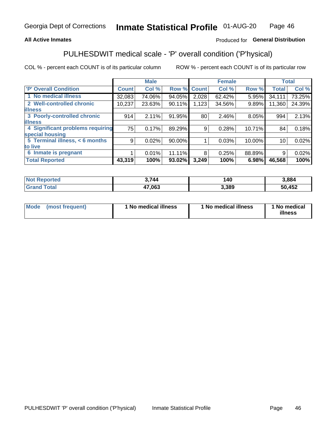### **All Active Inmates**

### Produced for General Distribution

## PULHESDWIT medical scale - 'P' overall condition ('P'hysical)

COL % - percent each COUNT is of its particular column

|                                  |              | <b>Male</b> |        |              | <b>Female</b> |        |                 | <b>Total</b> |
|----------------------------------|--------------|-------------|--------|--------------|---------------|--------|-----------------|--------------|
| 'P' Overall Condition            | <b>Count</b> | Col %       | Row %  | <b>Count</b> | Col %         | Row %  | <b>Total</b>    | Col %        |
| 1 No medical illness             | 32,083       | 74.06%      | 94.05% | 2,028        | 62.42%        | 5.95%  | 34,111          | 73.25%       |
| 2 Well-controlled chronic        | 10,237       | 23.63%      | 90.11% | 1,123        | 34.56%        | 9.89%  | 11,360          | 24.39%       |
| <b>lillness</b>                  |              |             |        |              |               |        |                 |              |
| 3 Poorly-controlled chronic      | 914          | 2.11%       | 91.95% | 80           | 2.46%         | 8.05%  | 994             | 2.13%        |
| <b>lillness</b>                  |              |             |        |              |               |        |                 |              |
| 4 Significant problems requiring | 75           | 0.17%       | 89.29% | 9            | 0.28%         | 10.71% | 84              | 0.18%        |
| special housing                  |              |             |        |              |               |        |                 |              |
| 5 Terminal illness, < 6 months   | 9            | 0.02%       | 90.00% |              | 0.03%         | 10.00% | 10 <sup>1</sup> | 0.02%        |
| to live                          |              |             |        |              |               |        |                 |              |
| 6 Inmate is pregnant             |              | 0.01%       | 11.11% | 8            | 0.25%         | 88.89% | 9               | 0.02%        |
| <b>Total Reported</b>            | 43,319       | 100%        | 93.02% | 3,249        | 100%          | 6.98%  | 46,568          | 100%         |

| <b>rted</b> | <b>2711</b><br>744 | 40   | .884 |
|-------------|--------------------|------|------|
|             | 17 NG 2            | .389 | ,452 |

| Mode | (most frequent) | 1 No medical illness | 1 No medical illness | 1 No medical<br>illness |
|------|-----------------|----------------------|----------------------|-------------------------|
|------|-----------------|----------------------|----------------------|-------------------------|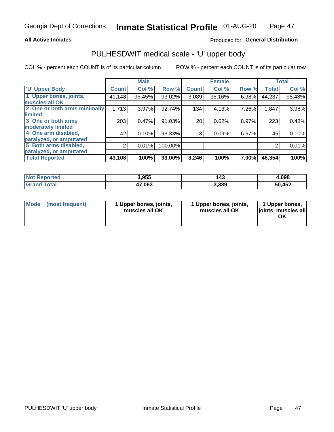#### **All Active Inmates**

### Produced for General Distribution

## PULHESDWIT medical scale - 'U' upper body

COL % - percent each COUNT is of its particular column

|                              |              | <b>Male</b> |         |              | <b>Female</b> |       |              | <b>Total</b> |
|------------------------------|--------------|-------------|---------|--------------|---------------|-------|--------------|--------------|
| <b>U' Upper Body</b>         | <b>Count</b> | Col %       | Row %   | <b>Count</b> | Col %         | Row % | <b>Total</b> | Col %        |
| 1 Upper bones, joints,       | 41,148       | 95.45%      | 93.02%  | 3,089        | 95.16%        | 6.98% | 44,237       | 95.43%       |
| muscles all OK               |              |             |         |              |               |       |              |              |
| 2 One or both arms minimally | 1,713        | 3.97%       | 92.74%  | 134          | 4.13%         | 7.26% | 1,847        | 3.98%        |
| limited                      |              |             |         |              |               |       |              |              |
| 3 One or both arms           | 203          | 0.47%       | 91.03%  | 20           | 0.62%         | 8.97% | 223          | 0.48%        |
| <b>moderately limited</b>    |              |             |         |              |               |       |              |              |
| 4 One arm disabled,          | 42           | 0.10%       | 93.33%  | 3            | 0.09%         | 6.67% | 45           | 0.10%        |
| paralyzed, or amputated      |              |             |         |              |               |       |              |              |
| 5 Both arms disabled,        | 2            | 0.01%       | 100.00% |              |               |       | 2            | 0.01%        |
| paralyzed, or amputated      |              |             |         |              |               |       |              |              |
| <b>Total Reported</b>        | 43,108       | 100%        | 93.00%  | 3,246        | 100%          | 7.00% | 46,354       | 100%         |

| <b>Not Reported</b>          | 3,955  | 143   | 4.098  |
|------------------------------|--------|-------|--------|
| <b>Total</b><br><b>Grand</b> | 47,063 | 3,389 | 50,452 |

| Mode<br>(most frequent) | 1 Upper bones, joints,<br>muscles all OK | 1 Upper bones, joints,<br>muscles all OK | 1 Upper bones,<br>joints, muscles all<br>ΟK |
|-------------------------|------------------------------------------|------------------------------------------|---------------------------------------------|
|-------------------------|------------------------------------------|------------------------------------------|---------------------------------------------|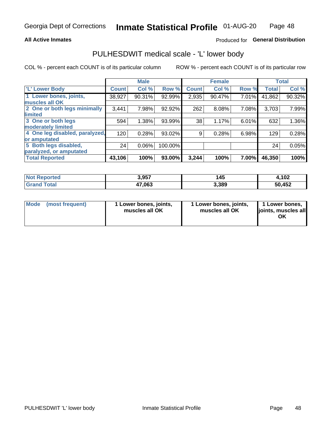#### **All Active Inmates**

### Produced for General Distribution

### PULHESDWIT medical scale - 'L' lower body

COL % - percent each COUNT is of its particular column

|                                |              | <b>Male</b> |         |              | <b>Female</b> |       |              | <b>Total</b> |
|--------------------------------|--------------|-------------|---------|--------------|---------------|-------|--------------|--------------|
| 'L' Lower Body                 | <b>Count</b> | Col %       | Row %   | <b>Count</b> | Col %         | Row % | <b>Total</b> | Col %        |
| 1 Lower bones, joints,         | 38,927       | 90.31%      | 92.99%  | 2,935        | 90.47%        | 7.01% | 41,862       | 90.32%       |
| muscles all OK                 |              |             |         |              |               |       |              |              |
| 2 One or both legs minimally   | 3,441        | 7.98%       | 92.92%  | 262          | 8.08%         | 7.08% | 3,703        | 7.99%        |
| limited                        |              |             |         |              |               |       |              |              |
| 3 One or both legs             | 594          | 1.38%       | 93.99%  | 38           | 1.17%         | 6.01% | 632          | 1.36%        |
| moderately limited             |              |             |         |              |               |       |              |              |
| 4 One leg disabled, paralyzed, | 120          | 0.28%       | 93.02%  | 9            | 0.28%         | 6.98% | 129          | 0.28%        |
| or amputated                   |              |             |         |              |               |       |              |              |
| 5 Both legs disabled,          | 24           | $0.06\%$    | 100.00% |              |               |       | 24           | 0.05%        |
| paralyzed, or amputated        |              |             |         |              |               |       |              |              |
| <b>Total Reported</b>          | 43,106       | 100%        | 93.00%  | 3,244        | 100%          | 7.00% | 46,350       | 100%         |

| <b>Not Reported</b>          | 3,957  | 145   | 1,102  |
|------------------------------|--------|-------|--------|
| <b>Total</b><br><b>Grand</b> | 47,063 | 3,389 | 50,452 |

| Mode | (most frequent) | 1 Lower bones, joints,<br>muscles all OK | I Lower bones, joints,<br>muscles all OK | 1 Lower bones,<br>joints, muscles all<br>ΟK |
|------|-----------------|------------------------------------------|------------------------------------------|---------------------------------------------|
|------|-----------------|------------------------------------------|------------------------------------------|---------------------------------------------|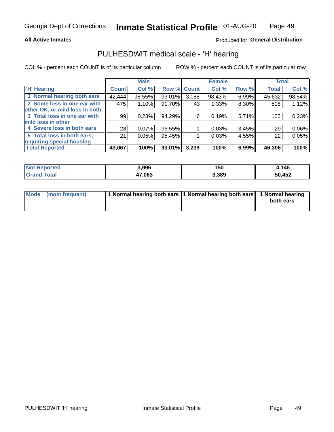#### **All Active Inmates**

#### Produced for General Distribution

### PULHESDWIT medical scale - 'H' hearing

COL % - percent each COUNT is of its particular column

|                                |              | <b>Male</b> |        |             | <b>Female</b> |       | <b>Total</b> |        |
|--------------------------------|--------------|-------------|--------|-------------|---------------|-------|--------------|--------|
| <b>H' Hearing</b>              | <b>Count</b> | Col %       |        | Row % Count | Col %         | Row % | <b>Total</b> | Col %  |
| 1 Normal hearing both ears     | 42,444       | 98.55%      | 93.01% | 3,188       | 98.43%        | 6.99% | 45,632       | 98.54% |
| 2 Some loss in one ear with    | 475          | 1.10%       | 91.70% | 43          | 1.33%         | 8.30% | 518          | 1.12%  |
| other OK, or mild loss in both |              |             |        |             |               |       |              |        |
| 3 Total loss in one ear with   | 99           | 0.23%       | 94.29% | 6           | 0.19%         | 5.71% | 105          | 0.23%  |
| mild loss in other             |              |             |        |             |               |       |              |        |
| 4 Severe loss in both ears     | 28           | $0.07\%$    | 96.55% |             | 0.03%         | 3.45% | 29           | 0.06%  |
| 5 Total loss in both ears,     | 21           | 0.05%       | 95.45% |             | 0.03%         | 4.55% | 22           | 0.05%  |
| requiring special housing      |              |             |        |             |               |       |              |        |
| <b>Total Reported</b>          | 43,067       | 100%        | 93.01% | 3,239       | 100%          | 6.99% | 46,306       | 100%   |

| <b>Not Renc</b><br><b>ported</b> | 3,996  | 150   | 146    |
|----------------------------------|--------|-------|--------|
| Total                            | 47,063 | 3,389 | 50,452 |

| Mode (most frequent) | 1 Normal hearing both ears 11 Normal hearing both ears 1 Normal hearing | both ears |
|----------------------|-------------------------------------------------------------------------|-----------|
|                      |                                                                         |           |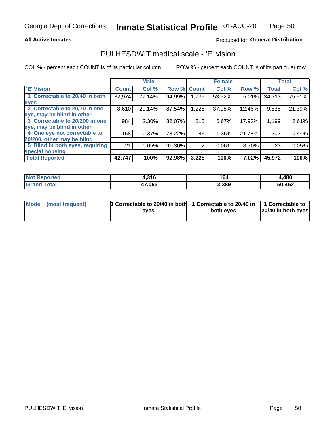#### **All Active Inmates**

### Produced for General Distribution

### PULHESDWIT medical scale - 'E' vision

COL % - percent each COUNT is of its particular column

|                                 |              | <b>Male</b> |             |       | <b>Female</b> |        |              | <b>Total</b> |
|---------------------------------|--------------|-------------|-------------|-------|---------------|--------|--------------|--------------|
| 'E' Vision                      | <b>Count</b> | Col %       | Row % Count |       | Col %         | Row %  | <b>Total</b> | Col %        |
| 1 Correctable to 20/40 in both  | 32,974       | 77.14%      | 94.99%      | 1,739 | 53.92%        | 5.01%  | 34,713       | 75.51%       |
| eyes                            |              |             |             |       |               |        |              |              |
| 2 Correctable to 20/70 in one   | 8,610        | 20.14%      | 87.54%      | 1,225 | 37.98%        | 12.46% | 9,835        | 21.39%       |
| eye, may be blind in other      |              |             |             |       |               |        |              |              |
| 3 Correctable to 20/200 in one  | 984          | 2.30%       | 82.07%      | 215   | 6.67%         | 17.93% | 1,199        | 2.61%        |
| eye, may be blind in other      |              |             |             |       |               |        |              |              |
| 4 One eye not correctable to    | 158          | 0.37%       | 78.22%      | 44    | 1.36%         | 21.78% | 202          | 0.44%        |
| 20/200, other may be blind      |              |             |             |       |               |        |              |              |
| 5 Blind in both eyes, requiring | 21           | 0.05%       | 91.30%      | 2     | 0.06%         | 8.70%  | 23           | 0.05%        |
| special housing                 |              |             |             |       |               |        |              |              |
| <b>Total Reported</b>           | 42,747       | 100%        | 92.98%      | 3,225 | 100%          | 7.02%  | 45,972       | 100%         |

| <b>Not Reported</b> | 4,316  | 164   | 4,480  |
|---------------------|--------|-------|--------|
| <b>Total</b>        | 47,063 | 3,389 | 50,452 |

| Mode (most frequent) | 1 Correctable to 20/40 in both<br>eves | 1 Correctable to 20/40 in   1 Correctable to  <br>both eves | 20/40 in both eyes |
|----------------------|----------------------------------------|-------------------------------------------------------------|--------------------|
|                      |                                        |                                                             |                    |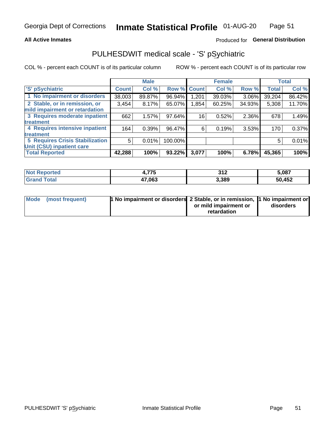#### **All Active Inmates**

### Produced for General Distribution

## PULHESDWIT medical scale - 'S' pSychiatric

COL % - percent each COUNT is of its particular column

|                                        |              | <b>Male</b> |         |             | <b>Female</b> |          |              | <b>Total</b> |
|----------------------------------------|--------------|-------------|---------|-------------|---------------|----------|--------------|--------------|
| 'S' pSychiatric                        | <b>Count</b> | Col %       |         | Row % Count | Col %         | Row %    | <b>Total</b> | Col %        |
| 1 No impairment or disorders           | 38,003       | 89.87%      | 96.94%  | 201.ا       | 39.03%        | $3.06\%$ | 39,204       | 86.42%       |
| 2 Stable, or in remission, or          | 3,454        | 8.17%       | 65.07%  | 1,854       | 60.25%        | 34.93%   | 5,308        | 11.70%       |
| mild impairment or retardation         |              |             |         |             |               |          |              |              |
| 3 Requires moderate inpatient          | 662          | 1.57%       | 97.64%  | 16          | 0.52%         | 2.36%    | 678          | 1.49%        |
| treatment                              |              |             |         |             |               |          |              |              |
| 4 Requires intensive inpatient         | 164          | 0.39%       | 96.47%  | 6           | 0.19%         | 3.53%    | 170          | 0.37%        |
| treatment                              |              |             |         |             |               |          |              |              |
| <b>5 Requires Crisis Stabilization</b> | 5            | 0.01%       | 100.00% |             |               |          | 5            | 0.01%        |
| Unit (CSU) inpatient care              |              |             |         |             |               |          |              |              |
| <b>Total Reported</b>                  | 42,288       | 100%        | 93.22%  | 3,077       | 100%          | 6.78%    | 45,365       | 100%         |

| <b>Not Reported</b> | 4,775  | 242<br>◡▮▴ | 5,087  |
|---------------------|--------|------------|--------|
| Total<br>' Grand    | 47,063 | 3,389      | 50,452 |

| Mode (most frequent) | <b>1 No impairment or disorders</b> 2 Stable, or in remission, 1 No impairment or |                       |           |
|----------------------|-----------------------------------------------------------------------------------|-----------------------|-----------|
|                      |                                                                                   | or mild impairment or | disorders |
|                      |                                                                                   | retardation           |           |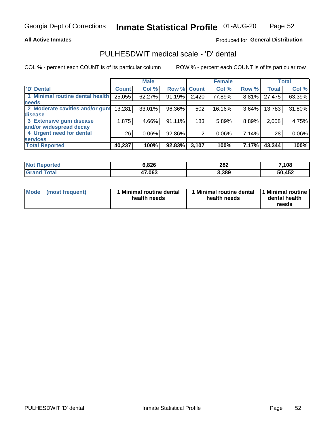#### **All Active Inmates**

### Produced for General Distribution

## PULHESDWIT medical scale - 'D' dental

COL % - percent each COUNT is of its particular column

|                                 |              | <b>Male</b> |        |             | <b>Female</b> |       |              | <b>Total</b> |
|---------------------------------|--------------|-------------|--------|-------------|---------------|-------|--------------|--------------|
| <b>D'</b> Dental                | <b>Count</b> | Col %       |        | Row % Count | Col %         | Row % | <b>Total</b> | Col %        |
| 1 Minimal routine dental health | 25,055       | 62.27%      | 91.19% | 2,420       | 77.89%        | 8.81% | 27,475       | 63.39%       |
| <b>needs</b>                    |              |             |        |             |               |       |              |              |
| 2 Moderate cavities and/or gum  | 13,281       | 33.01%      | 96.36% | 502         | 16.16%        | 3.64% | 13,783       | 31.80%       |
| disease                         |              |             |        |             |               |       |              |              |
| 3 Extensive gum disease         | 1,875        | 4.66%       | 91.11% | 183         | 5.89%         | 8.89% | 2,058        | 4.75%        |
| and/or widespread decay         |              |             |        |             |               |       |              |              |
| 4 Urgent need for dental        | 26           | 0.06%       | 92.86% | 2           | 0.06%         | 7.14% | 28           | 0.06%        |
| <b>services</b>                 |              |             |        |             |               |       |              |              |
| <b>Total Reported</b>           | 40,237       | 100%        | 92.83% | 3,107       | 100%          | 7.17% | 43,344       | 100%         |

| <b>Not Reported</b>       | 6,826  | 282   | ,108   |
|---------------------------|--------|-------|--------|
| $\mathsf{Total}$<br>Grand | 17,063 | 3,389 | 50,452 |

| <b>Mode</b> | (most frequent) | <b>Minimal routine dental</b><br>health needs | 1 Minimal routine dental 1 Minimal routine<br>health needs | dental health<br>needs |
|-------------|-----------------|-----------------------------------------------|------------------------------------------------------------|------------------------|
|-------------|-----------------|-----------------------------------------------|------------------------------------------------------------|------------------------|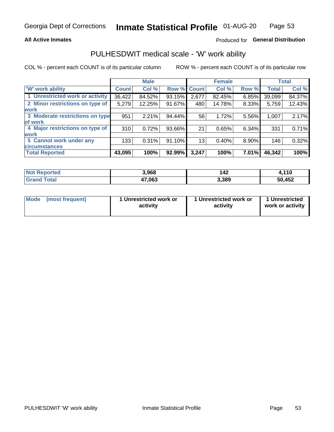#### **All Active Inmates**

### Produced for General Distribution

### PULHESDWIT medical scale - 'W' work ability

COL % - percent each COUNT is of its particular column

|                                 |              | <b>Male</b> |                    |       | <b>Female</b> |       |              | <b>Total</b> |
|---------------------------------|--------------|-------------|--------------------|-------|---------------|-------|--------------|--------------|
| <b>W'</b> work ability          | <b>Count</b> | Col %       | <b>Row % Count</b> |       | Col %         | Row % | <b>Total</b> | Col %        |
| 1 Unrestricted work or activity | 36,422       | 84.52%      | 93.15%             | 2,677 | 82.45%        | 6.85% | 39,099       | 84.37%       |
| 2 Minor restrictions on type of | 5,279        | 12.25%      | 91.67%             | 480   | 14.78%        | 8.33% | 5,759        | 12.43%       |
| <b>work</b>                     |              |             |                    |       |               |       |              |              |
| 3 Moderate restrictions on type | 951          | 2.21%       | 94.44%             | 56    | 1.72%         | 5.56% | 1,007        | 2.17%        |
| of work                         |              |             |                    |       |               |       |              |              |
| 4 Major restrictions on type of | 310          | 0.72%       | 93.66%             | 21    | 0.65%         | 6.34% | 331          | 0.71%        |
| <b>work</b>                     |              |             |                    |       |               |       |              |              |
| 5 Cannot work under any         | 133          | 0.31%       | 91.10%             | 13    | 0.40%         | 8.90% | 146          | 0.32%        |
| <b>circumstances</b>            |              |             |                    |       |               |       |              |              |
| <b>Total Reported</b>           | 43,095       | 100%        | 92.99%             | 3,247 | 100%          | 7.01% | 46,342       | 100%         |

| <b>Not Reported</b>          | 3,968  | 142   | l.110  |
|------------------------------|--------|-------|--------|
| <b>Total</b><br><b>Grand</b> | 47,063 | 3,389 | 50,452 |

| Mode            | 1 Unrestricted work or | 1 Unrestricted work or | 1 Unrestricted   |
|-----------------|------------------------|------------------------|------------------|
| (most frequent) | activity               | activity               | work or activity |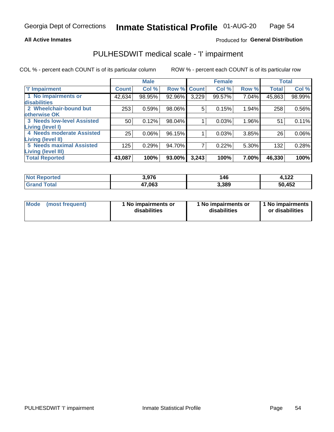#### **All Active Inmates**

### Produced for General Distribution

## PULHESDWIT medical scale - 'I' impairment

COL % - percent each COUNT is of its particular column

|                                                              |              | <b>Male</b> |        |             | <b>Female</b> |       |              | <b>Total</b> |
|--------------------------------------------------------------|--------------|-------------|--------|-------------|---------------|-------|--------------|--------------|
| <b>T' Impairment</b>                                         | <b>Count</b> | Col %       |        | Row % Count | Col %         | Row % | <b>Total</b> | Col %        |
| 1 No impairments or<br>disabilities                          | 42,634       | 98.95%      | 92.96% | 3,229       | 99.57%        | 7.04% | 45,863       | 98.99%       |
| 2 Wheelchair-bound but                                       | 253          | 0.59%       | 98.06% | 5           | 0.15%         | 1.94% | 258          | 0.56%        |
| otherwise OK<br><b>3 Needs low-level Assisted</b>            | 50           | 0.12%       | 98.04% |             | 0.03%         | 1.96% | 51           | 0.11%        |
| Living (level I)<br>4 Needs moderate Assisted                | 25           | 0.06%       | 96.15% |             | 0.03%         | 3.85% | 26           | $0.06\%$     |
| <b>Living (level II)</b>                                     |              |             |        |             |               |       |              |              |
| <b>5 Needs maximal Assisted</b><br><b>Living (level III)</b> | 125          | 0.29%       | 94.70% | 7           | 0.22%         | 5.30% | 132          | 0.28%        |
| <b>Total Reported</b>                                        | 43,087       | 100%        | 93.00% | 3,243       | 100%          | 7.00% | 46,330       | 100%         |

| <b>Not</b><br>Reported | 3,976  | 146   | 122<br>H. I 44 |
|------------------------|--------|-------|----------------|
| Total                  | 47,063 | 3,389 | 50,452         |

| Mode | (most frequent) | 1 No impairments or<br>disabilities | 1 No impairments or<br>disabilities | 1 No impairments<br>or disabilities |
|------|-----------------|-------------------------------------|-------------------------------------|-------------------------------------|
|------|-----------------|-------------------------------------|-------------------------------------|-------------------------------------|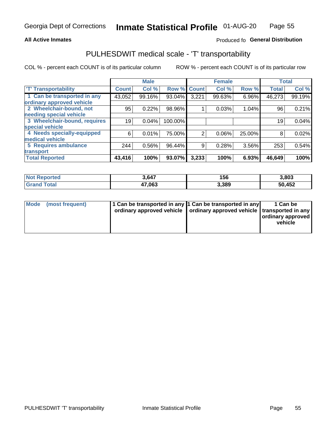#### **All Active Inmates**

### Produced fo General Distribution

### PULHESDWIT medical scale - 'T' transportability

COL % - percent each COUNT is of its particular column

|                              |              | <b>Male</b> |         |              | <b>Female</b> |        |              | <b>Total</b> |
|------------------------------|--------------|-------------|---------|--------------|---------------|--------|--------------|--------------|
| <b>T' Transportability</b>   | <b>Count</b> | Col %       | Row %   | <b>Count</b> | Col %         | Row %  | <b>Total</b> | Col %        |
| 1 Can be transported in any  | 43,052       | 99.16%      | 93.04%  | 3,221        | 99.63%        | 6.96%  | 46,273       | 99.19%       |
| ordinary approved vehicle    |              |             |         |              |               |        |              |              |
| 2 Wheelchair-bound, not      | 95           | 0.22%       | 98.96%  |              | 0.03%         | 1.04%  | 96           | 0.21%        |
| needing special vehicle      |              |             |         |              |               |        |              |              |
| 3 Wheelchair-bound, requires | 19           | 0.04%       | 100.00% |              |               |        | 19           | 0.04%        |
| special vehicle              |              |             |         |              |               |        |              |              |
| 4 Needs specially-equipped   | 6            | 0.01%       | 75.00%  | 2            | 0.06%         | 25.00% | 8            | 0.02%        |
| medical vehicle              |              |             |         |              |               |        |              |              |
| <b>5 Requires ambulance</b>  | 244          | 0.56%       | 96.44%  | 9            | 0.28%         | 3.56%  | 253          | 0.54%        |
| transport                    |              |             |         |              |               |        |              |              |
| <b>Total Reported</b>        | 43,416       | 100%        | 93.07%  | 3,233        | 100%          | 6.93%  | 46,649       | 100%         |

| <b>Not</b><br>Reported | 3,647  | 156   | 3,803  |
|------------------------|--------|-------|--------|
| <b>otal</b>            | 47,063 | 3,389 | 50,452 |

|  | Mode (most frequent) | 1 Can be transported in any 1 Can be transported in any<br>ordinary approved vehicle   ordinary approved vehicle   transported in any |  | 1 Can be<br>  ordinary approved  <br>vehicle |
|--|----------------------|---------------------------------------------------------------------------------------------------------------------------------------|--|----------------------------------------------|
|--|----------------------|---------------------------------------------------------------------------------------------------------------------------------------|--|----------------------------------------------|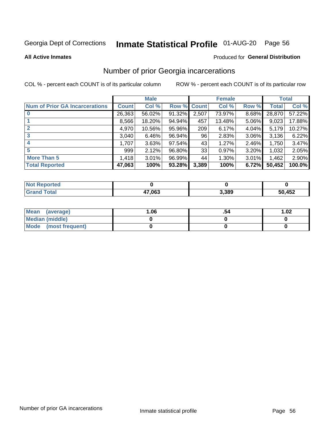## Inmate Statistical Profile 01-AUG-20 Page 56

**All Active Inmates** 

### **Produced for General Distribution**

### Number of prior Georgia incarcerations

COL % - percent each COUNT is of its particular column

|                                       |              | <b>Male</b> |                    |       | <b>Female</b> |          |        | <b>Total</b> |
|---------------------------------------|--------------|-------------|--------------------|-------|---------------|----------|--------|--------------|
| <b>Num of Prior GA Incarcerations</b> | <b>Count</b> | Col %       | <b>Row % Count</b> |       | Col %         | Row %    | Total  | Col %        |
| $\bf{0}$                              | 26,363       | 56.02%      | 91.32%             | 2,507 | 73.97%        | 8.68%    | 28,870 | 57.22%       |
|                                       | 8,566        | 18.20%      | 94.94%             | 457   | 13.48%        | 5.06%    | 9,023  | 17.88%       |
| 2                                     | 4,970        | 10.56%      | 95.96%             | 209   | 6.17%         | 4.04%    | 5,179  | 10.27%       |
| 3                                     | 3,040        | 6.46%       | 96.94%             | 96    | 2.83%         | $3.06\%$ | 3,136  | 6.22%        |
| 4                                     | 1,707        | 3.63%       | 97.54%             | 43    | 1.27%         | $2.46\%$ | 1,750  | 3.47%        |
| 5                                     | 999          | 2.12%       | 96.80%             | 33    | 0.97%         | 3.20%    | 1,032  | 2.05%        |
| <b>More Than 5</b>                    | 1,418        | 3.01%       | 96.99%             | 44    | 1.30%         | 3.01%    | 1,462  | 2.90%        |
| <b>Total Reported</b>                 | 47,063       | 100%        | 93.28%             | 3,389 | 100%          | 6.72%    | 50,452 | 100.0%       |

| <b>orted</b><br>NO |        |       |             |
|--------------------|--------|-------|-------------|
| <b>ota</b><br>Gr   | 47,063 | 3,389 | ,452<br>50. |

| Mean (average)       | 06.، | 1.02 |
|----------------------|------|------|
| Median (middle)      |      |      |
| Mode (most frequent) |      |      |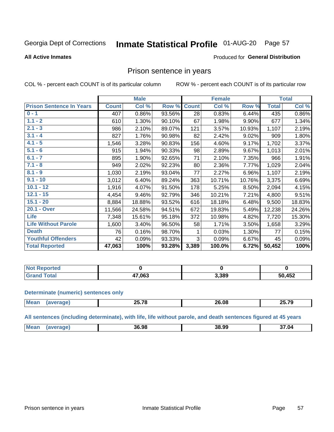#### **Inmate Statistical Profile 01-AUG-20** Page 57

#### **All Active Inmates**

#### Produced for General Distribution

### Prison sentence in years

COL % - percent each COUNT is of its particular column

ROW % - percent each COUNT is of its particular row

|                                 |              | <b>Male</b> |        |              | <b>Female</b> |        |              | <b>Total</b> |
|---------------------------------|--------------|-------------|--------|--------------|---------------|--------|--------------|--------------|
| <b>Prison Sentence In Years</b> | <b>Count</b> | Col %       | Row %  | <b>Count</b> | Col %         | Row %  | <b>Total</b> | Col %        |
| $0 - 1$                         | 407          | 0.86%       | 93.56% | 28           | 0.83%         | 6.44%  | 435          | 0.86%        |
| $1.1 - 2$                       | 610          | 1.30%       | 90.10% | 67           | 1.98%         | 9.90%  | 677          | 1.34%        |
| $2.1 - 3$                       | 986          | 2.10%       | 89.07% | 121          | 3.57%         | 10.93% | 1,107        | 2.19%        |
| $3.1 - 4$                       | 827          | 1.76%       | 90.98% | 82           | 2.42%         | 9.02%  | 909          | 1.80%        |
| $4.1 - 5$                       | 1,546        | 3.28%       | 90.83% | 156          | 4.60%         | 9.17%  | 1,702        | 3.37%        |
| $5.1 - 6$                       | 915          | 1.94%       | 90.33% | 98           | 2.89%         | 9.67%  | 1,013        | 2.01%        |
| $6.1 - 7$                       | 895          | 1.90%       | 92.65% | 71           | 2.10%         | 7.35%  | 966          | 1.91%        |
| $7.1 - 8$                       | 949          | 2.02%       | 92.23% | 80           | 2.36%         | 7.77%  | 1,029        | 2.04%        |
| $8.1 - 9$                       | 1,030        | 2.19%       | 93.04% | 77           | 2.27%         | 6.96%  | 1,107        | 2.19%        |
| $9.1 - 10$                      | 3,012        | 6.40%       | 89.24% | 363          | 10.71%        | 10.76% | 3,375        | 6.69%        |
| $10.1 - 12$                     | 1,916        | 4.07%       | 91.50% | 178          | 5.25%         | 8.50%  | 2,094        | 4.15%        |
| $12.1 - 15$                     | 4,454        | 9.46%       | 92.79% | 346          | 10.21%        | 7.21%  | 4,800        | 9.51%        |
| $15.1 - 20$                     | 8,884        | 18.88%      | 93.52% | 616          | 18.18%        | 6.48%  | 9,500        | 18.83%       |
| 20.1 - Over                     | 11,566       | 24.58%      | 94.51% | 672          | 19.83%        | 5.49%  | 12,238       | 24.26%       |
| <b>Life</b>                     | 7,348        | 15.61%      | 95.18% | 372          | 10.98%        | 4.82%  | 7,720        | 15.30%       |
| <b>Life Without Parole</b>      | 1,600        | 3.40%       | 96.50% | 58           | 1.71%         | 3.50%  | 1,658        | 3.29%        |
| <b>Death</b>                    | 76           | 0.16%       | 98.70% |              | 0.03%         | 1.30%  | 77           | 0.15%        |
| <b>Youthful Offenders</b>       | 42           | 0.09%       | 93.33% | 3            | 0.09%         | 6.67%  | 45           | 0.09%        |
| <b>Total Reported</b>           | 47,063       | 100%        | 93.28% | 3,389        | 100.0%        | 6.72%  | 50,452       | 100%         |

| : Reported<br>I NOT |        |       |        |
|---------------------|--------|-------|--------|
| otal <sub></sub>    | 47,063 | 3,389 | 50,452 |

#### **Determinate (numeric) sentences only**

| <b>Mean</b> | or 70 | ጋፍ በዖ<br>---- | 25 70 |
|-------------|-------|---------------|-------|
|             |       |               |       |

All sentences (including determinate), with life, life without parole, and death sentences figured at 45 years

| Mean | 36.98 | 38.99 | 37.04 |
|------|-------|-------|-------|
|      |       |       |       |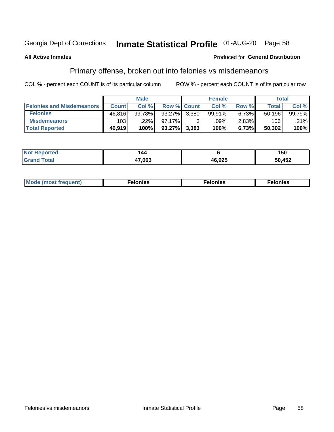## Inmate Statistical Profile 01-AUG-20 Page 58

#### **All Active Inmates**

#### Produced for General Distribution

### Primary offense, broken out into felonies vs misdemeanors

COL % - percent each COUNT is of its particular column

|                                  | <b>Male</b>  |        |             |       | <b>Female</b> | Total    |        |        |
|----------------------------------|--------------|--------|-------------|-------|---------------|----------|--------|--------|
| <b>Felonies and Misdemeanors</b> | <b>Count</b> | Col %  | Row % Count |       | Col %         | Row %    | Total  | Col%   |
| <b>Felonies</b>                  | 46,816       | 99.78% | 93.27%      | 3.380 | 99.91%        | $6.73\%$ | 50,196 | 99.79% |
| <b>Misdemeanors</b>              | 103          | .22%   | $97.17\%$   |       | .09%          | $2.83\%$ | 106    | .21%   |
| <b>Total Reported</b>            | 46,919       | 100%   | $93.27\%$   | 3,383 | 100%          | 6.73%    | 50,302 | 100%   |

| <b>Not Reported</b> | 144    |        | 150    |
|---------------------|--------|--------|--------|
| ' Grand<br>⊺otal    | 17,063 | 46,925 | 50,452 |

| M      | .    | nes | onies |
|--------|------|-----|-------|
| nuenti | ____ | .   | .     |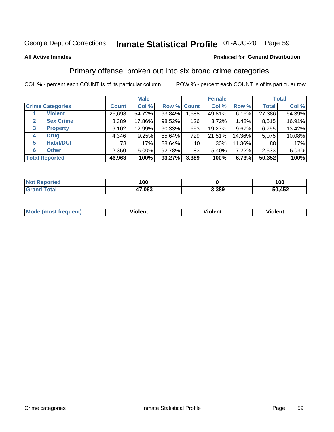## Inmate Statistical Profile 01-AUG-20 Page 59

#### **All Active Inmates**

#### Produced for General Distribution

### Primary offense, broken out into six broad crime categories

COL % - percent each COUNT is of its particular column

|                                 | <b>Male</b>  |         |        |                 | <b>Female</b> | <b>Total</b> |              |        |
|---------------------------------|--------------|---------|--------|-----------------|---------------|--------------|--------------|--------|
| <b>Crime Categories</b>         | <b>Count</b> | Col %   |        | Row % Count     | Col %         | Row %        | <b>Total</b> | Col %  |
| <b>Violent</b>                  | 25,698       | 54.72%  | 93.84% | 1,688           | 49.81%        | 6.16%        | 27,386       | 54.39% |
| <b>Sex Crime</b><br>2           | 8,389        | 17.86%  | 98.52% | 126             | 3.72%         | 1.48%        | 8,515        | 16.91% |
| $\mathbf{3}$<br><b>Property</b> | 6,102        | 12.99%  | 90.33% | 653             | 19.27%        | 9.67%        | 6,755        | 13.42% |
| <b>Drug</b><br>4                | 4,346        | 9.25%   | 85.64% | 729             | 21.51%        | 14.36%       | 5,075        | 10.08% |
| <b>Habit/DUI</b><br>5           | 78           | $.17\%$ | 88.64% | 10 <sup>1</sup> | $.30\%$       | 11.36%       | 88           | .17%   |
| <b>Other</b><br>6               | 2,350        | 5.00%   | 92.78% | 183             | 5.40%         | 7.22%        | 2,533        | 5.03%  |
| <b>Total Reported</b>           | 46,963       | 100%    | 93.27% | 3,389           | 100%          | 6.73%        | 50,352       | 100%   |

| Reported<br>Not F | 100    |       | 100    |
|-------------------|--------|-------|--------|
| Total<br>'Grano   | 47,063 | 3,389 | 50,452 |

| M | - --<br>1010111 | .<br><b>VIOIGIIL</b> | 1.91311 |
|---|-----------------|----------------------|---------|
|   |                 |                      |         |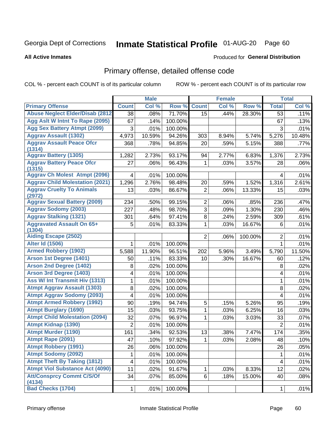# Inmate Statistical Profile 01-AUG-20 Page 60

**All Active Inmates** 

#### Produced for General Distribution

## Primary offense, detailed offense code

COL % - percent each COUNT is of its particular column

| <b>Primary Offense</b><br><b>Count</b><br>Col %<br>Row %<br><b>Count</b><br>Col %<br>Row %<br>Col %<br><b>Total</b><br><b>Abuse Neglect Elder/Disab (2812)</b><br>71.70%<br>28.30%<br>.11%<br>38<br>.08%<br>15<br>.44%<br>53<br>Agg Aslt W Intnt To Rape (2095)<br>67<br>100.00%<br>67<br>.13%<br>.14%<br><b>Agg Sex Battery Atmpt (2099)</b><br>3<br>.01%<br>100.00%<br>3<br>.01%<br><b>Aggrav Assault (1302)</b><br>10.48%<br>4,973<br>10.59%<br>94.26%<br>8.94%<br>5.74%<br>5,276<br>303<br><b>Aggrav Assault Peace Ofcr</b><br>368<br>.78%<br>94.85%<br>.59%<br>5.15%<br>.77%<br>20<br>388<br>(1314)<br><b>Aggrav Battery (1305)</b><br>2.73%<br>93.17%<br>2.77%<br>2.73%<br>1,282<br>94<br>6.83%<br>1,376<br><b>Aggrav Battery Peace Ofcr</b><br>27<br>96.43%<br>1<br>3.57%<br>.06%<br>.06%<br>.03%<br>28<br>(1315)<br><b>Aggrav Ch Molest Atmpt (2096)</b><br>100.00%<br>.01%<br>4<br>.01%<br>4<br><b>Aggrav Child Molestation (2021)</b><br>1,296<br>2.76%<br>98.48%<br>20<br>1.52%<br>1,316<br>2.61%<br>.59%<br><b>Aggrav Cruelty To Animals</b><br>86.67%<br>$\overline{2}$<br>13<br>.03%<br>.06%<br>13.33%<br>15<br>.03%<br>(2972)<br><b>Aggrav Sexual Battery (2009)</b><br>$\overline{2}$<br>99.15%<br>236<br>.47%<br>234<br>.50%<br>.06%<br>.85%<br><b>Aggrav Sodomy (2003)</b><br>3<br>227<br>.48%<br>98.70%<br>1.30%<br>230<br>.46%<br>.09%<br><b>Aggrav Stalking (1321)</b><br>8<br>97.41%<br>301<br>.64%<br>.24%<br>2.59%<br>309<br>.61%<br><b>Aggravated Assault On 65+</b><br>.01%<br>5<br>.01%<br>83.33%<br>1<br>.03%<br>16.67%<br>6<br>(1304)<br><b>Aiding Escape (2502)</b><br>$\overline{2}$<br>$\overline{2}$<br>100.00%<br>.01%<br>.06%<br><b>Alter Id (1506)</b><br>.01%<br>.01%<br>100.00%<br>$\mathbf{1}$<br>1 |
|--------------------------------------------------------------------------------------------------------------------------------------------------------------------------------------------------------------------------------------------------------------------------------------------------------------------------------------------------------------------------------------------------------------------------------------------------------------------------------------------------------------------------------------------------------------------------------------------------------------------------------------------------------------------------------------------------------------------------------------------------------------------------------------------------------------------------------------------------------------------------------------------------------------------------------------------------------------------------------------------------------------------------------------------------------------------------------------------------------------------------------------------------------------------------------------------------------------------------------------------------------------------------------------------------------------------------------------------------------------------------------------------------------------------------------------------------------------------------------------------------------------------------------------------------------------------------------------------------------------------------------------------------------------------------------------------------------------------------------------------|
|                                                                                                                                                                                                                                                                                                                                                                                                                                                                                                                                                                                                                                                                                                                                                                                                                                                                                                                                                                                                                                                                                                                                                                                                                                                                                                                                                                                                                                                                                                                                                                                                                                                                                                                                            |
|                                                                                                                                                                                                                                                                                                                                                                                                                                                                                                                                                                                                                                                                                                                                                                                                                                                                                                                                                                                                                                                                                                                                                                                                                                                                                                                                                                                                                                                                                                                                                                                                                                                                                                                                            |
|                                                                                                                                                                                                                                                                                                                                                                                                                                                                                                                                                                                                                                                                                                                                                                                                                                                                                                                                                                                                                                                                                                                                                                                                                                                                                                                                                                                                                                                                                                                                                                                                                                                                                                                                            |
|                                                                                                                                                                                                                                                                                                                                                                                                                                                                                                                                                                                                                                                                                                                                                                                                                                                                                                                                                                                                                                                                                                                                                                                                                                                                                                                                                                                                                                                                                                                                                                                                                                                                                                                                            |
|                                                                                                                                                                                                                                                                                                                                                                                                                                                                                                                                                                                                                                                                                                                                                                                                                                                                                                                                                                                                                                                                                                                                                                                                                                                                                                                                                                                                                                                                                                                                                                                                                                                                                                                                            |
|                                                                                                                                                                                                                                                                                                                                                                                                                                                                                                                                                                                                                                                                                                                                                                                                                                                                                                                                                                                                                                                                                                                                                                                                                                                                                                                                                                                                                                                                                                                                                                                                                                                                                                                                            |
|                                                                                                                                                                                                                                                                                                                                                                                                                                                                                                                                                                                                                                                                                                                                                                                                                                                                                                                                                                                                                                                                                                                                                                                                                                                                                                                                                                                                                                                                                                                                                                                                                                                                                                                                            |
|                                                                                                                                                                                                                                                                                                                                                                                                                                                                                                                                                                                                                                                                                                                                                                                                                                                                                                                                                                                                                                                                                                                                                                                                                                                                                                                                                                                                                                                                                                                                                                                                                                                                                                                                            |
|                                                                                                                                                                                                                                                                                                                                                                                                                                                                                                                                                                                                                                                                                                                                                                                                                                                                                                                                                                                                                                                                                                                                                                                                                                                                                                                                                                                                                                                                                                                                                                                                                                                                                                                                            |
|                                                                                                                                                                                                                                                                                                                                                                                                                                                                                                                                                                                                                                                                                                                                                                                                                                                                                                                                                                                                                                                                                                                                                                                                                                                                                                                                                                                                                                                                                                                                                                                                                                                                                                                                            |
|                                                                                                                                                                                                                                                                                                                                                                                                                                                                                                                                                                                                                                                                                                                                                                                                                                                                                                                                                                                                                                                                                                                                                                                                                                                                                                                                                                                                                                                                                                                                                                                                                                                                                                                                            |
|                                                                                                                                                                                                                                                                                                                                                                                                                                                                                                                                                                                                                                                                                                                                                                                                                                                                                                                                                                                                                                                                                                                                                                                                                                                                                                                                                                                                                                                                                                                                                                                                                                                                                                                                            |
|                                                                                                                                                                                                                                                                                                                                                                                                                                                                                                                                                                                                                                                                                                                                                                                                                                                                                                                                                                                                                                                                                                                                                                                                                                                                                                                                                                                                                                                                                                                                                                                                                                                                                                                                            |
|                                                                                                                                                                                                                                                                                                                                                                                                                                                                                                                                                                                                                                                                                                                                                                                                                                                                                                                                                                                                                                                                                                                                                                                                                                                                                                                                                                                                                                                                                                                                                                                                                                                                                                                                            |
|                                                                                                                                                                                                                                                                                                                                                                                                                                                                                                                                                                                                                                                                                                                                                                                                                                                                                                                                                                                                                                                                                                                                                                                                                                                                                                                                                                                                                                                                                                                                                                                                                                                                                                                                            |
|                                                                                                                                                                                                                                                                                                                                                                                                                                                                                                                                                                                                                                                                                                                                                                                                                                                                                                                                                                                                                                                                                                                                                                                                                                                                                                                                                                                                                                                                                                                                                                                                                                                                                                                                            |
|                                                                                                                                                                                                                                                                                                                                                                                                                                                                                                                                                                                                                                                                                                                                                                                                                                                                                                                                                                                                                                                                                                                                                                                                                                                                                                                                                                                                                                                                                                                                                                                                                                                                                                                                            |
|                                                                                                                                                                                                                                                                                                                                                                                                                                                                                                                                                                                                                                                                                                                                                                                                                                                                                                                                                                                                                                                                                                                                                                                                                                                                                                                                                                                                                                                                                                                                                                                                                                                                                                                                            |
|                                                                                                                                                                                                                                                                                                                                                                                                                                                                                                                                                                                                                                                                                                                                                                                                                                                                                                                                                                                                                                                                                                                                                                                                                                                                                                                                                                                                                                                                                                                                                                                                                                                                                                                                            |
| <b>Armed Robbery (1902)</b><br>11.90%<br>96.51%<br>3.49%<br>11.50%<br>5,588<br>202<br>5.96%<br>5,790                                                                                                                                                                                                                                                                                                                                                                                                                                                                                                                                                                                                                                                                                                                                                                                                                                                                                                                                                                                                                                                                                                                                                                                                                                                                                                                                                                                                                                                                                                                                                                                                                                       |
| Arson 1st Degree (1401)<br>83.33%<br>.12%<br>50<br>.11%<br>10<br>.30%<br>16.67%<br>60                                                                                                                                                                                                                                                                                                                                                                                                                                                                                                                                                                                                                                                                                                                                                                                                                                                                                                                                                                                                                                                                                                                                                                                                                                                                                                                                                                                                                                                                                                                                                                                                                                                      |
| <b>Arson 2nd Degree (1402)</b><br>8<br>.02%<br>100.00%<br>.02%<br>8                                                                                                                                                                                                                                                                                                                                                                                                                                                                                                                                                                                                                                                                                                                                                                                                                                                                                                                                                                                                                                                                                                                                                                                                                                                                                                                                                                                                                                                                                                                                                                                                                                                                        |
| <b>Arson 3rd Degree (1403)</b><br>4<br>.01%<br>100.00%<br>.01%<br>4                                                                                                                                                                                                                                                                                                                                                                                                                                                                                                                                                                                                                                                                                                                                                                                                                                                                                                                                                                                                                                                                                                                                                                                                                                                                                                                                                                                                                                                                                                                                                                                                                                                                        |
| <b>Ass W/ Int Transmit Hiv (1313)</b><br>1<br>.01%<br>100.00%<br>$\mathbf{1}$<br>.01%                                                                                                                                                                                                                                                                                                                                                                                                                                                                                                                                                                                                                                                                                                                                                                                                                                                                                                                                                                                                                                                                                                                                                                                                                                                                                                                                                                                                                                                                                                                                                                                                                                                      |
| <b>Atmpt Aggrav Assault (1303)</b><br>8<br>.02%<br>100.00%<br>8<br>.02%                                                                                                                                                                                                                                                                                                                                                                                                                                                                                                                                                                                                                                                                                                                                                                                                                                                                                                                                                                                                                                                                                                                                                                                                                                                                                                                                                                                                                                                                                                                                                                                                                                                                    |
| <b>Atmpt Aggrav Sodomy (2093)</b><br>4<br>100.00%<br>.01%<br>.01%<br>4                                                                                                                                                                                                                                                                                                                                                                                                                                                                                                                                                                                                                                                                                                                                                                                                                                                                                                                                                                                                                                                                                                                                                                                                                                                                                                                                                                                                                                                                                                                                                                                                                                                                     |
| <b>Atmpt Armed Robbery (1992)</b><br>90<br>.19%<br>94.74%<br>5<br>5.26%<br>.19%<br>.15%<br>95                                                                                                                                                                                                                                                                                                                                                                                                                                                                                                                                                                                                                                                                                                                                                                                                                                                                                                                                                                                                                                                                                                                                                                                                                                                                                                                                                                                                                                                                                                                                                                                                                                              |
| <b>Atmpt Burglary (1690)</b><br>$\mathbf{1}$<br>15<br>93.75%<br>6.25%<br>.03%<br>.03%<br>.03%<br>16                                                                                                                                                                                                                                                                                                                                                                                                                                                                                                                                                                                                                                                                                                                                                                                                                                                                                                                                                                                                                                                                                                                                                                                                                                                                                                                                                                                                                                                                                                                                                                                                                                        |
| <b>Atmpt Child Molestation (2094)</b><br>32<br>.07%<br>96.97%<br>1<br>.03%<br>3.03%<br>33<br>.07%                                                                                                                                                                                                                                                                                                                                                                                                                                                                                                                                                                                                                                                                                                                                                                                                                                                                                                                                                                                                                                                                                                                                                                                                                                                                                                                                                                                                                                                                                                                                                                                                                                          |
| <b>Atmpt Kidnap (1390)</b><br>$\overline{2}$<br>.01%<br>100.00%<br>$\overline{2}$<br>.01%                                                                                                                                                                                                                                                                                                                                                                                                                                                                                                                                                                                                                                                                                                                                                                                                                                                                                                                                                                                                                                                                                                                                                                                                                                                                                                                                                                                                                                                                                                                                                                                                                                                  |
| <b>Atmpt Murder (1190)</b><br>.35%<br>161<br>.34%<br>92.53%<br>13<br>.38%<br>7.47%<br>174                                                                                                                                                                                                                                                                                                                                                                                                                                                                                                                                                                                                                                                                                                                                                                                                                                                                                                                                                                                                                                                                                                                                                                                                                                                                                                                                                                                                                                                                                                                                                                                                                                                  |
| Atmpt Rape (2091)<br>.10%<br>47<br>.10%<br>97.92%<br>$\overline{1}$<br>.03%<br>2.08%<br>48                                                                                                                                                                                                                                                                                                                                                                                                                                                                                                                                                                                                                                                                                                                                                                                                                                                                                                                                                                                                                                                                                                                                                                                                                                                                                                                                                                                                                                                                                                                                                                                                                                                 |
| <b>Atmpt Robbery (1991)</b><br>26<br>26<br>.06%<br>100.00%<br>.05%                                                                                                                                                                                                                                                                                                                                                                                                                                                                                                                                                                                                                                                                                                                                                                                                                                                                                                                                                                                                                                                                                                                                                                                                                                                                                                                                                                                                                                                                                                                                                                                                                                                                         |
| <b>Atmpt Sodomy (2092)</b><br>.01%<br>100.00%<br>.01%<br>1<br>1                                                                                                                                                                                                                                                                                                                                                                                                                                                                                                                                                                                                                                                                                                                                                                                                                                                                                                                                                                                                                                                                                                                                                                                                                                                                                                                                                                                                                                                                                                                                                                                                                                                                            |
| <b>Atmpt Theft By Taking (1812)</b><br>4<br>.01%<br>100.00%<br>.01%<br>4                                                                                                                                                                                                                                                                                                                                                                                                                                                                                                                                                                                                                                                                                                                                                                                                                                                                                                                                                                                                                                                                                                                                                                                                                                                                                                                                                                                                                                                                                                                                                                                                                                                                   |
| <b>Atmpt Viol Substance Act (4090)</b><br>11<br>.02%<br>91.67%<br>$\mathbf{1}$<br>12<br>.03%<br>8.33%<br>.02%                                                                                                                                                                                                                                                                                                                                                                                                                                                                                                                                                                                                                                                                                                                                                                                                                                                                                                                                                                                                                                                                                                                                                                                                                                                                                                                                                                                                                                                                                                                                                                                                                              |
| <b>Att/Consprcy Commt C/S/Of</b><br>$\overline{3}4$<br>85.00%<br>.18%<br>.07%<br>6<br>15.00%<br>40<br>.08%<br>(4134)                                                                                                                                                                                                                                                                                                                                                                                                                                                                                                                                                                                                                                                                                                                                                                                                                                                                                                                                                                                                                                                                                                                                                                                                                                                                                                                                                                                                                                                                                                                                                                                                                       |
| <b>Bad Checks (1704)</b><br>$\mathbf{1}$<br>.01%<br>100.00%<br>.01%<br>$\mathbf{1}$                                                                                                                                                                                                                                                                                                                                                                                                                                                                                                                                                                                                                                                                                                                                                                                                                                                                                                                                                                                                                                                                                                                                                                                                                                                                                                                                                                                                                                                                                                                                                                                                                                                        |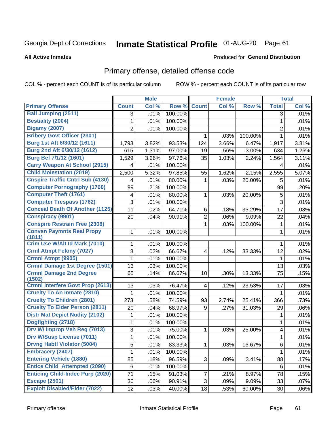# Inmate Statistical Profile 01-AUG-20 Page 61

**All Active Inmates** 

#### Produced for General Distribution

## Primary offense, detailed offense code

COL % - percent each COUNT is of its particular column

|                                          |              | <b>Male</b> |         |                         | <b>Female</b> |         |                | <b>Total</b> |
|------------------------------------------|--------------|-------------|---------|-------------------------|---------------|---------|----------------|--------------|
| <b>Primary Offense</b>                   | <b>Count</b> | Col %       | Row %   | <b>Count</b>            | Col %         | Row %   | <b>Total</b>   | Col %        |
| <b>Bail Jumping (2511)</b>               | 3            | .01%        | 100.00% |                         |               |         | 3              | .01%         |
| <b>Bestiality (2004)</b>                 | 1            | .01%        | 100.00% |                         |               |         | 1              | .01%         |
| <b>Bigamy (2007)</b>                     | 2            | .01%        | 100.00% |                         |               |         | $\overline{2}$ | .01%         |
| <b>Bribery Govt Officer (2301)</b>       |              |             |         | 1                       | .03%          | 100.00% | 1              | .01%         |
| Burg 1st Aft 6/30/12 (1611)              | 1,793        | 3.82%       | 93.53%  | 124                     | 3.66%         | 6.47%   | 1,917          | 3.81%        |
| Burg 2nd Aft 6/30/12 (1612)              | 615          | 1.31%       | 97.00%  | 19                      | .56%          | 3.00%   | 634            | 1.26%        |
| Burg Bef 7/1/12 (1601)                   | 1,529        | 3.26%       | 97.76%  | 35                      | 1.03%         | 2.24%   | 1,564          | 3.11%        |
| <b>Carry Weapon At School (2915)</b>     | 4            | .01%        | 100.00% |                         |               |         | 4              | .01%         |
| <b>Child Molestation (2019)</b>          | 2,500        | 5.32%       | 97.85%  | 55                      | 1.62%         | 2.15%   | 2,555          | 5.07%        |
| <b>Cnspire Traffic Cntrl Sub (4130)</b>  | 4            | .01%        | 80.00%  | 1                       | .03%          | 20.00%  | 5              | .01%         |
| <b>Computer Pornography (1760)</b>       | 99           | .21%        | 100.00% |                         |               |         | 99             | .20%         |
| <b>Computer Theft (1761)</b>             | 4            | .01%        | 80.00%  | 1                       | .03%          | 20.00%  | 5              | .01%         |
| <b>Computer Trespass (1762)</b>          | 3            | .01%        | 100.00% |                         |               |         | 3              | .01%         |
| <b>Conceal Death Of Another (1125)</b>   | 11           | .02%        | 64.71%  | 6                       | .18%          | 35.29%  | 17             | .03%         |
| <b>Conspiracy (9901)</b>                 | 20           | .04%        | 90.91%  | $\overline{2}$          | .06%          | 9.09%   | 22             | .04%         |
| <b>Conspire Restrain Free (2308)</b>     |              |             |         | 1                       | .03%          | 100.00% | 1              | .01%         |
| <b>Convsn Paymnts Real Propy</b>         | 1            | .01%        | 100.00% |                         |               |         | 1              | .01%         |
| (1811)                                   |              |             |         |                         |               |         |                |              |
| Crim Use W/Alt Id Mark (7010)            | 1            | .01%        | 100.00% |                         |               |         | 1              | .01%         |
| <b>Crml Atmpt Felony (7027)</b>          | 8            | .02%        | 66.67%  | 4                       | .12%          | 33.33%  | 12             | .02%         |
| Crmnl Atmpt (9905)                       | 1            | .01%        | 100.00% |                         |               |         | 1              | .01%         |
| <b>Crmnl Damage 1st Degree (1501)</b>    | 13           | .03%        | 100.00% |                         |               |         | 13             | .03%         |
| <b>Crmnl Damage 2nd Degree</b><br>(1502) | 65           | .14%        | 86.67%  | 10                      | .30%          | 13.33%  | 75             | .15%         |
| <b>Crmnl Interfere Govt Prop (2613)</b>  | 13           | .03%        | 76.47%  | $\overline{\mathbf{4}}$ | .12%          | 23.53%  | 17             | .03%         |
| <b>Cruelty To An Inmate (2810)</b>       | 1            | .01%        | 100.00% |                         |               |         | 1              | .01%         |
| <b>Cruelty To Children (2801)</b>        | 273          | .58%        | 74.59%  | 93                      | 2.74%         | 25.41%  | 366            | .73%         |
| <b>Cruelty To Elder Person (2811)</b>    | 20           | .04%        | 68.97%  | 9                       | .27%          | 31.03%  | 29             | .06%         |
| <b>Distr Mat Depict Nudity (2102)</b>    | 1            | .01%        | 100.00% |                         |               |         | 1              | .01%         |
| Dogfighting (2718)                       | 1            | .01%        | 100.00% |                         |               |         | 1              | .01%         |
| Drv W/ Improp Veh Reg (7013)             | 3            | .01%        | 75.00%  | 1                       | .03%          | 25.00%  | 4              | .01%         |
| <b>Drv W/Susp License (7011)</b>         | 1            | .01%        | 100.00% |                         |               |         | $\mathbf 1$    | .01%         |
| <b>Drvng Habtl Violator (5004)</b>       | 5            | .01%        | 83.33%  | 1                       | .03%          | 16.67%  | 6              | .01%         |
| <b>Embracery (2407)</b>                  | 1.           | .01%        | 100.00% |                         |               |         | 1              | .01%         |
| <b>Entering Vehicle (1880)</b>           | 85           | .18%        | 96.59%  | 3                       | .09%          | 3.41%   | 88             | .17%         |
| <b>Entice Child Attempted (2090)</b>     | 6            | .01%        | 100.00% |                         |               |         | 6              | .01%         |
| <b>Enticing Child-Indec Purp (2020)</b>  | 71           | .15%        | 91.03%  | $\overline{7}$          | .21%          | 8.97%   | 78             | .15%         |
| <b>Escape (2501)</b>                     | 30           | .06%        | 90.91%  | 3                       | .09%          | 9.09%   | 33             | .07%         |
| <b>Exploit Disabled/Elder (7022)</b>     | 12           | .03%        | 40.00%  | 18                      | .53%          | 60.00%  | 30             | .06%         |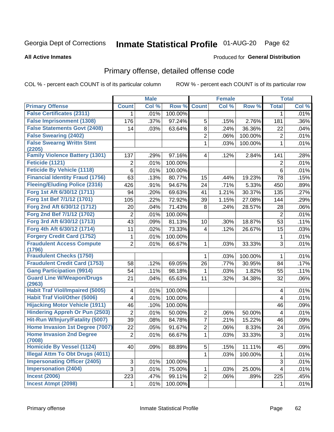# Inmate Statistical Profile 01-AUG-20 Page 62

#### **All Active Inmates**

#### Produced for General Distribution

## Primary offense, detailed offense code

COL % - percent each COUNT is of its particular column

|                                                  |                | <b>Male</b> |         |                         | <b>Female</b> |         |                          | <b>Total</b> |
|--------------------------------------------------|----------------|-------------|---------|-------------------------|---------------|---------|--------------------------|--------------|
| <b>Primary Offense</b>                           | <b>Count</b>   | Col %       | Row %   | <b>Count</b>            | Col %         | Row %   | <b>Total</b>             | Col %        |
| <b>False Certificates (2311)</b>                 | 1              | .01%        | 100.00% |                         |               |         | 1                        | .01%         |
| <b>False Imprisonment (1308)</b>                 | 176            | .37%        | 97.24%  | 5                       | .15%          | 2.76%   | 181                      | .36%         |
| <b>False Statements Govt (2408)</b>              | 14             | .03%        | 63.64%  | 8                       | .24%          | 36.36%  | 22                       | .04%         |
| <b>False Swearing (2402)</b>                     |                |             |         | $\overline{2}$          | .06%          | 100.00% | $\overline{2}$           | .01%         |
| <b>False Swearng Writtn Stmt</b>                 |                |             |         | $\mathbf 1$             | .03%          | 100.00% | 1                        | .01%         |
| (2205)                                           |                |             |         |                         |               |         |                          |              |
| <b>Family Violence Battery (1301)</b>            | 137            | .29%        | 97.16%  | $\overline{\mathbf{4}}$ | .12%          | 2.84%   | 141                      | .28%         |
| Feticide (1121)                                  | 2              | .01%        | 100.00% |                         |               |         | $\overline{2}$           | .01%         |
| <b>Feticide By Vehicle (1118)</b>                | 6              | .01%        | 100.00% |                         |               |         | 6                        | .01%         |
| <b>Financial Identity Fraud (1756)</b>           | 63             | .13%        | 80.77%  | 15                      | .44%          | 19.23%  | 78                       | .15%         |
| <b>Fleeing/Eluding Police (2316)</b>             | 426            | .91%        | 94.67%  | 24                      | .71%          | 5.33%   | 450                      | .89%         |
| Forg 1st Aft 6/30/12 (1711)                      | 94             | .20%        | 69.63%  | 41                      | 1.21%         | 30.37%  | 135                      | .27%         |
| Forg 1st Bef 7/1/12 (1701)                       | 105            | .22%        | 72.92%  | 39                      | 1.15%         | 27.08%  | 144                      | .29%         |
| Forg 2nd Aft 6/30/12 (1712)                      | 20             | .04%        | 71.43%  | 8                       | .24%          | 28.57%  | 28                       | .06%         |
| Forg 2nd Bef 7/1/12 (1702)                       | $\overline{2}$ | .01%        | 100.00% |                         |               |         | $\overline{2}$           | .01%         |
| Forg 3rd Aft 6/30/12 (1713)                      | 43             | .09%        | 81.13%  | 10                      | .30%          | 18.87%  | 53                       | .11%         |
| Forg 4th Aft 6/30/12 (1714)                      | 11             | .02%        | 73.33%  | $\overline{\mathbf{4}}$ | .12%          | 26.67%  | 15                       | .03%         |
| <b>Forgery Credit Card (1752)</b>                | 1              | .01%        | 100.00% |                         |               |         | 1                        | .01%         |
| <b>Fraudulent Access Compute</b>                 | $\overline{2}$ | .01%        | 66.67%  | $\mathbf 1$             | .03%          | 33.33%  | 3                        | .01%         |
| (1796)                                           |                |             |         |                         |               |         |                          |              |
| <b>Fraudulent Checks (1750)</b>                  |                |             |         | 1                       | .03%          | 100.00% | 1                        | .01%         |
| <b>Fraudulent Credit Card (1753)</b>             | 58             | .12%        | 69.05%  | 26                      | .77%          | 30.95%  | 84                       | .17%         |
| <b>Gang Participation (9914)</b>                 | 54             | .11%        | 98.18%  | 1                       | .03%          | 1.82%   | 55                       | .11%         |
| <b>Guard Line W/Weapon/Drugs</b>                 | 21             | .04%        | 65.63%  | 11                      | .32%          | 34.38%  | 32                       | .06%         |
| (2963)<br><b>Habit Traf Viol/Impaired (5005)</b> | 4              | .01%        | 100.00% |                         |               |         | 4                        | .01%         |
| <b>Habit Traf Viol/Other (5006)</b>              | 4              | .01%        | 100.00% |                         |               |         | 4                        | .01%         |
| <b>Hijacking Motor Vehicle (1911)</b>            | 46             | .10%        | 100.00% |                         |               |         | 46                       | .09%         |
| <b>Hindering Appreh Or Pun (2503)</b>            | $\overline{2}$ |             | 50.00%  | $\overline{2}$          |               |         |                          |              |
| Hit-Run W/Injury/Fatality (5007)                 |                | .01%        |         |                         | .06%          | 50.00%  | 4                        | .01%         |
|                                                  | 39             | .08%        | 84.78%  | $\overline{7}$          | .21%          | 15.22%  | 46                       | .09%         |
| Home Invasion 1st Degree (7007)                  | 22             | .05%        | 91.67%  | $\overline{2}$          | .06%          | 8.33%   | 24                       | .05%         |
| <b>Home Invasion 2nd Degree</b><br>(7008)        | $\overline{2}$ | .01%        | 66.67%  | $\mathbf{1}$            | .03%          | 33.33%  | $\mathfrak{S}$           | .01%         |
| <b>Homicide By Vessel (1124)</b>                 | 40             | .09%        | 88.89%  | $\overline{5}$          | .15%          | 11.11%  | 45                       | .09%         |
| <b>Illegal Attm To Obt Drugs (4011)</b>          |                |             |         | $\mathbf{1}$            | .03%          | 100.00% | 1                        | .01%         |
| <b>Impersonating Officer (2405)</b>              | 3              | .01%        | 100.00% |                         |               |         | $\sqrt{3}$               | .01%         |
| <b>Impersonation (2404)</b>                      | 3              | .01%        | 75.00%  | $\mathbf{1}$            | .03%          | 25.00%  | $\overline{\mathcal{A}}$ | .01%         |
| <b>Incest (2006)</b>                             | 223            | .47%        | 99.11%  | $\overline{2}$          | .06%          | .89%    | 225                      | .45%         |
| <b>Incest Atmpt (2098)</b>                       | 1              | .01%        | 100.00% |                         |               |         | 1.                       | .01%         |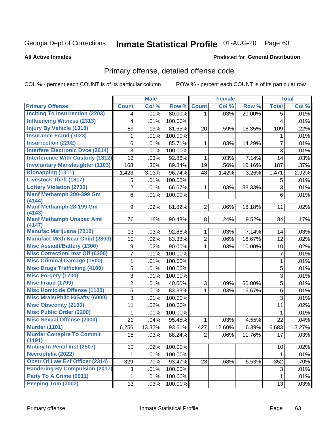# Inmate Statistical Profile 01-AUG-20 Page 63

#### **All Active Inmates**

#### Produced for General Distribution

## Primary offense, detailed offense code

COL % - percent each COUNT is of its particular column

|                                            |                | <b>Male</b> |         |                | <b>Female</b> |        |                | <b>Total</b> |
|--------------------------------------------|----------------|-------------|---------|----------------|---------------|--------|----------------|--------------|
| <b>Primary Offense</b>                     | <b>Count</b>   | Col %       | Row %   | <b>Count</b>   | Col %         | Row %  | <b>Total</b>   | Col %        |
| <b>Inciting To Insurrection (2203)</b>     | 4              | .01%        | 80.00%  | $\mathbf{1}$   | .03%          | 20.00% | 5              | .01%         |
| <b>Influencing Witness (2313)</b>          | 4              | .01%        | 100.00% |                |               |        | 4              | .01%         |
| <b>Injury By Vehicle (1318)</b>            | 89             | .19%        | 81.65%  | 20             | .59%          | 18.35% | 109            | .22%         |
| <b>Insurance Fraud (7023)</b>              | 1              | .01%        | 100.00% |                |               |        | 1              | .01%         |
| <b>Insurrection (2202)</b>                 | 6              | .01%        | 85.71%  | 1              | .03%          | 14.29% | $\overline{7}$ | .01%         |
| <b>Interfere Electronic Dvce (2614)</b>    | 3              | .01%        | 100.00% |                |               |        | $\overline{3}$ | .01%         |
| <b>Interference With Custody (1312)</b>    | 13             | .03%        | 92.86%  | 1              | .03%          | 7.14%  | 14             | .03%         |
| <b>Involuntary Manslaughter (1103)</b>     | 168            | .36%        | 89.84%  | 19             | .56%          | 10.16% | 187            | .37%         |
| Kidnapping (1311)                          | 1,423          | 3.03%       | 96.74%  | 48             | 1.42%         | 3.26%  | 1,471          | 2.92%        |
| <b>Livestock Theft (1817)</b>              | 5              | .01%        | 100.00% |                |               |        | 5              | .01%         |
| <b>Lottery Violation (2730)</b>            | $\overline{2}$ | .01%        | 66.67%  | 1              | .03%          | 33.33% | $\sqrt{3}$     | .01%         |
| Manf Methamph 200-399 Gm<br>(4144)         | 6              | .01%        | 100.00% |                |               |        | 6              | .01%         |
| <b>Manf Methamph 28-199 Gm</b><br>(4143)   | 9              | .02%        | 81.82%  | 2              | .06%          | 18.18% | 11             | .02%         |
| <b>Manf Methamph Unspec Amt</b><br>(4147)  | 76             | .16%        | 90.48%  | 8 <sup>1</sup> | .24%          | 9.52%  | 84             | .17%         |
| <b>Manufac Marijuana (7012)</b>            | 13             | .03%        | 92.86%  | $\mathbf{1}$   | .03%          | 7.14%  | 14             | .03%         |
| <b>Manufact Meth Near Child (2803)</b>     | 10             | .02%        | 83.33%  | $\overline{c}$ | .06%          | 16.67% | 12             | .02%         |
| <b>Misc Assault/Battery (1300)</b>         | 9              | .02%        | 90.00%  | $\mathbf 1$    | .03%          | 10.00% | 10             | .02%         |
| <b>Misc Correctionl Inst Off (6200)</b>    | $\overline{7}$ | .01%        | 100.00% |                |               |        | $\overline{7}$ | .01%         |
| <b>Misc Criminal Damage (1500)</b>         | 1              | .01%        | 100.00% |                |               |        | $\mathbf{1}$   | .01%         |
| <b>Misc Drugs Trafficking (4100)</b>       | 5              | .01%        | 100.00% |                |               |        | 5              | .01%         |
| <b>Misc Forgery (1700)</b>                 | 3              | .01%        | 100.00% |                |               |        | $\sqrt{3}$     | .01%         |
| <b>Misc Fraud (1799)</b>                   | 2              | .01%        | 40.00%  | 3              | .09%          | 60.00% | 5              | .01%         |
| <b>Misc Homicide Offense (1100)</b>        | 5              | .01%        | 83.33%  | 1              | .03%          | 16.67% | 6              | .01%         |
| <b>Misc Mrals/Pblic H/Safty (6000)</b>     | 3              | .01%        | 100.00% |                |               |        | 3              | .01%         |
| <b>Misc Obscenity (2100)</b>               | 11             | .02%        | 100.00% |                |               |        | 11             | .02%         |
| <b>Misc Public Order (2200)</b>            | 1              | .01%        | 100.00% |                |               |        | $\mathbf{1}$   | .01%         |
| <b>Misc Sexual Offense (2000)</b>          | 21             | .04%        | 95.45%  | $\mathbf 1$    | .03%          | 4.55%  | 22             | .04%         |
| <b>Murder (1101)</b>                       | 6,256          | 13.32%      | 93.61%  | 427            | 12.60%        | 6.39%  | 6,683          | 13.27%       |
| <b>Murder Conspire To Commit</b><br>(1191) | 15             | .03%        | 88.24%  | $\overline{2}$ | .06%          | 11.76% | 17             | .03%         |
| Mutiny In Penal Inst (2507)                | 10             | .02%        | 100.00% |                |               |        | 10             | .02%         |
| Necrophilia (2022)                         | 1              | .01%        | 100.00% |                |               |        | 1              | .01%         |
| <b>Obstr Of Law Enf Officer (2314)</b>     | 329            | .70%        | 93.47%  | 23             | .68%          | 6.53%  | 352            | .70%         |
| <b>Pandering By Compulsion (2017)</b>      | 3              | .01%        | 100.00% |                |               |        | 3              | .01%         |
| Party To A Crime (9911)                    | 1              | .01%        | 100.00% |                |               |        | $\mathbf{1}$   | .01%         |
| Peeping Tom (3002)                         | 13             | .03%        | 100.00% |                |               |        | 13             | .03%         |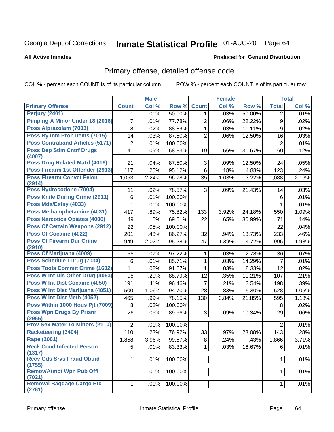# Inmate Statistical Profile 01-AUG-20 Page 64

#### **All Active Inmates**

#### Produced for General Distribution

## Primary offense, detailed offense code

COL % - percent each COUNT is of its particular column

|                                                      |                | <b>Male</b> |         |                | <b>Female</b> |        |                  | <b>Total</b> |
|------------------------------------------------------|----------------|-------------|---------|----------------|---------------|--------|------------------|--------------|
| <b>Primary Offense</b>                               | <b>Count</b>   | Col %       | Row %   | <b>Count</b>   | Col %         | Row %  | <b>Total</b>     | Col %        |
| <b>Perjury (2401)</b>                                | 1.             | .01%        | 50.00%  | 1              | .03%          | 50.00% | 2                | .01%         |
| <b>Pimping A Minor Under 18 (2016)</b>               | 7              | .01%        | 77.78%  | 2              | .06%          | 22.22% | $\boldsymbol{9}$ | .02%         |
| Poss Alprazolam (7003)                               | $\,8\,$        | .02%        | 88.89%  | 1              | .03%          | 11.11% | $\boldsymbol{9}$ | .02%         |
| Poss By Inm Proh Items (7015)                        | 14             | .03%        | 87.50%  | $\overline{2}$ | .06%          | 12.50% | 16               | .03%         |
| <b>Poss Contraband Articles (5171)</b>               | $\overline{2}$ | .01%        | 100.00% |                |               |        | $\overline{2}$   | .01%         |
| <b>Poss Dep Stim Cntrf Drugs</b><br>(4007)           | 41             | .09%        | 68.33%  | 19             | .56%          | 31.67% | 60               | .12%         |
| <b>Poss Drug Related Matri (4016)</b>                | 21             | .04%        | 87.50%  | 3              | .09%          | 12.50% | 24               | .05%         |
| Poss Firearm 1st Offender (2913)                     | 117            | .25%        | 95.12%  | 6              | .18%          | 4.88%  | 123              | .24%         |
| <b>Poss Firearm Convct Felon</b><br>(2914)           | 1,053          | 2.24%       | 96.78%  | 35             | 1.03%         | 3.22%  | 1,088            | 2.16%        |
| Poss Hydrocodone (7004)                              | 11             | .02%        | 78.57%  | 3              | .09%          | 21.43% | 14               | .03%         |
| <b>Poss Knife During Crime (2911)</b>                | $\,6$          | .01%        | 100.00% |                |               |        | 6                | .01%         |
| Poss Mda/Extsy (4033)                                | 1              | .01%        | 100.00% |                |               |        | $\mathbf{1}$     | .01%         |
| Poss Methamphetamine (4031)                          | 417            | .89%        | 75.82%  | 133            | 3.92%         | 24.18% | 550              | 1.09%        |
| <b>Poss Narcotics Opiates (4006)</b>                 | 49             | .10%        | 69.01%  | 22             | .65%          | 30.99% | 71               | .14%         |
| <b>Poss Of Certain Weapons (2912)</b>                | 22             | .05%        | 100.00% |                |               |        | 22               | .04%         |
| Poss Of Cocaine (4022)                               | 201            | .43%        | 86.27%  | 32             | .94%          | 13.73% | 233              | .46%         |
| <b>Poss Of Firearm Dur Crime</b>                     | 949            | 2.02%       | 95.28%  | 47             | 1.39%         | 4.72%  | 996              | 1.98%        |
| (2910)<br>Poss Of Marijuana (4009)                   |                |             |         |                |               |        |                  |              |
| Poss Schedule I Drug (7034)                          | 35             | .07%        | 97.22%  | 1              | .03%          | 2.78%  | 36               | .07%         |
| Poss Tools Commit Crime (1602)                       | $\,6$          | .01%        | 85.71%  | $\mathbf{1}$   | .03%          | 14.29% | $\overline{7}$   | .01%         |
|                                                      | 11             | .02%        | 91.67%  | 1              | .03%          | 8.33%  | 12               | .02%         |
| Poss W Int Dis Other Drug (4053)                     | 95             | .20%        | 88.79%  | 12             | .35%          | 11.21% | 107              | .21%         |
| Poss W Int Dist Cocaine (4050)                       | 191            | .41%        | 96.46%  | $\overline{7}$ | .21%          | 3.54%  | 198              | .39%         |
| Poss W Int Dist Marijuana (4051)                     | 500            | 1.06%       | 94.70%  | 28             | .83%          | 5.30%  | 528              | 1.05%        |
| Poss W Int Dist Meth (4052)                          | 465            | .99%        | 78.15%  | 130            | 3.84%         | 21.85% | 595              | 1.18%        |
| Poss Within 1000 Hous Pjt (7009)                     | 8              | .02%        | 100.00% |                |               |        | 8                | .02%         |
| <b>Poss Wpn Drugs By Prisnr</b><br>(2965)            | 26             | .06%        | 89.66%  | 3              | .09%          | 10.34% | 29               | .06%         |
| <b>Prov Sex Mater To Minors (2110)</b>               | $\overline{2}$ | .01%        | 100.00% |                |               |        | $\overline{2}$   | .01%         |
| <b>Racketeering (3404)</b>                           | 110            | .23%        | 76.92%  | 33             | .97%          | 23.08% | 143              | .28%         |
| Rape (2001)                                          | 1,858          | 3.96%       | 99.57%  | $\overline{8}$ | .24%          | .43%   | 1,866            | 3.71%        |
| <b>Reck Cond Infected Person</b>                     | 5              | .01%        | 83.33%  | 1              | .03%          | 16.67% | 6                | .01%         |
| (1317)<br><b>Recv Gds Srvs Fraud Obtnd</b><br>(1755) | $\mathbf{1}$   | .01%        | 100.00% |                |               |        | $\mathbf{1}$     | .01%         |
| <b>Remov/Atmpt Wpn Pub Offl</b><br>(7021)            | $\mathbf{1}$   | .01%        | 100.00% |                |               |        | 1                | .01%         |
| <b>Removal Baggage Cargo Etc</b><br>(2761)           | $1\vert$       | .01%        | 100.00% |                |               |        | $\mathbf{1}$     | .01%         |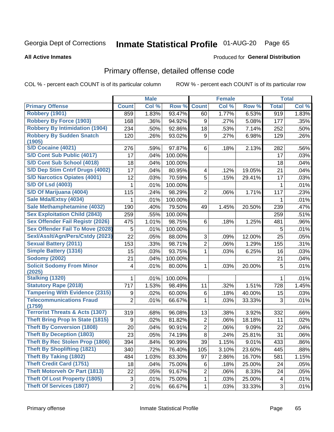# Inmate Statistical Profile 01-AUG-20 Page 65

**Produced for General Distribution** 

#### **All Active Inmates**

### Primary offense, detailed offense code

COL % - percent each COUNT is of its particular column

|                                            |                           | <b>Male</b> |         |                | Female |        |              | <b>Total</b> |
|--------------------------------------------|---------------------------|-------------|---------|----------------|--------|--------|--------------|--------------|
| <b>Primary Offense</b>                     | <b>Count</b>              | Col %       | Row %   | <b>Count</b>   | Col %  | Row %  | <b>Total</b> | Col %        |
| <b>Robbery (1901)</b>                      | 859                       | 1.83%       | 93.47%  | 60             | 1.77%  | 6.53%  | 919          | 1.83%        |
| <b>Robbery By Force (1903)</b>             | 168                       | .36%        | 94.92%  | 9              | .27%   | 5.08%  | 177          | .35%         |
| <b>Robbery By Intimidation (1904)</b>      | 234                       | .50%        | 92.86%  | 18             | .53%   | 7.14%  | 252          | .50%         |
| <b>Robbery By Sudden Snatch</b>            | 120                       | .26%        | 93.02%  | 9              | .27%   | 6.98%  | 129          | .26%         |
| (1905)                                     |                           |             |         |                |        |        |              |              |
| <b>S/D Cocaine (4021)</b>                  | 276                       | .59%        | 97.87%  | 6              | .18%   | 2.13%  | 282          | .56%         |
| S/D Cont Sub Public (4017)                 | 17                        | .04%        | 100.00% |                |        |        | 17           | .03%         |
| S/D Cont Sub School (4018)                 | 18                        | .04%        | 100.00% |                |        |        | 18           | .04%         |
| S/D Dep Stim Cntrf Drugs (4002)            | 17                        | .04%        | 80.95%  | 4              | .12%   | 19.05% | 21           | .04%         |
| <b>S/D Narcotics Opiates (4001)</b>        | 12                        | .03%        | 70.59%  | 5              | .15%   | 29.41% | 17           | .03%         |
| <b>S/D Of Lsd (4003)</b>                   | 1                         | .01%        | 100.00% |                |        |        | 1            | .01%         |
| S/D Of Marijuana (4004)                    | 115                       | .24%        | 98.29%  | $\overline{2}$ | .06%   | 1.71%  | 117          | .23%         |
| Sale Mda/Extsy (4034)                      | 1                         | .01%        | 100.00% |                |        |        | 1            | .01%         |
| Sale Methamphetamine (4032)                | 190                       | .40%        | 79.50%  | 49             | 1.45%  | 20.50% | 239          | .47%         |
| <b>Sex Exploitation Child (2843)</b>       | 259                       | .55%        | 100.00% |                |        |        | 259          | .51%         |
| <b>Sex Offender Fail Registr (2026)</b>    | 475                       | 1.01%       | 98.75%  | 6              | .18%   | 1.25%  | 481          | .96%         |
| <b>Sex Offender Fail To Move (2028)</b>    | 5                         | .01%        | 100.00% |                |        |        | 5            | .01%         |
| Sexl/Asslt/Agn/Pers/Cstdy (2023)           | 22                        | .05%        | 88.00%  | 3              | .09%   | 12.00% | 25           | .05%         |
| <b>Sexual Battery (2011)</b>               | 153                       | .33%        | 98.71%  | $\overline{2}$ | .06%   | 1.29%  | 155          | .31%         |
| <b>Simple Battery (1316)</b>               | 15                        | .03%        | 93.75%  | 1              | .03%   | 6.25%  | 16           | .03%         |
| <b>Sodomy (2002)</b>                       | 21                        | .04%        | 100.00% |                |        |        | 21           | .04%         |
| <b>Solicit Sodomy From Minor</b>           | 4                         | .01%        | 80.00%  | 1              | .03%   | 20.00% | 5            | .01%         |
| (2025)                                     |                           |             |         |                |        |        |              |              |
| <b>Stalking (1320)</b>                     | 1                         | .01%        | 100.00% |                |        |        | 1            | .01%         |
| <b>Statutory Rape (2018)</b>               | 717                       | 1.53%       | 98.49%  | 11             | .32%   | 1.51%  | 728          | 1.45%        |
| <b>Tampering With Evidence (2315)</b>      | $\boldsymbol{9}$          | .02%        | 60.00%  | 6              | .18%   | 40.00% | 15           | .03%         |
| <b>Telecommunications Fraud</b><br>(1759)  | $\overline{2}$            | .01%        | 66.67%  | 1              | .03%   | 33.33% | 3            | .01%         |
| <b>Terrorist Threats &amp; Acts (1307)</b> | 319                       | .68%        | 96.08%  | 13             | .38%   | 3.92%  | 332          | .66%         |
| <b>Theft Bring Prop In State (1815)</b>    | 9                         | .02%        | 81.82%  | $\overline{2}$ | .06%   | 18.18% | 11           | .02%         |
| <b>Theft By Conversion (1808)</b>          | 20                        | .04%        | 90.91%  | $\overline{2}$ | .06%   | 9.09%  | 22           | .04%         |
| <b>Theft By Deception (1803)</b>           | 23                        | .05%        | 74.19%  | 8              | .24%   | 25.81% | 31           | .06%         |
| Theft By Rec Stolen Prop (1806)            | 394                       | .84%        | 90.99%  | 39             | 1.15%  | 9.01%  | 433          | $.86\%$      |
| <b>Theft By Shoplifting (1821)</b>         | 340                       | .72%        | 76.40%  | 105            | 3.10%  | 23.60% | 445          | .88%         |
| <b>Theft By Taking (1802)</b>              | 484                       | 1.03%       | 83.30%  | 97             | 2.86%  | 16.70% | 581          | 1.15%        |
| <b>Theft Credit Card (1751)</b>            | 18                        | .04%        | 75.00%  | 6              | .18%   | 25.00% | 24           | .05%         |
| <b>Theft Motorveh Or Part (1813)</b>       | 22                        | .05%        | 91.67%  | $\overline{2}$ | .06%   | 8.33%  | 24           | .05%         |
| <b>Theft Of Lost Property (1805)</b>       | $\ensuremath{\mathsf{3}}$ | .01%        | 75.00%  | $\mathbf 1$    | .03%   | 25.00% | 4            | .01%         |
| <b>Theft Of Services (1807)</b>            | $\overline{2}$            | .01%        | 66.67%  | 1              | .03%   | 33.33% | 3            | .01%         |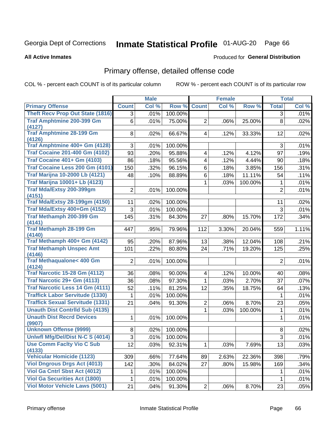# Inmate Statistical Profile 01-AUG-20 Page 66

**All Active Inmates** 

#### Produced for General Distribution

## Primary offense, detailed offense code

COL % - percent each COUNT is of its particular column

|                                           |                | <b>Male</b> |         |                         | Female |         |                | <b>Total</b> |
|-------------------------------------------|----------------|-------------|---------|-------------------------|--------|---------|----------------|--------------|
| <b>Primary Offense</b>                    | <b>Count</b>   | Col %       | Row %   | <b>Count</b>            | Col %  | Row %   | <b>Total</b>   | Col %        |
| <b>Theft Recv Prop Out State (1816)</b>   | $\overline{3}$ | .01%        | 100.00% |                         |        |         | 3              | .01%         |
| <b>Traf Amphtmine 200-399 Gm</b>          | 6              | .01%        | 75.00%  | $\overline{2}$          | .06%   | 25.00%  | 8              | .02%         |
| (4127)<br><b>Traf Amphtmine 28-199 Gm</b> | 8              | .02%        | 66.67%  | $\vert 4 \vert$         | .12%   | 33.33%  | 12             | .02%         |
| (4126)                                    |                |             |         |                         |        |         |                |              |
| Traf Amphtmine 400+ Gm (4128)             | 3              | .01%        | 100.00% |                         |        |         | 3              | .01%         |
| <b>Traf Cocaine 201-400 Gm (4102)</b>     | 93             | .20%        | 95.88%  | $\overline{4}$          | .12%   | 4.12%   | 97             | .19%         |
| <b>Traf Cocaine 401+ Gm (4103)</b>        | 86             | .18%        | 95.56%  | $\overline{\mathbf{4}}$ | .12%   | 4.44%   | 90             | .18%         |
| Traf Cocaine Less 200 Gm (4101)           | 150            | .32%        | 96.15%  | 6                       | .18%   | 3.85%   | 156            | .31%         |
| <b>Traf Marijna 10-2000 Lb (4121)</b>     | 48             | .10%        | 88.89%  | 6                       | .18%   | 11.11%  | 54             | .11%         |
| <b>Traf Marijna 10001+ Lb (4123)</b>      |                |             |         | 1                       | .03%   | 100.00% | 1              | .01%         |
| <b>Traf Mda/Extsy 200-399gm</b><br>(4151) | $\overline{2}$ | .01%        | 100.00% |                         |        |         | $\overline{2}$ | .01%         |
| <b>Traf Mda/Extsy 28-199gm (4150)</b>     | 11             | .02%        | 100.00% |                         |        |         | 11             | .02%         |
| Traf Mda/Extsy 400+Gm (4152)              | 3              | .01%        | 100.00% |                         |        |         | 3              | .01%         |
| Traf Methamph 200-399 Gm                  | 145            | .31%        | 84.30%  | 27                      | .80%   | 15.70%  | 172            | .34%         |
| (4141)                                    |                |             |         |                         |        |         |                |              |
| <b>Traf Methamph 28-199 Gm</b>            | 447            | .95%        | 79.96%  | 112                     | 3.30%  | 20.04%  | 559            | 1.11%        |
| (4140)<br>Traf Methamph 400+ Gm (4142)    | 95             | .20%        | 87.96%  | 13                      | .38%   | 12.04%  | 108            | .21%         |
| <b>Traf Methamph Unspec Amt</b>           | 101            | .22%        | 80.80%  | 24                      | .71%   | 19.20%  | 125            | .25%         |
| (4146)                                    |                |             |         |                         |        |         |                |              |
| <b>Traf Methaqualone&lt; 400 Gm</b>       | $\overline{2}$ | .01%        | 100.00% |                         |        |         | $\overline{2}$ | .01%         |
| (4124)                                    |                |             |         |                         |        |         |                |              |
| <b>Traf Narcotic 15-28 Gm (4112)</b>      | 36             | .08%        | 90.00%  | $\overline{\mathbf{4}}$ | .12%   | 10.00%  | 40             | .08%         |
| Traf Narcotic 29+ Gm (4113)               | 36             | .08%        | 97.30%  | $\mathbf{1}$            | .03%   | 2.70%   | 37             | .07%         |
| Traf Narcotic Less 14 Gm (4111)           | 52             | .11%        | 81.25%  | 12                      | .35%   | 18.75%  | 64             | .13%         |
| <b>Traffick Labor Servitude (1330)</b>    | 1              | .01%        | 100.00% |                         |        |         | 1              | .01%         |
| <b>Traffick Sexual Servitude (1331)</b>   | 21             | .04%        | 91.30%  | $\overline{2}$          | .06%   | 8.70%   | 23             | .05%         |
| <b>Unauth Dist Contrild Sub (4135)</b>    |                |             |         | $\mathbf{1}$            | .03%   | 100.00% | 1              | .01%         |
| <b>Unauth Dist Recrd Devices</b>          | 1              | .01%        | 100.00% |                         |        |         | 1              | .01%         |
| (9907)<br><b>Unknown Offense (9999)</b>   | 8              | .02%        | 100.00% |                         |        |         | 8              | .02%         |
| Uniwfl Mfg/Del/Dist N-C S (4014)          | 3              | .01%        | 100.00% |                         |        |         | 3              | .01%         |
| <b>Use Comm Facity Vio C Sub</b>          | 12             | .03%        | 92.31%  | 1                       | .03%   | 7.69%   | 13             | .03%         |
| (4133)                                    |                |             |         |                         |        |         |                |              |
| <b>Vehicular Homicide (1123)</b>          | 309            | .66%        | 77.64%  | 89                      | 2.63%  | 22.36%  | 398            | .79%         |
| <b>Viol Dngrous Drgs Act (4013)</b>       | 142            | .30%        | 84.02%  | 27                      | .80%   | 15.98%  | 169            | .34%         |
| <b>Viol Ga Cntrl Sbst Act (4012)</b>      | 1.             | .01%        | 100.00% |                         |        |         | 1              | .01%         |
| <b>Viol Ga Securities Act (1800)</b>      | $\mathbf{1}$   | .01%        | 100.00% |                         |        |         | $\mathbf 1$    | .01%         |
| <b>Viol Motor Vehicle Laws (5001)</b>     | 21             | .04%        | 91.30%  | $\overline{2}$          | .06%   | 8.70%   | 23             | .05%         |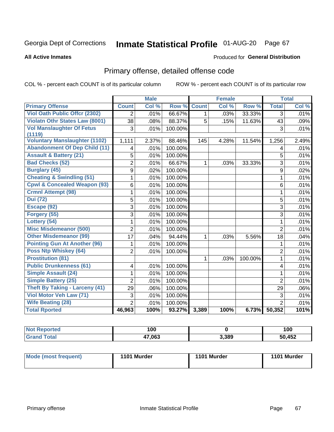# Inmate Statistical Profile 01-AUG-20 Page 67

**All Active Inmates** 

### **Produced for General Distribution**

## Primary offense, detailed offense code

COL % - percent each COUNT is of its particular column

|                                         |                | <b>Male</b> |         |              | <b>Female</b> |         |                | <b>Total</b> |
|-----------------------------------------|----------------|-------------|---------|--------------|---------------|---------|----------------|--------------|
| <b>Primary Offense</b>                  | <b>Count</b>   | Col %       | Row %   | <b>Count</b> | Col%          | Row %   | <b>Total</b>   | Col %        |
| Viol Oath Public Offer (2302)           | $\overline{2}$ | .01%        | 66.67%  | $\mathbf{1}$ | .03%          | 33.33%  | $\overline{3}$ | .01%         |
| <b>Violatn Othr States Law (8001)</b>   | 38             | .08%        | 88.37%  | 5            | .15%          | 11.63%  | 43             | .09%         |
| <b>Vol Manslaughter Of Fetus</b>        | 3              | .01%        | 100.00% |              |               |         | 3              | .01%         |
| (1119)                                  |                |             |         |              |               |         |                |              |
| <b>Voluntary Manslaughter (1102)</b>    | 1,111          | 2.37%       | 88.46%  | 145          | 4.28%         | 11.54%  | 1,256          | 2.49%        |
| <b>Abandonment Of Dep Child (11)</b>    | 4              | .01%        | 100.00% |              |               |         | 4              | .01%         |
| <b>Assault &amp; Battery (21)</b>       | 5              | .01%        | 100.00% |              |               |         | 5              | .01%         |
| <b>Bad Checks (52)</b>                  | $\overline{2}$ | .01%        | 66.67%  | 1            | .03%          | 33.33%  | $\overline{3}$ | .01%         |
| <b>Burglary (45)</b>                    | 9              | .02%        | 100.00% |              |               |         | 9              | .02%         |
| <b>Cheating &amp; Swindling (51)</b>    | 1              | .01%        | 100.00% |              |               |         | 1              | .01%         |
| <b>Cpwl &amp; Concealed Weapon (93)</b> | 6              | .01%        | 100.00% |              |               |         | 6              | .01%         |
| <b>Crmnl Attempt (98)</b>               | 1              | .01%        | 100.00% |              |               |         | 1              | .01%         |
| <b>Dui</b> (72)                         | 5              | .01%        | 100.00% |              |               |         | 5              | .01%         |
| Escape (92)                             | 3              | .01%        | 100.00% |              |               |         | 3              | .01%         |
| Forgery (55)                            | 3              | .01%        | 100.00% |              |               |         | 3              | .01%         |
| Lottery (54)                            | 1              | .01%        | 100.00% |              |               |         | 1              | .01%         |
| <b>Misc Misdemeanor (500)</b>           | $\overline{2}$ | .01%        | 100.00% |              |               |         | $\overline{2}$ | .01%         |
| <b>Other Misdemeanor (99)</b>           | 17             | .04%        | 94.44%  | 1            | .03%          | 5.56%   | 18             | .04%         |
| <b>Pointing Gun At Another (96)</b>     | 1              | .01%        | 100.00% |              |               |         | 1              | .01%         |
| <b>Poss Ntp Whiskey (64)</b>            | $\overline{2}$ | .01%        | 100.00% |              |               |         | $\overline{2}$ | .01%         |
| <b>Prostitution (81)</b>                |                |             |         | 1            | .03%          | 100.00% | $\mathbf{1}$   | .01%         |
| <b>Public Drunkenness (61)</b>          | 4              | .01%        | 100.00% |              |               |         | 4              | .01%         |
| <b>Simple Assault (24)</b>              | 1              | .01%        | 100.00% |              |               |         | $\mathbf{1}$   | .01%         |
| <b>Simple Battery (25)</b>              | $\overline{2}$ | .01%        | 100.00% |              |               |         | $\overline{2}$ | .01%         |
| <b>Theft By Taking - Larceny (41)</b>   | 29             | .06%        | 100.00% |              |               |         | 29             | .06%         |
| Viol Motor Veh Law (71)                 | 3              | .01%        | 100.00% |              |               |         | 3              | .01%         |
| <b>Wife Beating (28)</b>                | $\overline{2}$ | .01%        | 100.00% |              |               |         | $\overline{2}$ | .01%         |
| <b>Total Rported</b>                    | 46,963         | 100%        | 93.27%  | 3,389        | 100%          | 6.73%   | 50,352         | 101%         |

| <b>Not Reported</b> | 100    |       | 100    |
|---------------------|--------|-------|--------|
| <b>Total</b>        | 17,063 | 3,389 | 50,452 |

| <b>Mode (most frequent)</b> | 1101 Murder | 1101 Murder | 1101 Murder |
|-----------------------------|-------------|-------------|-------------|
|-----------------------------|-------------|-------------|-------------|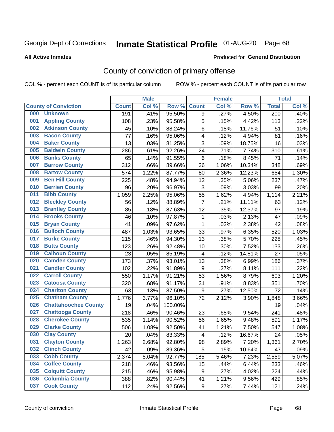# Inmate Statistical Profile 01-AUG-20 Page 68

#### **All Active Inmates**

#### Produced for General Distribution

## County of conviction of primary offense

COL % - percent each COUNT is of its particular column

|     |                             |              | <b>Male</b> |         |                         | <b>Female</b> |        |                  | <b>Total</b> |
|-----|-----------------------------|--------------|-------------|---------|-------------------------|---------------|--------|------------------|--------------|
|     | <b>County of Conviction</b> | <b>Count</b> | Col %       | Row %   | <b>Count</b>            | Col %         | Row %  | <b>Total</b>     | Col %        |
| 000 | <b>Unknown</b>              | 191          | .41%        | 95.50%  | 9                       | .27%          | 4.50%  | $\overline{200}$ | .40%         |
| 001 | <b>Appling County</b>       | 108          | .23%        | 95.58%  | 5                       | .15%          | 4.42%  | 113              | .22%         |
| 002 | <b>Atkinson County</b>      | 45           | .10%        | 88.24%  | 6                       | .18%          | 11.76% | 51               | .10%         |
| 003 | <b>Bacon County</b>         | 77           | .16%        | 95.06%  | 4                       | .12%          | 4.94%  | 81               | .16%         |
| 004 | <b>Baker County</b>         | 13           | .03%        | 81.25%  | 3                       | .09%          | 18.75% | 16               | .03%         |
| 005 | <b>Baldwin County</b>       | 286          | .61%        | 92.26%  | 24                      | .71%          | 7.74%  | 310              | .61%         |
| 006 | <b>Banks County</b>         | 65           | .14%        | 91.55%  | 6                       | .18%          | 8.45%  | 71               | .14%         |
| 007 | <b>Barrow County</b>        | 312          | .66%        | 89.66%  | 36                      | 1.06%         | 10.34% | 348              | .69%         |
| 008 | <b>Bartow County</b>        | 574          | 1.22%       | 87.77%  | 80                      | 2.36%         | 12.23% | 654              | 1.30%        |
| 009 | <b>Ben Hill County</b>      | 225          | .48%        | 94.94%  | 12                      | .35%          | 5.06%  | 237              | .47%         |
| 010 | <b>Berrien County</b>       | 96           | .20%        | 96.97%  | 3                       | .09%          | 3.03%  | 99               | .20%         |
| 011 | <b>Bibb County</b>          | 1,059        | 2.25%       | 95.06%  | 55                      | 1.62%         | 4.94%  | 1,114            | 2.21%        |
| 012 | <b>Bleckley County</b>      | 56           | .12%        | 88.89%  | $\overline{7}$          | .21%          | 11.11% | 63               | .12%         |
| 013 | <b>Brantley County</b>      | 85           | .18%        | 87.63%  | 12                      | .35%          | 12.37% | 97               | .19%         |
| 014 | <b>Brooks County</b>        | 46           | .10%        | 97.87%  | $\mathbf 1$             | .03%          | 2.13%  | 47               | .09%         |
| 015 | <b>Bryan County</b>         | 41           | .09%        | 97.62%  | $\mathbf{1}$            | .03%          | 2.38%  | 42               | .08%         |
| 016 | <b>Bulloch County</b>       | 487          | 1.03%       | 93.65%  | 33                      | .97%          | 6.35%  | 520              | 1.03%        |
| 017 | <b>Burke County</b>         | 215          | .46%        | 94.30%  | 13                      | .38%          | 5.70%  | 228              | .45%         |
| 018 | <b>Butts County</b>         | 123          | .26%        | 92.48%  | 10                      | .30%          | 7.52%  | 133              | .26%         |
| 019 | <b>Calhoun County</b>       | 23           | .05%        | 85.19%  | $\overline{4}$          | .12%          | 14.81% | 27               | .05%         |
| 020 | <b>Camden County</b>        | 173          | .37%        | 93.01%  | 13                      | .38%          | 6.99%  | 186              | .37%         |
| 021 | <b>Candler County</b>       | 102          | .22%        | 91.89%  | 9                       | .27%          | 8.11%  | 111              | .22%         |
| 022 | <b>Carroll County</b>       | 550          | 1.17%       | 91.21%  | 53                      | 1.56%         | 8.79%  | 603              | 1.20%        |
| 023 | <b>Catoosa County</b>       | 320          | .68%        | 91.17%  | 31                      | .91%          | 8.83%  | 351              | .70%         |
| 024 | <b>Charlton County</b>      | 63           | .13%        | 87.50%  | $\boldsymbol{9}$        | .27%          | 12.50% | 72               | .14%         |
| 025 | <b>Chatham County</b>       | 1,776        | 3.77%       | 96.10%  | 72                      | 2.12%         | 3.90%  | 1,848            | 3.66%        |
| 026 | <b>Chattahoochee County</b> | 19           | .04%        | 100.00% |                         |               |        | 19               | .04%         |
| 027 | <b>Chattooga County</b>     | 218          | .46%        | 90.46%  | 23                      | .68%          | 9.54%  | 241              | .48%         |
| 028 | <b>Cherokee County</b>      | 535          | 1.14%       | 90.52%  | 56                      | 1.65%         | 9.48%  | 591              | 1.17%        |
| 029 | <b>Clarke County</b>        | 506          | 1.08%       | 92.50%  | 41                      | 1.21%         | 7.50%  | 547              | 1.08%        |
| 030 | <b>Clay County</b>          | 20           | .04%        | 83.33%  | $\overline{\mathbf{4}}$ | .12%          | 16.67% | 24               | .05%         |
| 031 | <b>Clayton County</b>       | 1,263        | 2.68%       | 92.80%  | 98                      | 2.89%         | 7.20%  | 1,361            | 2.70%        |
| 032 | <b>Clinch County</b>        | 42           | .09%        | 89.36%  | 5                       | .15%          | 10.64% | 47               | .09%         |
| 033 | <b>Cobb County</b>          | 2,374        | 5.04%       | 92.77%  | 185                     | 5.46%         | 7.23%  | 2,559            | 5.07%        |
| 034 | <b>Coffee County</b>        | 218          | .46%        | 93.56%  | 15                      | .44%          | 6.44%  | 233              | .46%         |
| 035 | <b>Colquitt County</b>      | 215          | .46%        | 95.98%  | 9                       | .27%          | 4.02%  | 224              | .44%         |
| 036 | <b>Columbia County</b>      | 388          | .82%        | 90.44%  | 41                      | 1.21%         | 9.56%  | 429              | .85%         |
| 037 | <b>Cook County</b>          | 112          | .24%        | 92.56%  | 9                       | .27%          | 7.44%  | 121              | .24%         |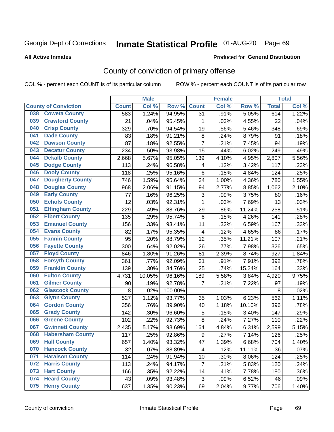# Inmate Statistical Profile 01-AUG-20 Page 69

Produced for General Distribution

#### **All Active Inmates**

## County of conviction of primary offense

COL % - percent each COUNT is of its particular column

|                                |              | <b>Male</b> |         |                           | <b>Female</b> |        |              | <b>Total</b> |
|--------------------------------|--------------|-------------|---------|---------------------------|---------------|--------|--------------|--------------|
| <b>County of Conviction</b>    | <b>Count</b> | Col %       | Row %   | <b>Count</b>              | Col %         | Row %  | <b>Total</b> | Col %        |
| <b>Coweta County</b><br>038    | 583          | 1.24%       | 94.95%  | 31                        | .91%          | 5.05%  | 614          | 1.22%        |
| <b>Crawford County</b><br>039  | 21           | .04%        | 95.45%  | 1                         | .03%          | 4.55%  | 22           | .04%         |
| <b>Crisp County</b><br>040     | 329          | .70%        | 94.54%  | 19                        | .56%          | 5.46%  | 348          | .69%         |
| <b>Dade County</b><br>041      | 83           | .18%        | 91.21%  | 8                         | .24%          | 8.79%  | 91           | .18%         |
| <b>Dawson County</b><br>042    | 87           | .18%        | 92.55%  | $\overline{7}$            | .21%          | 7.45%  | 94           | .19%         |
| 043<br><b>Decatur County</b>   | 234          | .50%        | 93.98%  | 15                        | .44%          | 6.02%  | 249          | .49%         |
| <b>Dekalb County</b><br>044    | 2,668        | 5.67%       | 95.05%  | 139                       | 4.10%         | 4.95%  | 2,807        | 5.56%        |
| <b>Dodge County</b><br>045     | 113          | .24%        | 96.58%  | $\overline{\mathbf{4}}$   | .12%          | 3.42%  | 117          | .23%         |
| <b>Dooly County</b><br>046     | 118          | .25%        | 95.16%  | 6                         | .18%          | 4.84%  | 124          | .25%         |
| 047<br><b>Dougherty County</b> | 746          | 1.59%       | 95.64%  | 34                        | 1.00%         | 4.36%  | 780          | 1.55%        |
| <b>Douglas County</b><br>048   | 968          | 2.06%       | 91.15%  | 94                        | 2.77%         | 8.85%  | 1,062        | 2.10%        |
| <b>Early County</b><br>049     | 77           | .16%        | 96.25%  | $\ensuremath{\mathsf{3}}$ | .09%          | 3.75%  | 80           | .16%         |
| <b>Echols County</b><br>050    | 12           | .03%        | 92.31%  | 1                         | .03%          | 7.69%  | 13           | .03%         |
| 051<br><b>Effingham County</b> | 229          | .49%        | 88.76%  | 29                        | .86%          | 11.24% | 258          | .51%         |
| <b>Elbert County</b><br>052    | 135          | .29%        | 95.74%  | 6                         | .18%          | 4.26%  | 141          | .28%         |
| <b>Emanuel County</b><br>053   | 156          | .33%        | 93.41%  | 11                        | .32%          | 6.59%  | 167          | .33%         |
| <b>Evans County</b><br>054     | 82           | .17%        | 95.35%  | $\overline{4}$            | .12%          | 4.65%  | 86           | .17%         |
| <b>Fannin County</b><br>055    | 95           | .20%        | 88.79%  | 12                        | .35%          | 11.21% | 107          | .21%         |
| <b>Fayette County</b><br>056   | 300          | .64%        | 92.02%  | 26                        | .77%          | 7.98%  | 326          | .65%         |
| <b>Floyd County</b><br>057     | 846          | 1.80%       | 91.26%  | 81                        | 2.39%         | 8.74%  | 927          | 1.84%        |
| <b>Forsyth County</b><br>058   | 361          | .77%        | 92.09%  | 31                        | .91%          | 7.91%  | 392          | .78%         |
| <b>Franklin County</b><br>059  | 139          | .30%        | 84.76%  | 25                        | .74%          | 15.24% | 164          | .33%         |
| <b>Fulton County</b><br>060    | 4,731        | 10.05%      | 96.16%  | 189                       | 5.58%         | 3.84%  | 4,920        | 9.75%        |
| <b>Gilmer County</b><br>061    | 90           | .19%        | 92.78%  | 7                         | .21%          | 7.22%  | 97           | .19%         |
| <b>Glascock County</b><br>062  | 8            | .02%        | 100.00% |                           |               |        | 8            | .02%         |
| 063<br><b>Glynn County</b>     | 527          | 1.12%       | 93.77%  | 35                        | 1.03%         | 6.23%  | 562          | 1.11%        |
| <b>Gordon County</b><br>064    | 356          | .76%        | 89.90%  | 40                        | 1.18%         | 10.10% | 396          | .78%         |
| <b>Grady County</b><br>065     | 142          | .30%        | 96.60%  | 5                         | .15%          | 3.40%  | 147          | .29%         |
| <b>Greene County</b><br>066    | 102          | .22%        | 92.73%  | 8                         | .24%          | 7.27%  | 110          | .22%         |
| <b>Gwinnett County</b><br>067  | 2,435        | 5.17%       | 93.69%  | 164                       | 4.84%         | 6.31%  | 2,599        | 5.15%        |
| <b>Habersham County</b><br>068 | 117          | .25%        | 92.86%  | 9                         | .27%          | 7.14%  | 126          | .25%         |
| 069<br><b>Hall County</b>      | 657          | 1.40%       | 93.32%  | 47                        | 1.39%         | 6.68%  | 704          | 1.40%        |
| <b>Hancock County</b><br>070   | 32           | .07%        | 88.89%  | 4                         | .12%          | 11.11% | 36           | .07%         |
| <b>Haralson County</b><br>071  | 114          | .24%        | 91.94%  | 10                        | .30%          | 8.06%  | 124          | .25%         |
| <b>Harris County</b><br>072    | 113          | .24%        | 94.17%  | 7                         | .21%          | 5.83%  | 120          | .24%         |
| <b>Hart County</b><br>073      | 166          | .35%        | 92.22%  | 14                        | .41%          | 7.78%  | 180          | .36%         |
| <b>Heard County</b><br>074     | 43           | .09%        | 93.48%  | 3                         | .09%          | 6.52%  | 46           | .09%         |
| <b>Henry County</b><br>075     | 637          | 1.35%       | 90.23%  | 69                        | 2.04%         | 9.77%  | 706          | 1.40%        |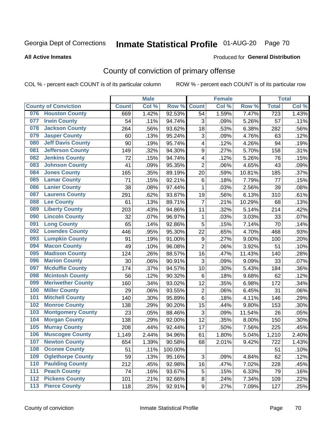# Inmate Statistical Profile 01-AUG-20 Page 70

#### **All Active Inmates**

#### Produced for General Distribution

## County of conviction of primary offense

COL % - percent each COUNT is of its particular column

|     |                             |              | <b>Male</b> |         |                | <b>Female</b> |                     |                  | <b>Total</b> |
|-----|-----------------------------|--------------|-------------|---------|----------------|---------------|---------------------|------------------|--------------|
|     | <b>County of Conviction</b> | <b>Count</b> | Col %       | Row %   | <b>Count</b>   | Col %         | Row %               | <b>Total</b>     | Col %        |
| 076 | <b>Houston County</b>       | 669          | 1.42%       | 92.53%  | 54             | 1.59%         | 7.47%               | $\overline{723}$ | 1.43%        |
| 077 | <b>Irwin County</b>         | 54           | .11%        | 94.74%  | 3              | .09%          | 5.26%               | 57               | .11%         |
| 078 | <b>Jackson County</b>       | 264          | .56%        | 93.62%  | 18             | .53%          | 6.38%               | 282              | .56%         |
| 079 | <b>Jasper County</b>        | 60           | .13%        | 95.24%  | 3              | .09%          | 4.76%               | 63               | .12%         |
| 080 | <b>Jeff Davis County</b>    | 90           | .19%        | 95.74%  | 4              | .12%          | 4.26%               | 94               | .19%         |
| 081 | <b>Jefferson County</b>     | 149          | .32%        | 94.30%  | 9              | .27%          | 5.70%               | 158              | .31%         |
| 082 | <b>Jenkins County</b>       | 72           | .15%        | 94.74%  | 4              | .12%          | 5.26%               | 76               | .15%         |
| 083 | <b>Johnson County</b>       | 41           | .09%        | 95.35%  | $\overline{2}$ | .06%          | 4.65%               | 43               | .09%         |
| 084 | <b>Jones County</b>         | 165          | .35%        | 89.19%  | 20             | .59%          | 10.81%              | 185              | .37%         |
| 085 | <b>Lamar County</b>         | 71           | .15%        | 92.21%  | 6              | .18%          | 7.79%               | 77               | .15%         |
| 086 | <b>Lanier County</b>        | 38           | .08%        | 97.44%  | $\mathbf 1$    | .03%          | 2.56%               | 39               | .08%         |
| 087 | <b>Laurens County</b>       | 291          | .62%        | 93.87%  | 19             | .56%          | 6.13%               | 310              | .61%         |
| 088 | <b>Lee County</b>           | 61           | .13%        | 89.71%  | $\overline{7}$ | .21%          | 10.29%              | 68               | .13%         |
| 089 | <b>Liberty County</b>       | 203          | .43%        | 94.86%  | 11             | .32%          | 5.14%               | 214              | .42%         |
| 090 | <b>Lincoln County</b>       | 32           | .07%        | 96.97%  | $\mathbf 1$    | .03%          | 3.03%               | 33               | .07%         |
| 091 | <b>Long County</b>          | 65           | .14%        | 92.86%  | 5              | .15%          | $\overline{7.14\%}$ | 70               | .14%         |
| 092 | <b>Lowndes County</b>       | 446          | .95%        | 95.30%  | 22             | .65%          | 4.70%               | 468              | .93%         |
| 093 | <b>Lumpkin County</b>       | 91           | .19%        | 91.00%  | 9              | .27%          | 9.00%               | 100              | .20%         |
| 094 | <b>Macon County</b>         | 49           | .10%        | 96.08%  | $\overline{2}$ | .06%          | 3.92%               | 51               | .10%         |
| 095 | <b>Madison County</b>       | 124          | .26%        | 88.57%  | 16             | .47%          | 11.43%              | 140              | .28%         |
| 096 | <b>Marion County</b>        | 30           | .06%        | 90.91%  | 3              | .09%          | 9.09%               | 33               | .07%         |
| 097 | <b>Mcduffie County</b>      | 174          | .37%        | 94.57%  | 10             | .30%          | 5.43%               | 184              | .36%         |
| 098 | <b>Mcintosh County</b>      | 56           | .12%        | 90.32%  | 6              | .18%          | 9.68%               | 62               | .12%         |
| 099 | <b>Meriwether County</b>    | 160          | .34%        | 93.02%  | 12             | .35%          | 6.98%               | 172              | .34%         |
| 100 | <b>Miller County</b>        | 29           | .06%        | 93.55%  | 2              | .06%          | 6.45%               | 31               | .06%         |
| 101 | <b>Mitchell County</b>      | 140          | .30%        | 95.89%  | 6              | .18%          | 4.11%               | 146              | .29%         |
| 102 | <b>Monroe County</b>        | 138          | .29%        | 90.20%  | 15             | .44%          | 9.80%               | 153              | .30%         |
| 103 | <b>Montgomery County</b>    | 23           | .05%        | 88.46%  | 3              | .09%          | 11.54%              | 26               | .05%         |
| 104 | <b>Morgan County</b>        | 138          | .29%        | 92.00%  | 12             | .35%          | 8.00%               | 150              | .30%         |
| 105 | <b>Murray County</b>        | 208          | .44%        | 92.44%  | 17             | .50%          | 7.56%               | 225              | .45%         |
| 106 | <b>Muscogee County</b>      | 1,149        | 2.44%       | 94.96%  | 61             | 1.80%         | 5.04%               | 1,210            | 2.40%        |
| 107 | <b>Newton County</b>        | 654          | 1.39%       | 90.58%  | 68             | 2.01%         | 9.42%               | 722              | 1.43%        |
| 108 | <b>Oconee County</b>        | 51           | .11%        | 100.00% |                |               |                     | 51               | .10%         |
| 109 | <b>Oglethorpe County</b>    | 59           | .13%        | 95.16%  | 3              | .09%          | 4.84%               | 62               | .12%         |
| 110 | <b>Paulding County</b>      | 212          | .45%        | 92.98%  | 16             | .47%          | 7.02%               | 228              | .45%         |
| 111 | <b>Peach County</b>         | 74           | .16%        | 93.67%  | 5              | .15%          | 6.33%               | 79               | .16%         |
| 112 | <b>Pickens County</b>       | 101          | .21%        | 92.66%  | $\bf 8$        | .24%          | 7.34%               | 109              | .22%         |
| 113 | <b>Pierce County</b>        | 118          | .25%        | 92.91%  | 9              | .27%          | 7.09%               | 127              | .25%         |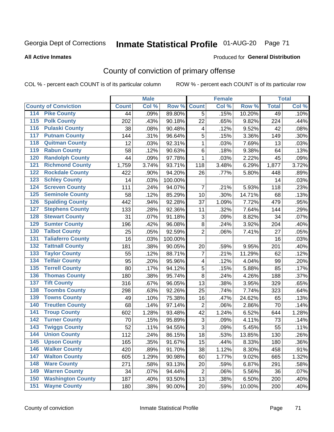# Inmate Statistical Profile 01-AUG-20 Page 71

#### **All Active Inmates**

#### Produced for General Distribution

## County of conviction of primary offense

COL % - percent each COUNT is of its particular column

|                                        |              | <b>Male</b> |         |                           | <b>Female</b> |        |              | <b>Total</b> |
|----------------------------------------|--------------|-------------|---------|---------------------------|---------------|--------|--------------|--------------|
| <b>County of Conviction</b>            | <b>Count</b> | Col %       | Row %   | <b>Count</b>              | Col %         | Row %  | <b>Total</b> | Col %        |
| <b>Pike County</b><br>114              | 44           | .09%        | 89.80%  | 5                         | .15%          | 10.20% | 49           | .10%         |
| <b>Polk County</b><br>$\overline{115}$ | 202          | .43%        | 90.18%  | 22                        | .65%          | 9.82%  | 224          | .44%         |
| <b>Pulaski County</b><br>116           | 38           | .08%        | 90.48%  | 4                         | .12%          | 9.52%  | 42           | .08%         |
| <b>Putnam County</b><br>117            | 144          | .31%        | 96.64%  | 5                         | .15%          | 3.36%  | 149          | .30%         |
| 118<br><b>Quitman County</b>           | 12           | .03%        | 92.31%  | $\mathbf{1}$              | .03%          | 7.69%  | 13           | .03%         |
| <b>Rabun County</b><br>119             | 58           | .12%        | 90.63%  | 6                         | .18%          | 9.38%  | 64           | .13%         |
| <b>Randolph County</b><br>120          | 44           | .09%        | 97.78%  | $\mathbf{1}$              | .03%          | 2.22%  | 45           | .09%         |
| <b>Richmond County</b><br>121          | 1,759        | 3.74%       | 93.71%  | 118                       | 3.48%         | 6.29%  | 1,877        | 3.72%        |
| <b>Rockdale County</b><br>122          | 422          | .90%        | 94.20%  | 26                        | .77%          | 5.80%  | 448          | .89%         |
| <b>Schley County</b><br>123            | 14           | .03%        | 100.00% |                           |               |        | 14           | .03%         |
| <b>Screven County</b><br>124           | 111          | .24%        | 94.07%  | 7                         | .21%          | 5.93%  | 118          | .23%         |
| <b>Seminole County</b><br>125          | 58           | .12%        | 85.29%  | 10                        | .30%          | 14.71% | 68           | .13%         |
| 126<br><b>Spalding County</b>          | 442          | .94%        | 92.28%  | 37                        | 1.09%         | 7.72%  | 479          | .95%         |
| 127<br><b>Stephens County</b>          | 133          | .28%        | 92.36%  | 11                        | .32%          | 7.64%  | 144          | .29%         |
| <b>Stewart County</b><br>128           | 31           | .07%        | 91.18%  | $\ensuremath{\mathsf{3}}$ | .09%          | 8.82%  | 34           | .07%         |
| <b>Sumter County</b><br>129            | 196          | .42%        | 96.08%  | $\,8\,$                   | .24%          | 3.92%  | 204          | .40%         |
| <b>Talbot County</b><br>130            | 25           | .05%        | 92.59%  | $\overline{2}$            | .06%          | 7.41%  | 27           | .05%         |
| <b>Taliaferro County</b><br>131        | 16           | .03%        | 100.00% |                           |               |        | 16           | .03%         |
| <b>Tattnall County</b><br>132          | 181          | .38%        | 90.05%  | 20                        | .59%          | 9.95%  | 201          | .40%         |
| <b>Taylor County</b><br>133            | 55           | .12%        | 88.71%  | $\overline{7}$            | .21%          | 11.29% | 62           | .12%         |
| <b>Telfair County</b><br>134           | 95           | .20%        | 95.96%  | $\overline{\mathbf{4}}$   | .12%          | 4.04%  | 99           | .20%         |
| <b>Terrell County</b><br>135           | 80           | .17%        | 94.12%  | 5                         | .15%          | 5.88%  | 85           | .17%         |
| <b>Thomas County</b><br>136            | 180          | .38%        | 95.74%  | 8                         | .24%          | 4.26%  | 188          | .37%         |
| <b>Tift County</b><br>137              | 316          | .67%        | 96.05%  | 13                        | .38%          | 3.95%  | 329          | .65%         |
| <b>Toombs County</b><br>138            | 298          | .63%        | 92.26%  | 25                        | .74%          | 7.74%  | 323          | .64%         |
| <b>Towns County</b><br>139             | 49           | .10%        | 75.38%  | 16                        | .47%          | 24.62% | 65           | .13%         |
| <b>Treutlen County</b><br>140          | 68           | .14%        | 97.14%  | $\overline{2}$            | .06%          | 2.86%  | 70           | .14%         |
| <b>Troup County</b><br>141             | 602          | 1.28%       | 93.48%  | 42                        | 1.24%         | 6.52%  | 644          | 1.28%        |
| <b>Turner County</b><br>142            | 70           | .15%        | 95.89%  | 3                         | .09%          | 4.11%  | 73           | .14%         |
| <b>Twiggs County</b><br>143            | 52           | .11%        | 94.55%  | 3                         | .09%          | 5.45%  | 55           | .11%         |
| <b>Union County</b><br>144             | 112          | .24%        | 86.15%  | 18                        | .53%          | 13.85% | 130          | .26%         |
| 145<br><b>Upson County</b>             | 165          | .35%        | 91.67%  | 15                        | .44%          | 8.33%  | 180          | .36%         |
| <b>Walker County</b><br>146            | 420          | .89%        | 91.70%  | 38                        | 1.12%         | 8.30%  | 458          | .91%         |
| <b>Walton County</b><br>147            | 605          | 1.29%       | 90.98%  | 60                        | 1.77%         | 9.02%  | 665          | 1.32%        |
| <b>Ware County</b><br>148              | 271          | .58%        | 93.13%  | 20                        | .59%          | 6.87%  | 291          | .58%         |
| <b>Warren County</b><br>149            | 34           | .07%        | 94.44%  | $\overline{2}$            | .06%          | 5.56%  | 36           | .07%         |
| <b>Washington County</b><br>150        | 187          | .40%        | 93.50%  | 13                        | .38%          | 6.50%  | 200          | .40%         |
| <b>Wayne County</b><br>151             | 180          | .38%        | 90.00%  | 20                        | .59%          | 10.00% | 200          | .40%         |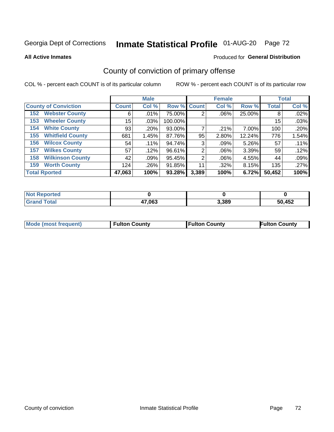# Inmate Statistical Profile 01-AUG-20 Page 72

**All Active Inmates** 

#### Produced for General Distribution

## County of conviction of primary offense

COL % - percent each COUNT is of its particular column

|                                |              | <b>Male</b> |             |       | <b>Female</b> |        |              | <b>Total</b> |
|--------------------------------|--------------|-------------|-------------|-------|---------------|--------|--------------|--------------|
| <b>County of Conviction</b>    | <b>Count</b> | Col %       | Row % Count |       | Col %         | Row %  | <b>Total</b> | Col %        |
| <b>Webster County</b><br>152   | 6            | .01%        | 75.00%      | 2     | .06%          | 25.00% | 8            | .02%         |
| <b>Wheeler County</b><br>153   | 15           | .03%        | 100.00%     |       |               |        | 15           | .03%         |
| <b>White County</b><br>154     | 93           | .20%        | 93.00%      |       | .21%          | 7.00%  | 100          | .20%         |
| <b>Whitfield County</b><br>155 | 681          | 1.45%       | 87.76%      | 95    | 2.80%         | 12.24% | 776          | 1.54%        |
| <b>Wilcox County</b><br>156    | 54           | $.11\%$     | 94.74%      | 3     | $.09\%$       | 5.26%  | 57           | .11%         |
| <b>Wilkes County</b><br>157    | 57           | .12%        | 96.61%      | 2     | .06%          | 3.39%  | 59           | .12%         |
| <b>Wilkinson County</b><br>158 | 42           | .09%        | 95.45%      | 2     | .06%          | 4.55%  | 44           | .09%         |
| <b>Worth County</b><br>159     | 124          | .26%        | 91.85%      | 11    | .32%          | 8.15%  | 135          | .27%         |
| <b>Total Rported</b>           | 47,063       | 100%        | 93.28%      | 3,389 | 100%          | 6.72%  | 50,452       | 100%         |

| <b>Not Reported</b> |        |       |        |
|---------------------|--------|-------|--------|
| <b>Grand Total</b>  | 47,063 | 3,389 | 50,452 |

| Mode (most frequent) | <b>Fulton County</b> | <b>Fulton County</b> | <b>Fulton County</b> |
|----------------------|----------------------|----------------------|----------------------|
|                      |                      |                      |                      |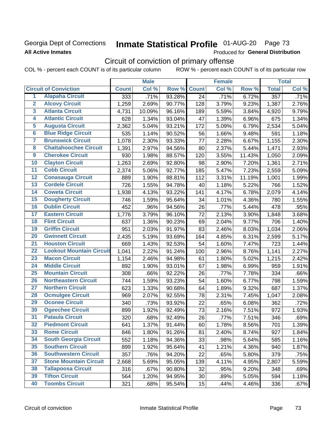### Georgia Dept of Corrections **All Active Inmates**

# Inmate Statistical Profile 01-AUG-20 Page 73

Produced for General Distribution

## Circuit of conviction of primary offense

COL % - percent each COUNT is of its particular column ROW % - percent each COUNT is of its particular row

|                         |                                 | <b>Male</b>  |        |        | <b>Female</b> |       |        | <b>Total</b> |       |
|-------------------------|---------------------------------|--------------|--------|--------|---------------|-------|--------|--------------|-------|
|                         | <b>Circuit of Conviction</b>    | <b>Count</b> | Col %  | Row %  | <b>Count</b>  | Col % | Row %  | <b>Total</b> | Col % |
| 1                       | <b>Alapaha Circuit</b>          | 333          | .71%   | 93.28% | 24            | .71%  | 6.72%  | 357          | .71%  |
| $\overline{2}$          | <b>Alcovy Circuit</b>           | 1,259        | 2.69%  | 90.77% | 128           | 3.79% | 9.23%  | 1,387        | 2.76% |
| $\overline{\mathbf{3}}$ | <b>Atlanta Circuit</b>          | 4,731        | 10.09% | 96.16% | 189           | 5.59% | 3.84%  | 4,920        | 9.79% |
| 4                       | <b>Atlantic Circuit</b>         | 628          | 1.34%  | 93.04% | 47            | 1.39% | 6.96%  | 675          | 1.34% |
| 5                       | <b>Augusta Circuit</b>          | 2,362        | 5.04%  | 93.21% | 172           | 5.09% | 6.79%  | 2,534        | 5.04% |
| $\overline{\mathbf{6}}$ | <b>Blue Ridge Circuit</b>       | 535          | 1.14%  | 90.52% | 56            | 1.66% | 9.48%  | 591          | 1.18% |
| $\overline{\mathbf{7}}$ | <b>Brunswick Circuit</b>        | 1,078        | 2.30%  | 93.33% | 77            | 2.28% | 6.67%  | 1,155        | 2.30% |
| 8                       | <b>Chattahoochee Circuit</b>    | 1,391        | 2.97%  | 94.56% | 80            | 2.37% | 5.44%  | 1,471        | 2.93% |
| $\overline{9}$          | <b>Cherokee Circuit</b>         | 930          | 1.98%  | 88.57% | 120           | 3.55% | 11.43% | 1,050        | 2.09% |
| 10                      | <b>Clayton Circuit</b>          | 1,263        | 2.69%  | 92.80% | 98            | 2.90% | 7.20%  | 1,361        | 2.71% |
| $\overline{11}$         | <b>Cobb Circuit</b>             | 2,374        | 5.06%  | 92.77% | 185           | 5.47% | 7.23%  | 2,559        | 5.09% |
| 12                      | <b>Conasauga Circuit</b>        | 889          | 1.90%  | 88.81% | 112           | 3.31% | 11.19% | 1,001        | 1.99% |
| $\overline{13}$         | <b>Cordele Circuit</b>          | 726          | 1.55%  | 94.78% | 40            | 1.18% | 5.22%  | 766          | 1.52% |
| $\overline{14}$         | <b>Coweta Circuit</b>           | 1,938        | 4.13%  | 93.22% | 141           | 4.17% | 6.78%  | 2,079        | 4.14% |
| 15                      | <b>Dougherty Circuit</b>        | 746          | 1.59%  | 95.64% | 34            | 1.01% | 4.36%  | 780          | 1.55% |
| 16                      | <b>Dublin Circuit</b>           | 452          | .96%   | 94.56% | 26            | .77%  | 5.44%  | 478          | .95%  |
| $\overline{17}$         | <b>Eastern Circuit</b>          | 1,776        | 3.79%  | 96.10% | 72            | 2.13% | 3.90%  | 1,848        | 3.68% |
| 18                      | <b>Flint Circuit</b>            | 637          | 1.36%  | 90.23% | 69            | 2.04% | 9.77%  | 706          | 1.40% |
| 19                      | <b>Griffin Circuit</b>          | 951          | 2.03%  | 91.97% | 83            | 2.46% | 8.03%  | 1,034        | 2.06% |
| 20                      | <b>Gwinnett Circuit</b>         | 2,435        | 5.19%  | 93.69% | 164           | 4.85% | 6.31%  | 2,599        | 5.17% |
| $\overline{21}$         | <b>Houston Circuit</b>          | 669          | 1.43%  | 92.53% | 54            | 1.60% | 7.47%  | 723          | 1.44% |
| $\overline{22}$         | <b>Lookout Mountain Circuit</b> | 1,041        | 2.22%  | 91.24% | 100           | 2.96% | 8.76%  | 1,141        | 2.27% |
| 23                      | <b>Macon Circuit</b>            | 1,154        | 2.46%  | 94.98% | 61            | 1.80% | 5.02%  | 1,215        | 2.42% |
| 24                      | <b>Middle Circuit</b>           | 892          | 1.90%  | 93.01% | 67            | 1.98% | 6.99%  | 959          | 1.91% |
| $\overline{25}$         | <b>Mountain Circuit</b>         | 308          | .66%   | 92.22% | 26            | .77%  | 7.78%  | 334          | .66%  |
| 26                      | <b>Northeastern Circuit</b>     | 744          | 1.59%  | 93.23% | 54            | 1.60% | 6.77%  | 798          | 1.59% |
| $\overline{27}$         | <b>Northern Circuit</b>         | 623          | 1.33%  | 90.68% | 64            | 1.89% | 9.32%  | 687          | 1.37% |
| 28                      | <b>Ocmulgee Circuit</b>         | 969          | 2.07%  | 92.55% | 78            | 2.31% | 7.45%  | 1,047        | 2.08% |
| 29                      | <b>Oconee Circuit</b>           | 340          | .73%   | 93.92% | 22            | .65%  | 6.08%  | 362          | .72%  |
| 30                      | <b>Ogeechee Circuit</b>         | 899          | 1.92%  | 92.49% | 73            | 2.16% | 7.51%  | 972          | 1.93% |
| $\overline{31}$         | <b>Pataula Circuit</b>          | 320          | .68%   | 92.49% | 26            | .77%  | 7.51%  | 346          | .69%  |
| 32                      | <b>Piedmont Circuit</b>         | 641          | 1.37%  | 91.44% | 60            | 1.78% | 8.56%  | 701          | 1.39% |
| 33                      | <b>Rome Circuit</b>             | 846          | 1.80%  | 91.26% | 81            | 2.40% | 8.74%  | 927          | 1.84% |
| 34                      | <b>South Georgia Circuit</b>    | 552          | 1.18%  | 94.36% | 33            | .98%  | 5.64%  | 585          | 1.16% |
| 35                      | <b>Southern Circuit</b>         | 899          | 1.92%  | 95.64% | 41            | 1.21% | 4.36%  | 940          | 1.87% |
| 36                      | <b>Southwestern Circuit</b>     | 357          | .76%   | 94.20% | 22            | .65%  | 5.80%  | 379          | .75%  |
| 37                      | <b>Stone Mountain Circuit</b>   | 2,668        | 5.69%  | 95.05% | 139           | 4.11% | 4.95%  | 2,807        | 5.59% |
| 38                      | <b>Tallapoosa Circuit</b>       | 316          | .67%   | 90.80% | 32            | .95%  | 9.20%  | 348          | .69%  |
| 39                      | <b>Tifton Circuit</b>           | 564          | 1.20%  | 94.95% | 30            | .89%  | 5.05%  | 594          | 1.18% |
| 40                      | <b>Toombs Circuit</b>           | 321          | .68%   | 95.54% | 15            | .44%  | 4.46%  | 336          | .67%  |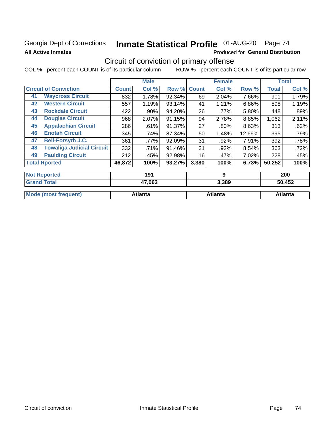### Georgia Dept of Corrections **All Active Inmates**

# Inmate Statistical Profile 01-AUG-20 Page 74

Produced for General Distribution

# Circuit of conviction of primary offense

|                                        | <b>Male</b>  |          |        | <b>Female</b> |         | <b>Total</b> |        |        |
|----------------------------------------|--------------|----------|--------|---------------|---------|--------------|--------|--------|
| <b>Circuit of Conviction</b>           | <b>Count</b> | Col %    | Row %  | <b>Count</b>  | Col %   | Row %        | Total  | Col %  |
| <b>Waycross Circuit</b><br>41          | 832          | 1.78%    | 92.34% | 69            | 2.04%   | 7.66%        | 901    | 1.79%  |
| <b>Western Circuit</b><br>42           | 557          | 1.19%    | 93.14% | 41            | 1.21%   | 6.86%        | 598    | 1.19%  |
| <b>Rockdale Circuit</b><br>43          | 422          | .90%     | 94.20% | 26            | .77%    | 5.80%        | 448    | .89%   |
| <b>Douglas Circuit</b><br>44           | 968          | $2.07\%$ | 91.15% | 94            | 2.78%   | 8.85%        | 1,062  | 2.11%  |
| <b>Appalachian Circuit</b><br>45       | 286          | .61%     | 91.37% | 27            | $.80\%$ | 8.63%        | 313    | .62%   |
| <b>Enotah Circuit</b><br>46            | 345          | .74%     | 87.34% | 50            | 1.48%   | 12.66%       | 395    | .79%   |
| <b>Bell-Forsyth J.C.</b><br>47         | 361          | .77%     | 92.09% | 31            | .92%    | 7.91%        | 392    | .78%   |
| <b>Towaliga Judicial Circuit</b><br>48 | 332          | .71%     | 91.46% | 31            | .92%    | 8.54%        | 363    | .72%   |
| <b>Paulding Circuit</b><br>49          | 212          | .45%     | 92.98% | 16            | .47%    | 7.02%        | 228    | .45%   |
| <b>Total Rported</b>                   | 46,872       | 100%     | 93.27% | 3,380         | 100%    | 6.73%        | 50,252 | 100%   |
| <b>Not Reported</b>                    |              | 191      |        |               | 9       |              |        | 200    |
| <b>Crond Total</b>                     |              | 17002    |        |               | 2.200   |              |        | EN AED |

| ⊺Grand Total                | 47,003         | ა.აბყ   | <b>JU,452</b> |
|-----------------------------|----------------|---------|---------------|
|                             |                |         |               |
| <b>Mode (most frequent)</b> | <b>Atlanta</b> | Atlanta | Atlanta       |
|                             |                |         |               |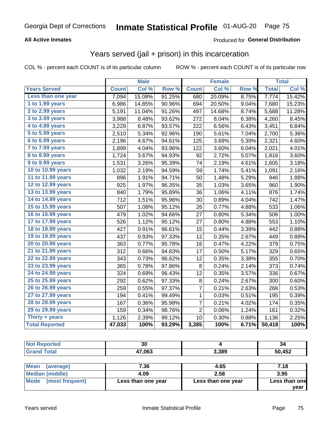#### **All Active Inmates**

### Produced for **General Distribution**

# Years served (jail + prison) in this incarceration

|                       |              | <b>Male</b> |        |                | <b>Female</b> |       |              | <b>Total</b> |
|-----------------------|--------------|-------------|--------|----------------|---------------|-------|--------------|--------------|
| <b>Years Served</b>   | <b>Count</b> | Col %       | Row %  | <b>Count</b>   | Col %         | Row % | <b>Total</b> | Col%         |
| Less than one year    | 7,094        | 15.08%      | 91.25% | 680            | 20.09%        | 8.75% | 7,774        | 15.42%       |
| 1 to 1.99 years       | 6,986        | 14.85%      | 90.96% | 694            | 20.50%        | 9.04% | 7,680        | 15.23%       |
| 2 to 2.99 years       | 5,191        | 11.04%      | 91.26% | 497            | 14.68%        | 8.74% | 5,688        | 11.28%       |
| 3 to 3.99 years       | 3,988        | 8.48%       | 93.62% | 272            | 8.04%         | 6.38% | 4,260        | 8.45%        |
| 4 to 4.99 years       | 3,229        | 6.87%       | 93.57% | 222            | 6.56%         | 6.43% | 3,451        | 6.84%        |
| 5 to 5.99 years       | 2,510        | 5.34%       | 92.96% | 190            | 5.61%         | 7.04% | 2,700        | 5.36%        |
| 6 to 6.99 years       | 2,196        | 4.67%       | 94.61% | 125            | 3.69%         | 5.39% | 2,321        | 4.60%        |
| 7 to 7.99 years       | 1,899        | 4.04%       | 93.96% | 122            | 3.60%         | 6.04% | 2,021        | 4.01%        |
| 8 to 8.99 years       | 1,724        | 3.67%       | 94.93% | 92             | 2.72%         | 5.07% | 1,816        | 3.60%        |
| 9 to 9.99 years       | 1,531        | 3.26%       | 95.39% | 74             | 2.19%         | 4.61% | 1,605        | 3.18%        |
| 10 to 10.99 years     | 1,032        | 2.19%       | 94.59% | 59             | 1.74%         | 5.41% | 1,091        | 2.16%        |
| 11 to 11.99 years     | 896          | 1.91%       | 94.71% | 50             | 1.48%         | 5.29% | 946          | 1.88%        |
| 12 to 12.99 years     | 925          | 1.97%       | 96.35% | 35             | 1.03%         | 3.65% | 960          | 1.90%        |
| 13 to 13.99 years     | 840          | 1.79%       | 95.89% | 36             | 1.06%         | 4.11% | 876          | 1.74%        |
| 14 to 14.99 years     | 712          | 1.51%       | 95.96% | 30             | 0.89%         | 4.04% | 742          | 1.47%        |
| 15 to 15.99 years     | 507          | 1.08%       | 95.12% | 26             | 0.77%         | 4.88% | 533          | 1.06%        |
| 16 to 16.99 years     | 479          | 1.02%       | 94.66% | 27             | 0.80%         | 5.34% | 506          | 1.00%        |
| 17 to 17.99 years     | 526          | 1.12%       | 95.12% | 27             | 0.80%         | 4.88% | 553          | 1.10%        |
| 18 to 18.99 years     | 427          | 0.91%       | 96.61% | 15             | 0.44%         | 3.39% | 442          | 0.88%        |
| 19 to 19.99 years     | 437          | 0.93%       | 97.33% | 12             | 0.35%         | 2.67% | 449          | 0.89%        |
| 20 to 20.99 years     | 363          | 0.77%       | 95.78% | 16             | 0.47%         | 4.22% | 379          | 0.75%        |
| 21 to 21.99 years     | 312          | 0.66%       | 94.83% | 17             | 0.50%         | 5.17% | 329          | 0.65%        |
| 22 to 22.99 years     | 343          | 0.73%       | 96.62% | 12             | 0.35%         | 3.38% | 355          | 0.70%        |
| 23 to 23.99 years     | 365          | 0.78%       | 97.86% | 8              | 0.24%         | 2.14% | 373          | 0.74%        |
| 24 to 24.99 years     | 324          | 0.69%       | 96.43% | 12             | 0.35%         | 3.57% | 336          | 0.67%        |
| 25 to 25.99 years     | 292          | 0.62%       | 97.33% | 8              | 0.24%         | 2.67% | 300          | 0.60%        |
| 26 to 26.99 years     | 259          | 0.55%       | 97.37% | 7              | 0.21%         | 2.63% | 266          | 0.53%        |
| 27 to 27.99 years     | 194          | 0.41%       | 99.49% | $\mathbf 1$    | 0.03%         | 0.51% | 195          | 0.39%        |
| 28 to 28.99 years     | 167          | 0.36%       | 95.98% | 7              | 0.21%         | 4.02% | 174          | 0.35%        |
| 29 to 29.99 years     | 159          | 0.34%       | 98.76% | $\overline{2}$ | 0.06%         | 1.24% | 161          | 0.32%        |
| Thirty + years        | 1,126        | 2.39%       | 99.12% | 10             | 0.30%         | 0.88% | 1,136        | 2.25%        |
| <b>Total Reported</b> | 47,033       | 100%        | 93.29% | 3,385          | 100%          | 6.71% | 50,418       | 100%         |

| ^`<br>งบ |       | -34         |
|----------|-------|-------------|
| 47,063   | 3,389 | 0,452<br>50 |

| <b>Mean</b><br>(average) | 7.36               | 4.65               | 7.18          |
|--------------------------|--------------------|--------------------|---------------|
| Median (middle)          | 4.09               | 2.58               | 3.95          |
| Mode (most frequent)     | Less than one year | Less than one year | Less than one |
|                          |                    |                    | vear          |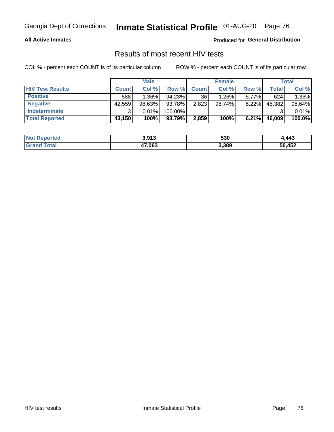#### **All Active Inmates**

Produced for **General Distribution**

### Results of most recent HIV tests

|                         | <b>Male</b>  |          |           |              | <b>Female</b> | Total    |        |        |
|-------------------------|--------------|----------|-----------|--------------|---------------|----------|--------|--------|
| <b>HIV Test Results</b> | <b>Count</b> | Col%     | Row %I    | <b>Count</b> | Col %         | Row %    | Total  | Col %  |
| <b>Positive</b>         | 588          | $1.36\%$ | $94.23\%$ | 36           | $1.26\%$      | $5.77\%$ | 624    | 1.36%  |
| <b>Negative</b>         | 42,559       | 98.63%   | 93.78%    | 2,823        | 98.74%        | 6.22%    | 45,382 | 98.64% |
| Indeterminate           | າ            | 0.01%    | 100.00%   |              |               |          |        | 0.01%  |
| <b>Total Reported</b>   | 43,150       | 100%     | 93.79%    | 2,859        | 100%          | 6.21%    | 46,009 | 100.0% |

| <b>Not Reported</b>     | 3,913  | 530   | ,443   |
|-------------------------|--------|-------|--------|
| <b>Total</b><br>' Grand | 47,063 | 3,389 | 50,452 |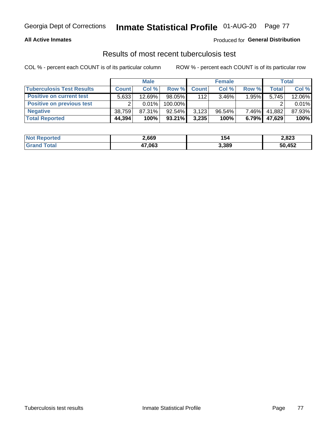#### **All Active Inmates**

#### Produced for **General Distribution**

### Results of most recent tuberculosis test

|                                  | <b>Male</b>  |           |           |              | <b>Female</b> | Total    |              |        |
|----------------------------------|--------------|-----------|-----------|--------------|---------------|----------|--------------|--------|
| <b>Tuberculosis Test Results</b> | <b>Count</b> | Col%      | Row %     | <b>Count</b> | Col %         | Row %    | <b>Total</b> | Col %  |
| <b>Positive on current test</b>  | 5,633        | 12.69%    | $98.05\%$ | 112          | $3.46\%$      | 1.95%    | 5,745        | 12.06% |
| <b>Positive on previous test</b> | ົ            | $0.01\%$  | 100.00%   |              |               |          |              | 0.01%  |
| <b>Negative</b>                  | 38.759       | $87.31\%$ | $92.54\%$ | 3,123        | $96.54\%$     | $7.46\%$ | 41,882       | 87.93% |
| <b>Total Reported</b>            | 44,394       | 100%      | $93.21\%$ | 3,235        | 100%          | 6.79%    | 47,629       | 100%   |

| <b>Not Reported</b> | 2,669  | 154   | 2,823  |
|---------------------|--------|-------|--------|
| Total<br>Grand      | 47,063 | 3,389 | 50,452 |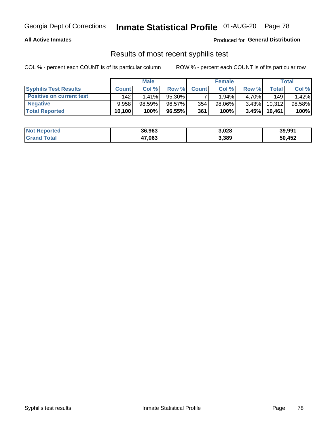#### **All Active Inmates**

Produced for **General Distribution**

### Results of most recent syphilis test

|                                 | <b>Male</b>  |           |        |              | <b>Female</b> | Total    |        |        |
|---------------------------------|--------------|-----------|--------|--------------|---------------|----------|--------|--------|
| <b>Syphilis Test Results</b>    | <b>Count</b> | Col %     | Row %  | <b>Count</b> | Col %         | Row %    | Total  | Col %  |
| <b>Positive on current test</b> | 142          | $1.41\%$  | 95.30% |              | $1.94\%$      | 4.70%    | 149    | 1.42%  |
| <b>Negative</b>                 | 9.958        | $98.59\%$ | 96.57% | 354          | $98.06\%$     | $3.43\%$ | 10,312 | 98.58% |
| <b>Total Reported</b>           | 10,100       | 100%      | 96.55% | 361          | 100%          | $3.45\%$ | 10,461 | 100%   |

| <b>Not Reported</b> | 36,963 | 3,028 | 39,991 |
|---------------------|--------|-------|--------|
| <b>Grand Total</b>  | 47,063 | 3,389 | 50,452 |